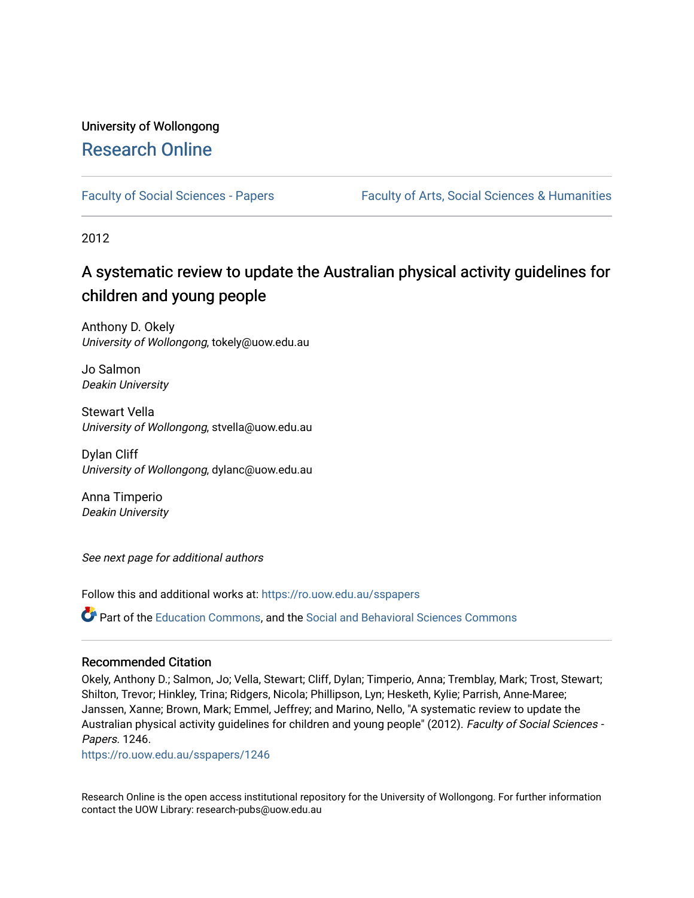# University of Wollongong [Research Online](https://ro.uow.edu.au/)

[Faculty of Social Sciences - Papers](https://ro.uow.edu.au/sspapers) Faculty of Arts, Social Sciences & Humanities

2012

# A systematic review to update the Australian physical activity guidelines for children and young people

Anthony D. Okely University of Wollongong, tokely@uow.edu.au

Jo Salmon Deakin University

Stewart Vella University of Wollongong, stvella@uow.edu.au

Dylan Cliff University of Wollongong, dylanc@uow.edu.au

Anna Timperio Deakin University

See next page for additional authors

Follow this and additional works at: [https://ro.uow.edu.au/sspapers](https://ro.uow.edu.au/sspapers?utm_source=ro.uow.edu.au%2Fsspapers%2F1246&utm_medium=PDF&utm_campaign=PDFCoverPages) 

Part of the [Education Commons](http://network.bepress.com/hgg/discipline/784?utm_source=ro.uow.edu.au%2Fsspapers%2F1246&utm_medium=PDF&utm_campaign=PDFCoverPages), and the [Social and Behavioral Sciences Commons](http://network.bepress.com/hgg/discipline/316?utm_source=ro.uow.edu.au%2Fsspapers%2F1246&utm_medium=PDF&utm_campaign=PDFCoverPages) 

#### Recommended Citation

Okely, Anthony D.; Salmon, Jo; Vella, Stewart; Cliff, Dylan; Timperio, Anna; Tremblay, Mark; Trost, Stewart; Shilton, Trevor; Hinkley, Trina; Ridgers, Nicola; Phillipson, Lyn; Hesketh, Kylie; Parrish, Anne-Maree; Janssen, Xanne; Brown, Mark; Emmel, Jeffrey; and Marino, Nello, "A systematic review to update the Australian physical activity guidelines for children and young people" (2012). Faculty of Social Sciences -Papers. 1246.

[https://ro.uow.edu.au/sspapers/1246](https://ro.uow.edu.au/sspapers/1246?utm_source=ro.uow.edu.au%2Fsspapers%2F1246&utm_medium=PDF&utm_campaign=PDFCoverPages)

Research Online is the open access institutional repository for the University of Wollongong. For further information contact the UOW Library: research-pubs@uow.edu.au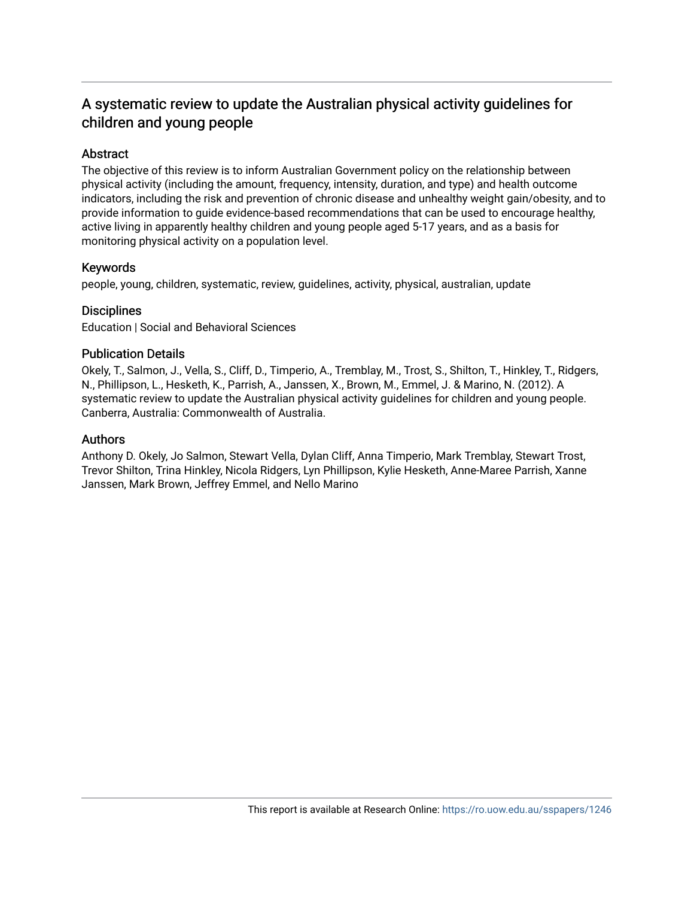# A systematic review to update the Australian physical activity guidelines for children and young people

#### Abstract

The objective of this review is to inform Australian Government policy on the relationship between physical activity (including the amount, frequency, intensity, duration, and type) and health outcome indicators, including the risk and prevention of chronic disease and unhealthy weight gain/obesity, and to provide information to guide evidence-based recommendations that can be used to encourage healthy, active living in apparently healthy children and young people aged 5-17 years, and as a basis for monitoring physical activity on a population level.

#### Keywords

people, young, children, systematic, review, guidelines, activity, physical, australian, update

#### **Disciplines**

Education | Social and Behavioral Sciences

#### Publication Details

Okely, T., Salmon, J., Vella, S., Cliff, D., Timperio, A., Tremblay, M., Trost, S., Shilton, T., Hinkley, T., Ridgers, N., Phillipson, L., Hesketh, K., Parrish, A., Janssen, X., Brown, M., Emmel, J. & Marino, N. (2012). A systematic review to update the Australian physical activity guidelines for children and young people. Canberra, Australia: Commonwealth of Australia.

#### Authors

Anthony D. Okely, Jo Salmon, Stewart Vella, Dylan Cliff, Anna Timperio, Mark Tremblay, Stewart Trost, Trevor Shilton, Trina Hinkley, Nicola Ridgers, Lyn Phillipson, Kylie Hesketh, Anne-Maree Parrish, Xanne Janssen, Mark Brown, Jeffrey Emmel, and Nello Marino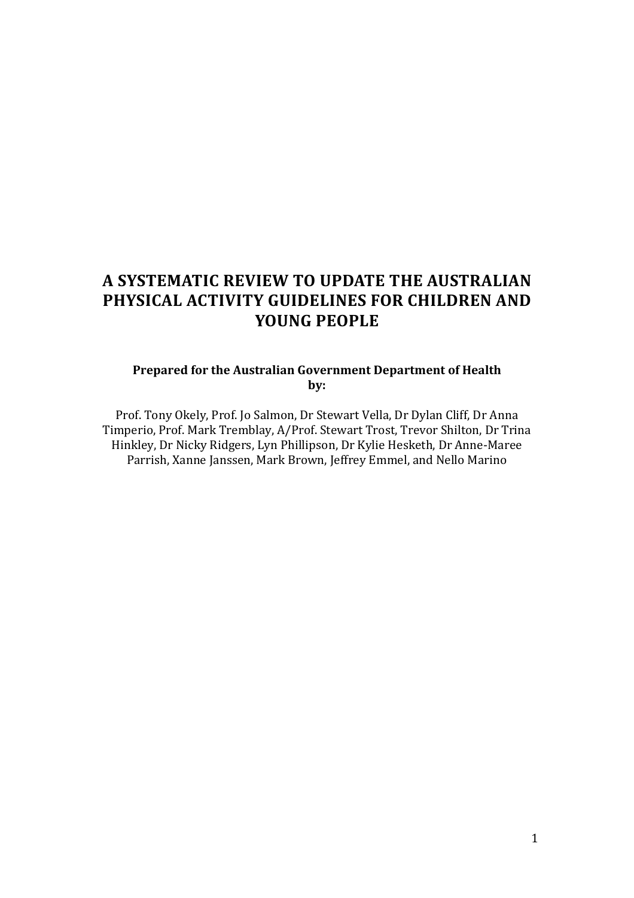# **A SYSTEMATIC REVIEW TO UPDATE THE AUSTRALIAN PHYSICAL ACTIVITY GUIDELINES FOR CHILDREN AND YOUNG PEOPLE**

### **Prepared for the Australian Government Department of Health by:**

Prof. Tony Okely, Prof. Jo Salmon, Dr Stewart Vella, Dr Dylan Cliff, Dr Anna Timperio, Prof. Mark Tremblay, A/Prof. Stewart Trost, Trevor Shilton, Dr Trina Hinkley, Dr Nicky Ridgers, Lyn Phillipson, Dr Kylie Hesketh, Dr Anne-Maree Parrish, Xanne Janssen, Mark Brown, Jeffrey Emmel, and Nello Marino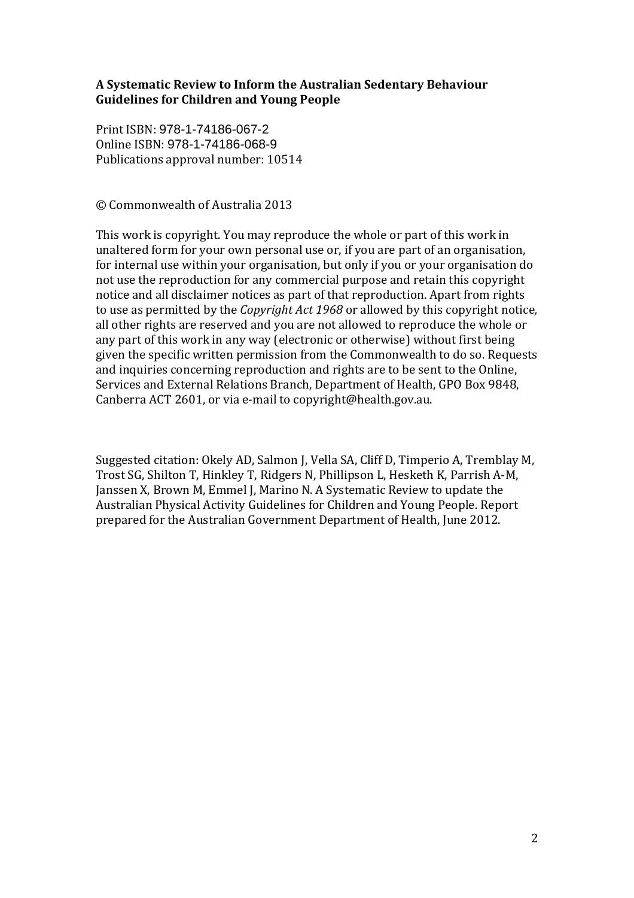### **A Systematic Review to Inform the Australian Sedentary Behaviour Guidelines for Children and Young People**

Print ISBN: 978-1-74186-067-2 Online ISBN: 978-1-74186-068-9 Publications approval number: 10514

© Commonwealth of Australia 2013

This work is copyright. You may reproduce the whole or part of this work in unaltered form for your own personal use or, if you are part of an organisation, for internal use within your organisation, but only if you or your organisation do not use the reproduction for any commercial purpose and retain this copyright notice and all disclaimer notices as part of that reproduction. Apart from rights to use as permitted by the *Copyright Act 1968* or allowed by this copyright notice*,*  all other rights are reserved and you are not allowed to reproduce the whole or any part of this work in any way (electronic or otherwise) without first being given the specific written permission from the Commonwealth to do so. Requests and inquiries concerning reproduction and rights are to be sent to the Online, Services and External Relations Branch, Department of Health, GPO Box 9848, Canberra ACT 2601, or via e-mail to copyright@health.gov.au.

Suggested citation: Okely AD, Salmon J, Vella SA, Cliff D, Timperio A, Tremblay M, Trost SG, Shilton T, Hinkley T, Ridgers N, Phillipson L, Hesketh K, Parrish A-M, Janssen X, Brown M, Emmel J, Marino N. A Systematic Review to update the Australian Physical Activity Guidelines for Children and Young People. Report prepared for the Australian Government Department of Health, June 2012.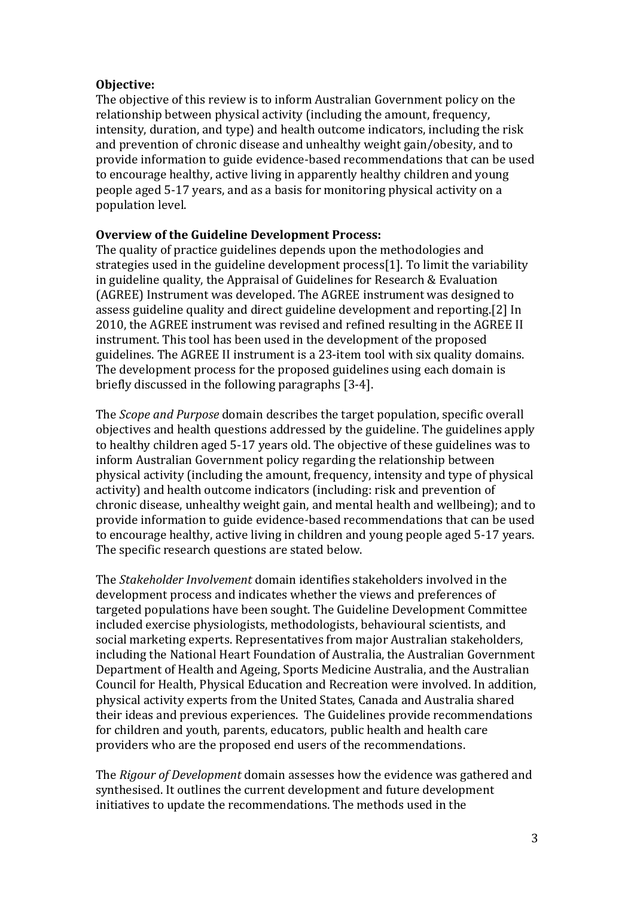#### **Objective:**

The objective of this review is to inform Australian Government policy on the relationship between physical activity (including the amount, frequency, intensity, duration, and type) and health outcome indicators, including the risk and prevention of chronic disease and unhealthy weight gain/obesity, and to provide information to guide evidence-based recommendations that can be used to encourage healthy, active living in apparently healthy children and young people aged 5-17 years, and as a basis for monitoring physical activity on a population level.

#### **Overview of the Guideline Development Process:**

The quality of practice guidelines depends upon the methodologies and strategies used in the guideline development process[1]. To limit the variability in guideline quality, the Appraisal of Guidelines for Research & Evaluation (AGREE) Instrument was developed. The AGREE instrument was designed to assess guideline quality and direct guideline development and reporting.[2] In 2010, the AGREE instrument was revised and refined resulting in the AGREE II instrument. This tool has been used in the development of the proposed guidelines. The AGREE II instrument is a 23-item tool with six quality domains. The development process for the proposed guidelines using each domain is briefly discussed in the following paragraphs [3-4].

The *Scope and Purpose* domain describes the target population, specific overall objectives and health questions addressed by the guideline. The guidelines apply to healthy children aged 5-17 years old. The objective of these guidelines was to inform Australian Government policy regarding the relationship between physical activity (including the amount, frequency, intensity and type of physical activity) and health outcome indicators (including: risk and prevention of chronic disease, unhealthy weight gain, and mental health and wellbeing); and to provide information to guide evidence-based recommendations that can be used to encourage healthy, active living in children and young people aged 5-17 years. The specific research questions are stated below.

The *Stakeholder Involvement* domain identifies stakeholders involved in the development process and indicates whether the views and preferences of targeted populations have been sought. The Guideline Development Committee included exercise physiologists, methodologists, behavioural scientists, and social marketing experts. Representatives from major Australian stakeholders, including the National Heart Foundation of Australia, the Australian Government Department of Health and Ageing, Sports Medicine Australia, and the Australian Council for Health, Physical Education and Recreation were involved. In addition, physical activity experts from the United States, Canada and Australia shared their ideas and previous experiences. The Guidelines provide recommendations for children and youth, parents, educators, public health and health care providers who are the proposed end users of the recommendations.

The *Rigour of Development* domain assesses how the evidence was gathered and synthesised. It outlines the current development and future development initiatives to update the recommendations. The methods used in the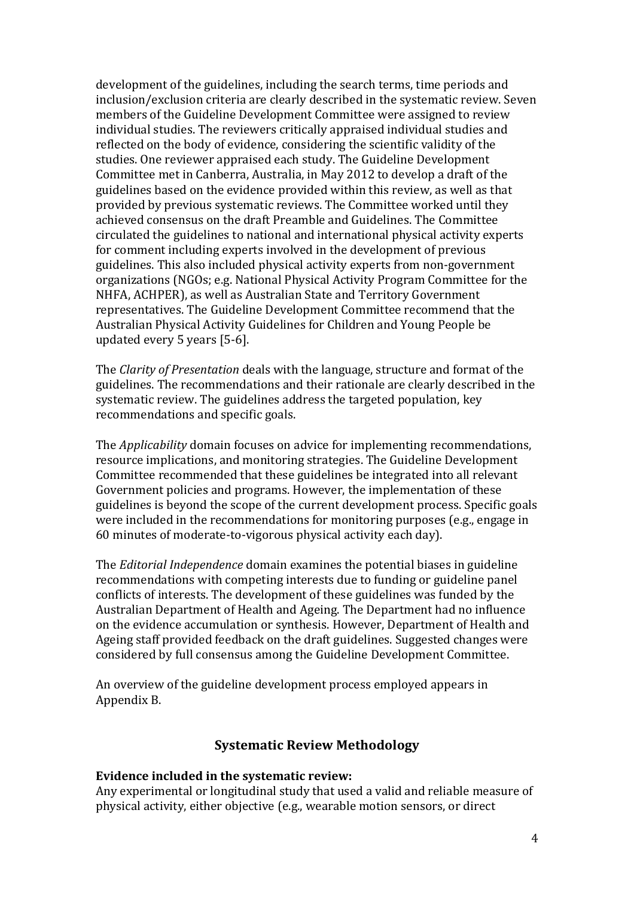development of the guidelines, including the search terms, time periods and inclusion/exclusion criteria are clearly described in the systematic review. Seven members of the Guideline Development Committee were assigned to review individual studies. The reviewers critically appraised individual studies and reflected on the body of evidence, considering the scientific validity of the studies. One reviewer appraised each study. The Guideline Development Committee met in Canberra, Australia, in May 2012 to develop a draft of the guidelines based on the evidence provided within this review, as well as that provided by previous systematic reviews. The Committee worked until they achieved consensus on the draft Preamble and Guidelines. The Committee circulated the guidelines to national and international physical activity experts for comment including experts involved in the development of previous guidelines. This also included physical activity experts from non-government organizations (NGOs; e.g. National Physical Activity Program Committee for the NHFA, ACHPER), as well as Australian State and Territory Government representatives. The Guideline Development Committee recommend that the Australian Physical Activity Guidelines for Children and Young People be updated every 5 years [5-6].

The *Clarity of Presentation* deals with the language, structure and format of the guidelines. The recommendations and their rationale are clearly described in the systematic review. The guidelines address the targeted population, key recommendations and specific goals.

The *Applicability* domain focuses on advice for implementing recommendations, resource implications, and monitoring strategies. The Guideline Development Committee recommended that these guidelines be integrated into all relevant Government policies and programs. However, the implementation of these guidelines is beyond the scope of the current development process. Specific goals were included in the recommendations for monitoring purposes (e.g., engage in 60 minutes of moderate-to-vigorous physical activity each day).

The *Editorial Independence* domain examines the potential biases in guideline recommendations with competing interests due to funding or guideline panel conflicts of interests. The development of these guidelines was funded by the Australian Department of Health and Ageing. The Department had no influence on the evidence accumulation or synthesis. However, Department of Health and Ageing staff provided feedback on the draft guidelines. Suggested changes were considered by full consensus among the Guideline Development Committee.

An overview of the guideline development process employed appears in Appendix B.

#### **Systematic Review Methodology**

#### **Evidence included in the systematic review:**

Any experimental or longitudinal study that used a valid and reliable measure of physical activity, either objective (e.g., wearable motion sensors, or direct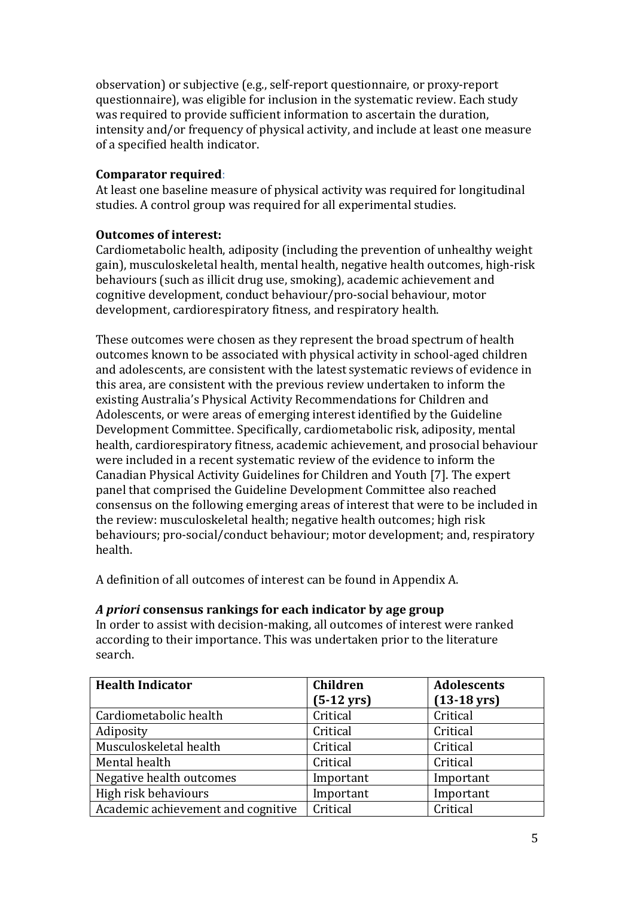observation) or subjective (e.g., self-report questionnaire, or proxy-report questionnaire), was eligible for inclusion in the systematic review. Each study was required to provide sufficient information to ascertain the duration, intensity and/or frequency of physical activity, and include at least one measure of a specified health indicator.

## **Comparator required**:

At least one baseline measure of physical activity was required for longitudinal studies. A control group was required for all experimental studies.

## **Outcomes of interest:**

Cardiometabolic health, adiposity (including the prevention of unhealthy weight gain), musculoskeletal health, mental health, negative health outcomes, high-risk behaviours (such as illicit drug use, smoking), academic achievement and cognitive development, conduct behaviour/pro-social behaviour, motor development, cardiorespiratory fitness, and respiratory health.

These outcomes were chosen as they represent the broad spectrum of health outcomes known to be associated with physical activity in school-aged children and adolescents, are consistent with the latest systematic reviews of evidence in this area, are consistent with the previous review undertaken to inform the existing Australia's Physical Activity Recommendations for Children and Adolescents, or were areas of emerging interest identified by the Guideline Development Committee. Specifically, cardiometabolic risk, adiposity, mental health, cardiorespiratory fitness, academic achievement, and prosocial behaviour were included in a recent systematic review of the evidence to inform the Canadian Physical Activity Guidelines for Children and Youth [7]. The expert panel that comprised the Guideline Development Committee also reached consensus on the following emerging areas of interest that were to be included in the review: musculoskeletal health; negative health outcomes; high risk behaviours; pro-social/conduct behaviour; motor development; and, respiratory health.

A definition of all outcomes of interest can be found in Appendix A.

| <b>Health Indicator</b>            | <b>Children</b><br>$(5-12 \text{ yrs})$ | <b>Adolescents</b><br>$(13-18 \,\text{yrs})$ |
|------------------------------------|-----------------------------------------|----------------------------------------------|
| Cardiometabolic health             | Critical                                | Critical                                     |
| Adiposity                          | Critical                                | Critical                                     |
| Musculoskeletal health             | Critical                                | Critical                                     |
| Mental health                      | Critical                                | Critical                                     |
| Negative health outcomes           | Important                               | Important                                    |
| High risk behaviours               | Important                               | Important                                    |
| Academic achievement and cognitive | Critical                                | Critical                                     |

#### *A priori* **consensus rankings for each indicator by age group**

In order to assist with decision-making, all outcomes of interest were ranked according to their importance. This was undertaken prior to the literature search.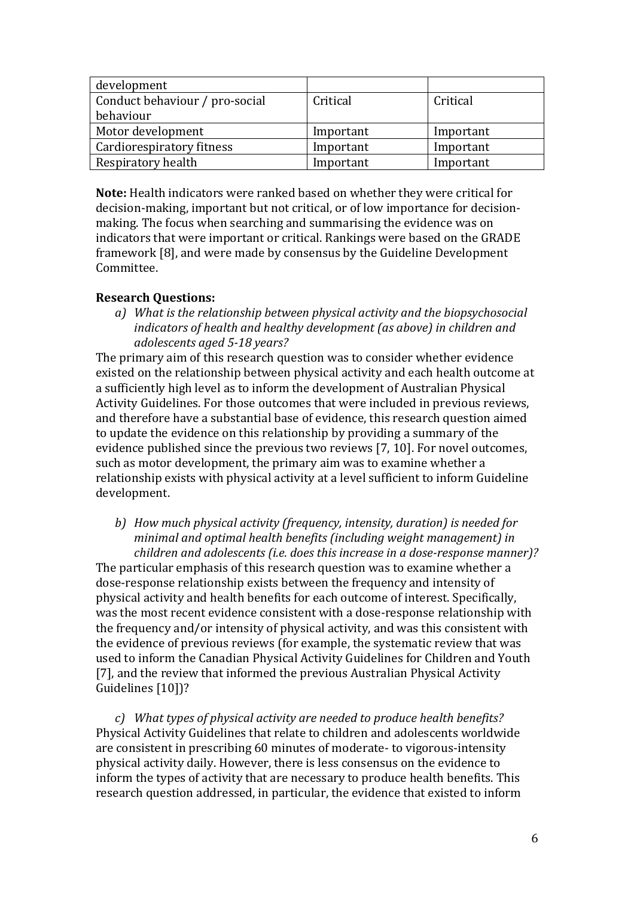| development                    |           |           |
|--------------------------------|-----------|-----------|
| Conduct behaviour / pro-social | Critical  | Critical  |
| behaviour                      |           |           |
| Motor development              | Important | Important |
| Cardiorespiratory fitness      | Important | Important |
| Respiratory health             | Important | Important |

**Note:** Health indicators were ranked based on whether they were critical for decision-making, important but not critical, or of low importance for decisionmaking. The focus when searching and summarising the evidence was on indicators that were important or critical. Rankings were based on the GRADE framework [8], and were made by consensus by the Guideline Development Committee.

#### **Research Questions:**

*a) What is the relationship between physical activity and the biopsychosocial indicators of health and healthy development (as above) in children and adolescents aged 5-18 years?*

The primary aim of this research question was to consider whether evidence existed on the relationship between physical activity and each health outcome at a sufficiently high level as to inform the development of Australian Physical Activity Guidelines. For those outcomes that were included in previous reviews, and therefore have a substantial base of evidence, this research question aimed to update the evidence on this relationship by providing a summary of the evidence published since the previous two reviews [7, 10]. For novel outcomes, such as motor development, the primary aim was to examine whether a relationship exists with physical activity at a level sufficient to inform Guideline development.

*b) How much physical activity (frequency, intensity, duration) is needed for minimal and optimal health benefits (including weight management) in children and adolescents (i.e. does this increase in a dose-response manner)?*

The particular emphasis of this research question was to examine whether a dose-response relationship exists between the frequency and intensity of physical activity and health benefits for each outcome of interest. Specifically, was the most recent evidence consistent with a dose-response relationship with the frequency and/or intensity of physical activity, and was this consistent with the evidence of previous reviews (for example, the systematic review that was used to inform the Canadian Physical Activity Guidelines for Children and Youth [7], and the review that informed the previous Australian Physical Activity Guidelines [10])?

*c) What types of physical activity are needed to produce health benefits?* Physical Activity Guidelines that relate to children and adolescents worldwide are consistent in prescribing 60 minutes of moderate- to vigorous-intensity physical activity daily. However, there is less consensus on the evidence to inform the types of activity that are necessary to produce health benefits. This research question addressed, in particular, the evidence that existed to inform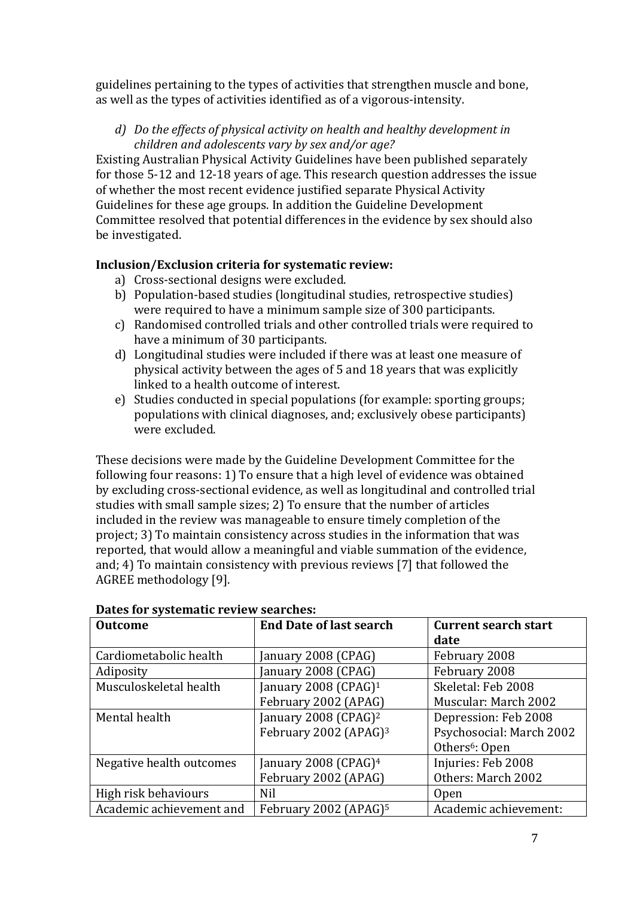guidelines pertaining to the types of activities that strengthen muscle and bone, as well as the types of activities identified as of a vigorous-intensity.

*d) Do the effects of physical activity on health and healthy development in children and adolescents vary by sex and/or age?*

Existing Australian Physical Activity Guidelines have been published separately for those 5-12 and 12-18 years of age. This research question addresses the issue of whether the most recent evidence justified separate Physical Activity Guidelines for these age groups. In addition the Guideline Development Committee resolved that potential differences in the evidence by sex should also be investigated.

# **Inclusion/Exclusion criteria for systematic review:**

- a) Cross-sectional designs were excluded.
- b) Population-based studies (longitudinal studies, retrospective studies) were required to have a minimum sample size of 300 participants.
- c) Randomised controlled trials and other controlled trials were required to have a minimum of 30 participants.
- d) Longitudinal studies were included if there was at least one measure of physical activity between the ages of 5 and 18 years that was explicitly linked to a health outcome of interest.
- e) Studies conducted in special populations (for example: sporting groups; populations with clinical diagnoses, and; exclusively obese participants) were excluded.

These decisions were made by the Guideline Development Committee for the following four reasons: 1) To ensure that a high level of evidence was obtained by excluding cross-sectional evidence, as well as longitudinal and controlled trial studies with small sample sizes; 2) To ensure that the number of articles included in the review was manageable to ensure timely completion of the project; 3) To maintain consistency across studies in the information that was reported, that would allow a meaningful and viable summation of the evidence, and; 4) To maintain consistency with previous reviews [7] that followed the AGREE methodology [9].

| Batto Ior bybtematic review beartness |                                   |                             |  |  |  |  |
|---------------------------------------|-----------------------------------|-----------------------------|--|--|--|--|
| <b>Outcome</b>                        | <b>End Date of last search</b>    | <b>Current search start</b> |  |  |  |  |
|                                       |                                   | date                        |  |  |  |  |
| Cardiometabolic health                | anuary 2008 (CPAG)                | February 2008               |  |  |  |  |
| Adiposity                             | [anuary 2008 (CPAG)               | February 2008               |  |  |  |  |
| Musculoskeletal health                | January 2008 (CPAG) <sup>1</sup>  | Skeletal: Feb 2008          |  |  |  |  |
|                                       | February 2002 (APAG)              | Muscular: March 2002        |  |  |  |  |
| Mental health                         | January 2008 (CPAG) <sup>2</sup>  | Depression: Feb 2008        |  |  |  |  |
|                                       | February 2002 (APAG) <sup>3</sup> | Psychosocial: March 2002    |  |  |  |  |
|                                       |                                   | Others <sup>6</sup> : Open  |  |  |  |  |
| Negative health outcomes              | January 2008 (CPAG) $4$           | Injuries: Feb 2008          |  |  |  |  |
|                                       | February 2002 (APAG)              | Others: March 2002          |  |  |  |  |
| High risk behaviours                  | Nil                               | <b>Open</b>                 |  |  |  |  |
| Academic achievement and              | February 2002 (APAG) <sup>5</sup> | Academic achievement:       |  |  |  |  |

#### **Dates for systematic review searches:**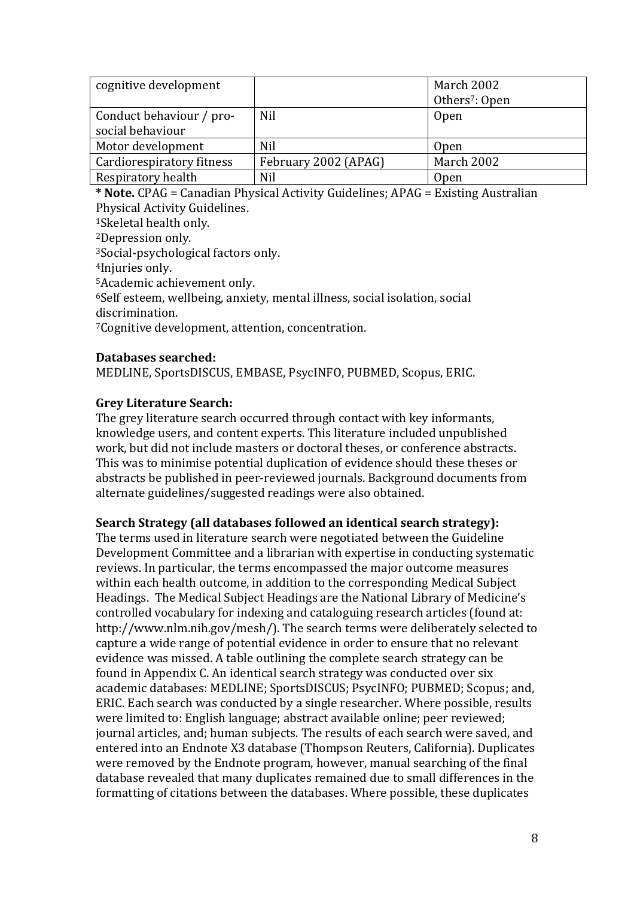| cognitive development     |                      | March 2002                 |
|---------------------------|----------------------|----------------------------|
|                           |                      | Others <sup>7</sup> : Open |
| Conduct behaviour / pro-  | Nil                  | <b>Open</b>                |
| social behaviour          |                      |                            |
| Motor development         | <b>Nil</b>           | Open                       |
| Cardiorespiratory fitness | February 2002 (APAG) | March 2002                 |
| Respiratory health        | Nil                  | <b>Open</b>                |

**\* Note.** CPAG = Canadian Physical Activity Guidelines; APAG = Existing Australian Physical Activity Guidelines.

1Skeletal health only.

2Depression only.

3Social-psychological factors only.

4Injuries only.

5Academic achievement only.

6Self esteem, wellbeing, anxiety, mental illness, social isolation, social discrimination.

7Cognitive development, attention, concentration.

# **Databases searched:**

MEDLINE, SportsDISCUS, EMBASE, PsycINFO, PUBMED, Scopus, ERIC.

# **Grey Literature Search:**

The grey literature search occurred through contact with key informants, knowledge users, and content experts. This literature included unpublished work, but did not include masters or doctoral theses, or conference abstracts. This was to minimise potential duplication of evidence should these theses or abstracts be published in peer-reviewed journals. Background documents from alternate guidelines/suggested readings were also obtained.

# **Search Strategy (all databases followed an identical search strategy):**

The terms used in literature search were negotiated between the Guideline Development Committee and a librarian with expertise in conducting systematic reviews. In particular, the terms encompassed the major outcome measures within each health outcome, in addition to the corresponding Medical Subject Headings. The Medical Subject Headings are the National Library of Medicine's controlled vocabulary for indexing and cataloguing research articles (found at: http://www.nlm.nih.gov/mesh/). The search terms were deliberately selected to capture a wide range of potential evidence in order to ensure that no relevant evidence was missed. A table outlining the complete search strategy can be found in Appendix C. An identical search strategy was conducted over six academic databases: MEDLINE; SportsDISCUS; PsycINFO; PUBMED; Scopus; and, ERIC. Each search was conducted by a single researcher. Where possible, results were limited to: English language; abstract available online; peer reviewed; journal articles, and; human subjects. The results of each search were saved, and entered into an Endnote X3 database (Thompson Reuters, California). Duplicates were removed by the Endnote program, however, manual searching of the final database revealed that many duplicates remained due to small differences in the formatting of citations between the databases. Where possible, these duplicates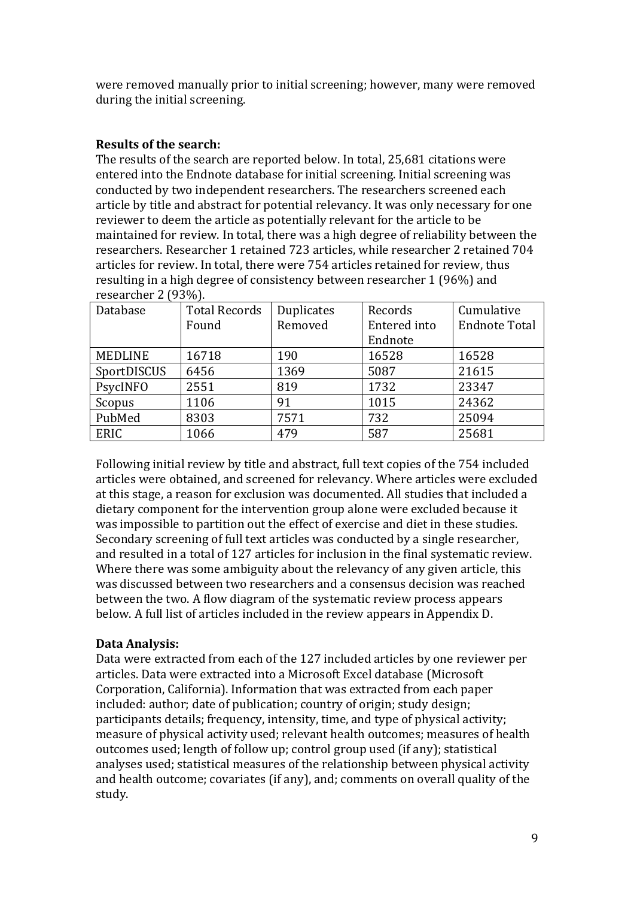were removed manually prior to initial screening; however, many were removed during the initial screening.

#### **Results of the search:**

The results of the search are reported below. In total, 25,681 citations were entered into the Endnote database for initial screening. Initial screening was conducted by two independent researchers. The researchers screened each article by title and abstract for potential relevancy. It was only necessary for one reviewer to deem the article as potentially relevant for the article to be maintained for review. In total, there was a high degree of reliability between the researchers. Researcher 1 retained 723 articles, while researcher 2 retained 704 articles for review. In total, there were 754 articles retained for review, thus resulting in a high degree of consistency between researcher 1 (96%) and researcher 2 (93%).

| Database       | <b>Total Records</b> | Duplicates | Records      | Cumulative           |
|----------------|----------------------|------------|--------------|----------------------|
|                | Found                | Removed    | Entered into | <b>Endnote Total</b> |
|                |                      |            | Endnote      |                      |
| <b>MEDLINE</b> | 16718                | 190        | 16528        | 16528                |
| SportDISCUS    | 6456                 | 1369       | 5087         | 21615                |
| PsycINFO       | 2551                 | 819        | 1732         | 23347                |
| Scopus         | 1106                 | 91         | 1015         | 24362                |
| PubMed         | 8303                 | 7571       | 732          | 25094                |
| <b>ERIC</b>    | 1066                 | 479        | 587          | 25681                |

Following initial review by title and abstract, full text copies of the 754 included articles were obtained, and screened for relevancy. Where articles were excluded at this stage, a reason for exclusion was documented. All studies that included a dietary component for the intervention group alone were excluded because it was impossible to partition out the effect of exercise and diet in these studies. Secondary screening of full text articles was conducted by a single researcher, and resulted in a total of 127 articles for inclusion in the final systematic review. Where there was some ambiguity about the relevancy of any given article, this was discussed between two researchers and a consensus decision was reached between the two. A flow diagram of the systematic review process appears below. A full list of articles included in the review appears in Appendix D.

#### **Data Analysis:**

Data were extracted from each of the 127 included articles by one reviewer per articles. Data were extracted into a Microsoft Excel database (Microsoft Corporation, California). Information that was extracted from each paper included: author; date of publication; country of origin; study design; participants details; frequency, intensity, time, and type of physical activity; measure of physical activity used; relevant health outcomes; measures of health outcomes used; length of follow up; control group used (if any); statistical analyses used; statistical measures of the relationship between physical activity and health outcome; covariates (if any), and; comments on overall quality of the study.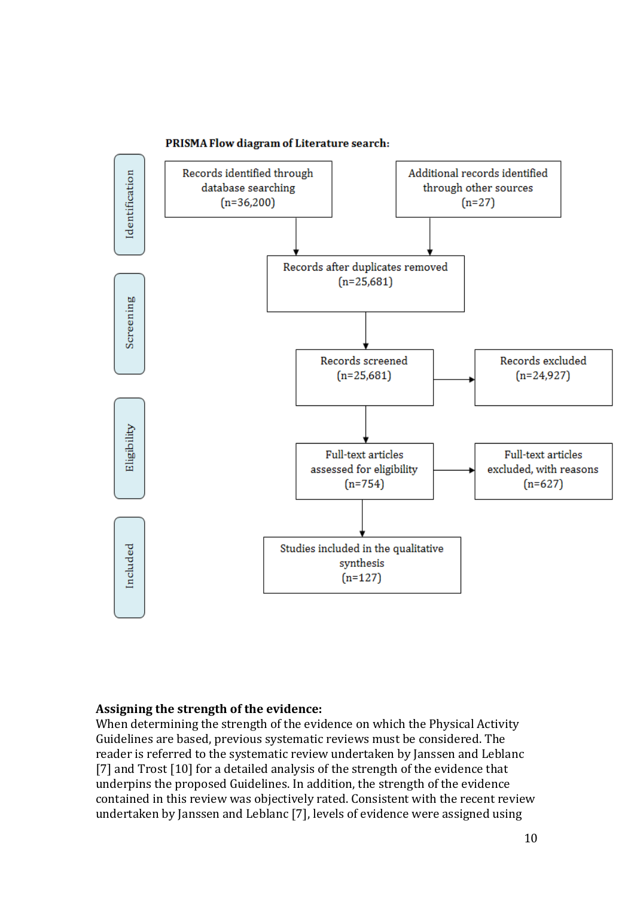

#### PRISMA Flow diagram of Literature search:

#### **Assigning the strength of the evidence:**

When determining the strength of the evidence on which the Physical Activity Guidelines are based, previous systematic reviews must be considered. The reader is referred to the systematic review undertaken by Janssen and Leblanc [7] and Trost [10] for a detailed analysis of the strength of the evidence that underpins the proposed Guidelines. In addition, the strength of the evidence contained in this review was objectively rated. Consistent with the recent review undertaken by Janssen and Leblanc [7], levels of evidence were assigned using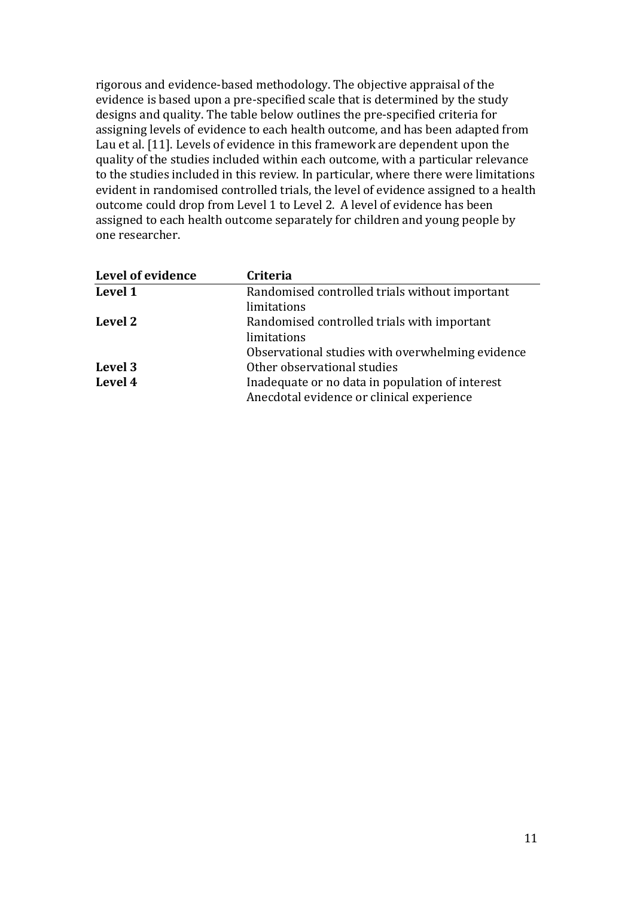rigorous and evidence-based methodology. The objective appraisal of the evidence is based upon a pre-specified scale that is determined by the study designs and quality. The table below outlines the pre-specified criteria for assigning levels of evidence to each health outcome, and has been adapted from Lau et al. [11]. Levels of evidence in this framework are dependent upon the quality of the studies included within each outcome, with a particular relevance to the studies included in this review. In particular, where there were limitations evident in randomised controlled trials, the level of evidence assigned to a health outcome could drop from Level 1 to Level 2. A level of evidence has been assigned to each health outcome separately for children and young people by one researcher.

| Level of evidence | Criteria                                         |
|-------------------|--------------------------------------------------|
| Level 1           | Randomised controlled trials without important   |
|                   | limitations                                      |
| Level 2           | Randomised controlled trials with important      |
|                   | limitations                                      |
|                   | Observational studies with overwhelming evidence |
| Level 3           | Other observational studies                      |
| Level 4           | Inadequate or no data in population of interest  |
|                   | Anecdotal evidence or clinical experience        |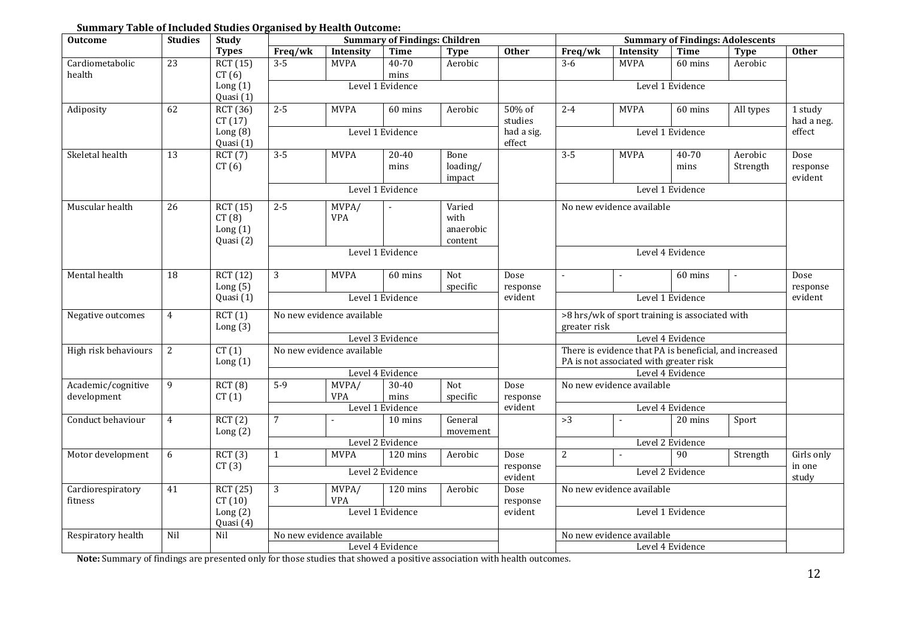| <b>Outcome</b>                    | <b>Studies</b> | Study                                    |                |                           | <b>Summary of Findings: Children</b> |                                        |                     |                                                                | <b>Summary of Findings: Adolescents</b>                                                          |                  |                     |                             |
|-----------------------------------|----------------|------------------------------------------|----------------|---------------------------|--------------------------------------|----------------------------------------|---------------------|----------------------------------------------------------------|--------------------------------------------------------------------------------------------------|------------------|---------------------|-----------------------------|
|                                   |                | <b>Types</b>                             | Freq/wk        | Intensity                 | <b>Time</b>                          | <b>Type</b>                            | <b>Other</b>        | Freq/wk                                                        | Intensity                                                                                        | Time             | <b>Type</b>         | <b>Other</b>                |
| Cardiometabolic                   | 23             | RCT (15)                                 | $3 - 5$        | <b>MVPA</b>               | $40 - 70$                            | Aerobic                                |                     | $3-6$                                                          | <b>MVPA</b>                                                                                      | 60 mins          | Aerobic             |                             |
| health                            |                | CT(6)                                    |                |                           | mins                                 |                                        |                     |                                                                |                                                                                                  |                  |                     |                             |
|                                   |                | Long(1)<br>Quasi (1)                     |                |                           | Level 1 Evidence                     |                                        |                     |                                                                |                                                                                                  | Level 1 Evidence |                     |                             |
| Adiposity                         | 62             | <b>RCT</b> (36)<br>CT(17)                | $2 - 5$        | <b>MVPA</b>               | 60 mins                              | Aerobic                                | 50% of<br>studies   | $2 - 4$                                                        | <b>MVPA</b>                                                                                      | 60 mins          | All types           | 1 study<br>had a neg.       |
|                                   |                | Long $(8)$                               |                |                           | Level 1 Evidence                     |                                        | had a sig.          |                                                                |                                                                                                  | Level 1 Evidence |                     | effect                      |
|                                   |                | Quasi (1)                                |                |                           |                                      |                                        | effect              |                                                                |                                                                                                  |                  |                     |                             |
| Skeletal health                   | 13             | RCT(7)<br>CT(6)                          | $3 - 5$        | <b>MVPA</b>               | 20-40<br>mins                        | Bone<br>loading/<br>impact             |                     | $3 - 5$                                                        | <b>MVPA</b>                                                                                      | 40-70<br>mins    | Aerobic<br>Strength | Dose<br>response<br>evident |
|                                   |                |                                          |                |                           | Level 1 Evidence                     |                                        |                     |                                                                |                                                                                                  | Level 1 Evidence |                     |                             |
| Muscular health                   | 26             | RCT(15)<br>CT(8)<br>Long(1)<br>Quasi (2) | $2 - 5$        | MVPA/<br>VPA              |                                      | Varied<br>with<br>anaerobic<br>content |                     |                                                                | No new evidence available                                                                        |                  |                     |                             |
|                                   |                |                                          |                |                           | Level 1 Evidence                     |                                        |                     |                                                                |                                                                                                  | Level 4 Evidence |                     |                             |
| Mental health                     | 18             | RCT(12)<br>Long $(5)$                    | 3              | <b>MVPA</b>               | 60 mins                              | Not<br>specific                        | Dose<br>response    |                                                                |                                                                                                  | 60 mins          |                     | Dose<br>response            |
|                                   |                | Quasi (1)                                |                |                           | Level 1 Evidence                     |                                        | evident             |                                                                |                                                                                                  | Level 1 Evidence |                     | evident                     |
| Negative outcomes                 | $\overline{4}$ | RCT(1)<br>Long(3)                        |                | No new evidence available |                                      |                                        |                     | >8 hrs/wk of sport training is associated with<br>greater risk |                                                                                                  |                  |                     |                             |
|                                   |                |                                          |                |                           | Level 3 Evidence                     |                                        |                     |                                                                |                                                                                                  | Level 4 Evidence |                     |                             |
| High risk behaviours              | $\overline{2}$ | CT(1)<br>Long(1)                         |                | No new evidence available |                                      |                                        |                     |                                                                | There is evidence that PA is beneficial, and increased<br>PA is not associated with greater risk |                  |                     |                             |
|                                   |                |                                          |                |                           | Level 4 Evidence                     |                                        |                     |                                                                |                                                                                                  | Level 4 Evidence |                     |                             |
| Academic/cognitive<br>development | 9              | RCT(8)<br>CT(1)                          | $5-9$          | MVPA/<br><b>VPA</b>       | $30 - 40$<br>mins                    | $\overline{\text{Not}}$<br>specific    | Dose<br>response    |                                                                | No new evidence available                                                                        |                  |                     |                             |
|                                   |                |                                          |                |                           | Level 1 Evidence                     |                                        | evident             |                                                                |                                                                                                  | Level 4 Evidence |                     |                             |
| Conduct behaviour                 | $\overline{4}$ | RCT(2)<br>Long(2)                        | $\overline{7}$ | ÷.                        | 10 mins                              | General<br>movement                    |                     | >3                                                             |                                                                                                  | 20 mins          | Sport               |                             |
|                                   |                |                                          |                |                           | Level 2 Evidence                     |                                        |                     |                                                                |                                                                                                  | Level 2 Evidence |                     |                             |
| Motor development                 | 6              | RCT(3)                                   | $\mathbf{1}$   | <b>MVPA</b>               | 120 mins                             | Aerobic                                | Dose                | $\overline{2}$                                                 |                                                                                                  | 90               | Strength            | Girls only                  |
|                                   |                | CT(3)                                    |                |                           | Level 2 Evidence                     |                                        | response<br>evident |                                                                |                                                                                                  | Level 2 Evidence |                     | in one<br>study             |
| Cardiorespiratory<br>fitness      | 41             | RCT (25)<br>CT(10)                       | 3              | MVPA/<br><b>VPA</b>       | 120 mins                             | Aerobic                                | Dose<br>response    |                                                                | No new evidence available                                                                        |                  |                     |                             |
|                                   |                | Long(2)<br>Quasi (4)                     |                |                           | Level 1 Evidence                     |                                        | evident             |                                                                |                                                                                                  | Level 1 Evidence |                     |                             |
| Respiratory health                | Nil            | Nil                                      |                | No new evidence available |                                      |                                        |                     |                                                                | No new evidence available                                                                        |                  |                     |                             |
|                                   |                |                                          |                |                           | Level 4 Evidence                     |                                        |                     |                                                                |                                                                                                  | Level 4 Evidence |                     |                             |

**Note:** Summary of findings are presented only for those studies that showed a positive association with health outcomes.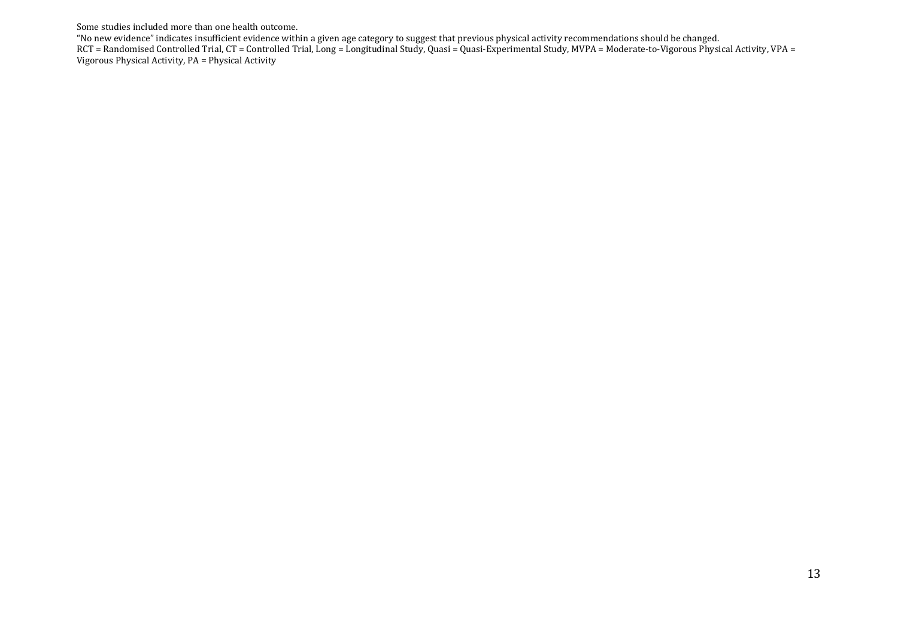#### Some studies included more than one health outcome.

"No new evidence" indicates insufficient evidence within a given age category to suggest that previous physical activity recommendations should be changed. RCT = Randomised Controlled Trial, CT = Controlled Trial, Long = Longitudinal Study, Quasi = Quasi-Experimental Study, MVPA = Moderate-to-Vigorous Physical Activity, VPA = Vigorous Physical Activity, PA = Physical Activity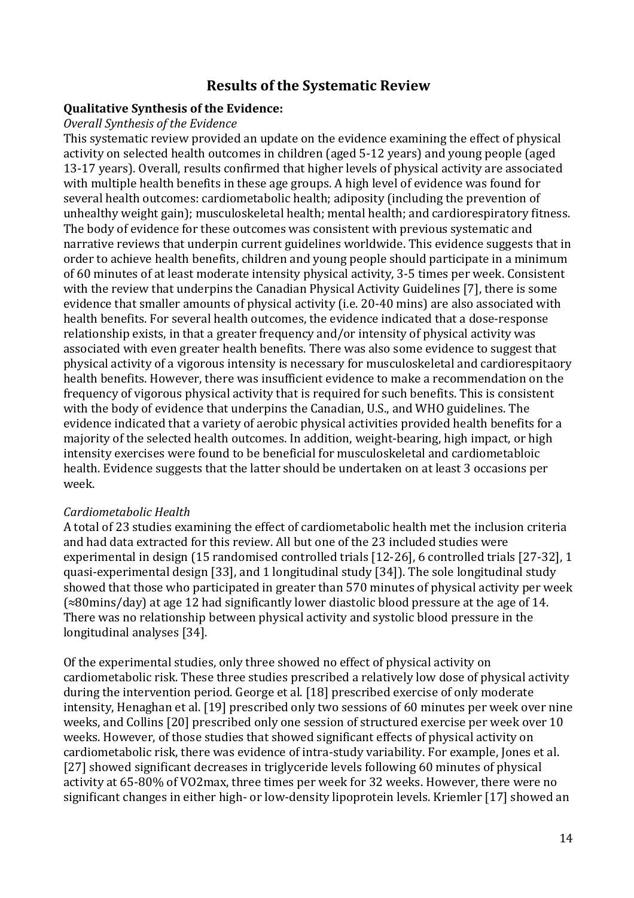# **Results of the Systematic Review**

### **Qualitative Synthesis of the Evidence:**

#### *Overall Synthesis of the Evidence*

This systematic review provided an update on the evidence examining the effect of physical activity on selected health outcomes in children (aged 5-12 years) and young people (aged 13-17 years). Overall, results confirmed that higher levels of physical activity are associated with multiple health benefits in these age groups. A high level of evidence was found for several health outcomes: cardiometabolic health; adiposity (including the prevention of unhealthy weight gain); musculoskeletal health; mental health; and cardiorespiratory fitness. The body of evidence for these outcomes was consistent with previous systematic and narrative reviews that underpin current guidelines worldwide. This evidence suggests that in order to achieve health benefits, children and young people should participate in a minimum of 60 minutes of at least moderate intensity physical activity, 3-5 times per week. Consistent with the review that underpins the Canadian Physical Activity Guidelines [7], there is some evidence that smaller amounts of physical activity (i.e. 20-40 mins) are also associated with health benefits. For several health outcomes, the evidence indicated that a dose-response relationship exists, in that a greater frequency and/or intensity of physical activity was associated with even greater health benefits. There was also some evidence to suggest that physical activity of a vigorous intensity is necessary for musculoskeletal and cardiorespitaory health benefits. However, there was insufficient evidence to make a recommendation on the frequency of vigorous physical activity that is required for such benefits. This is consistent with the body of evidence that underpins the Canadian, U.S., and WHO guidelines. The evidence indicated that a variety of aerobic physical activities provided health benefits for a majority of the selected health outcomes. In addition, weight-bearing, high impact, or high intensity exercises were found to be beneficial for musculoskeletal and cardiometabloic health. Evidence suggests that the latter should be undertaken on at least 3 occasions per week.

#### *Cardiometabolic Health*

A total of 23 studies examining the effect of cardiometabolic health met the inclusion criteria and had data extracted for this review. All but one of the 23 included studies were experimental in design (15 randomised controlled trials [12-26], 6 controlled trials [27-32], 1 quasi-experimental design [33], and 1 longitudinal study [34]). The sole longitudinal study showed that those who participated in greater than 570 minutes of physical activity per week (≈80mins/day) at age 12 had significantly lower diastolic blood pressure at the age of 14. There was no relationship between physical activity and systolic blood pressure in the longitudinal analyses [34].

Of the experimental studies, only three showed no effect of physical activity on cardiometabolic risk. These three studies prescribed a relatively low dose of physical activity during the intervention period. George et al. [18] prescribed exercise of only moderate intensity, Henaghan et al. [19] prescribed only two sessions of 60 minutes per week over nine weeks, and Collins [20] prescribed only one session of structured exercise per week over 10 weeks. However, of those studies that showed significant effects of physical activity on cardiometabolic risk, there was evidence of intra-study variability. For example, Jones et al. [27] showed significant decreases in triglyceride levels following 60 minutes of physical activity at 65-80% of VO2max, three times per week for 32 weeks. However, there were no significant changes in either high- or low-density lipoprotein levels. Kriemler [17] showed an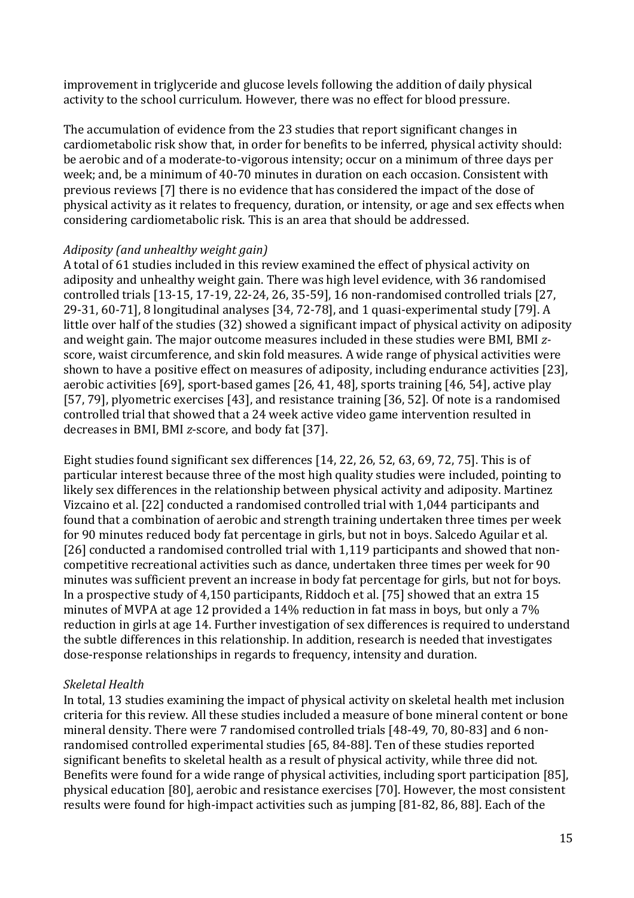improvement in triglyceride and glucose levels following the addition of daily physical activity to the school curriculum. However, there was no effect for blood pressure.

The accumulation of evidence from the 23 studies that report significant changes in cardiometabolic risk show that, in order for benefits to be inferred, physical activity should: be aerobic and of a moderate-to-vigorous intensity; occur on a minimum of three days per week; and, be a minimum of 40-70 minutes in duration on each occasion. Consistent with previous reviews [7] there is no evidence that has considered the impact of the dose of physical activity as it relates to frequency, duration, or intensity, or age and sex effects when considering cardiometabolic risk. This is an area that should be addressed.

## *Adiposity (and unhealthy weight gain)*

A total of 61 studies included in this review examined the effect of physical activity on adiposity and unhealthy weight gain. There was high level evidence, with 36 randomised controlled trials [13-15, 17-19, 22-24, 26, 35-59], 16 non-randomised controlled trials [27, 29-31, 60-71], 8 longitudinal analyses [34, 72-78], and 1 quasi-experimental study [79]. A little over half of the studies (32) showed a significant impact of physical activity on adiposity and weight gain. The major outcome measures included in these studies were BMI, BMI *z*score, waist circumference, and skin fold measures. A wide range of physical activities were shown to have a positive effect on measures of adiposity, including endurance activities [23], aerobic activities [69], sport-based games [26, 41, 48], sports training [46, 54], active play [57, 79], plyometric exercises [43], and resistance training [36, 52]. Of note is a randomised controlled trial that showed that a 24 week active video game intervention resulted in decreases in BMI, BMI *z*-score, and body fat [37].

Eight studies found significant sex differences [14, 22, 26, 52, 63, 69, 72, 75]. This is of particular interest because three of the most high quality studies were included, pointing to likely sex differences in the relationship between physical activity and adiposity. Martinez Vizcaino et al. [22] conducted a randomised controlled trial with 1,044 participants and found that a combination of aerobic and strength training undertaken three times per week for 90 minutes reduced body fat percentage in girls, but not in boys. Salcedo Aguilar et al. [26] conducted a randomised controlled trial with 1,119 participants and showed that noncompetitive recreational activities such as dance, undertaken three times per week for 90 minutes was sufficient prevent an increase in body fat percentage for girls, but not for boys. In a prospective study of 4,150 participants, Riddoch et al. [75] showed that an extra 15 minutes of MVPA at age 12 provided a 14% reduction in fat mass in boys, but only a 7% reduction in girls at age 14. Further investigation of sex differences is required to understand the subtle differences in this relationship. In addition, research is needed that investigates dose-response relationships in regards to frequency, intensity and duration.

#### *Skeletal Health*

In total, 13 studies examining the impact of physical activity on skeletal health met inclusion criteria for this review. All these studies included a measure of bone mineral content or bone mineral density. There were 7 randomised controlled trials [48-49, 70, 80-83] and 6 nonrandomised controlled experimental studies [65, 84-88]. Ten of these studies reported significant benefits to skeletal health as a result of physical activity, while three did not. Benefits were found for a wide range of physical activities, including sport participation [85], physical education [80], aerobic and resistance exercises [70]. However, the most consistent results were found for high-impact activities such as jumping [81-82, 86, 88]. Each of the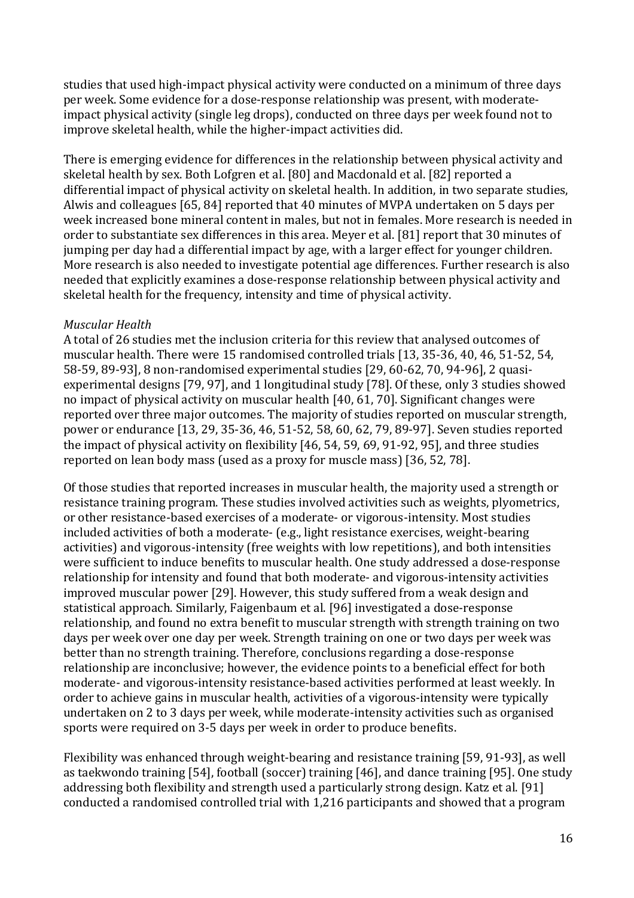studies that used high-impact physical activity were conducted on a minimum of three days per week. Some evidence for a dose-response relationship was present, with moderateimpact physical activity (single leg drops), conducted on three days per week found not to improve skeletal health, while the higher-impact activities did.

There is emerging evidence for differences in the relationship between physical activity and skeletal health by sex. Both Lofgren et al. [80] and Macdonald et al. [82] reported a differential impact of physical activity on skeletal health. In addition, in two separate studies, Alwis and colleagues [65, 84] reported that 40 minutes of MVPA undertaken on 5 days per week increased bone mineral content in males, but not in females. More research is needed in order to substantiate sex differences in this area. Meyer et al. [81] report that 30 minutes of jumping per day had a differential impact by age, with a larger effect for younger children. More research is also needed to investigate potential age differences. Further research is also needed that explicitly examines a dose-response relationship between physical activity and skeletal health for the frequency, intensity and time of physical activity.

## *Muscular Health*

A total of 26 studies met the inclusion criteria for this review that analysed outcomes of muscular health. There were 15 randomised controlled trials [13, 35-36, 40, 46, 51-52, 54, 58-59, 89-93], 8 non-randomised experimental studies [29, 60-62, 70, 94-96], 2 quasiexperimental designs [79, 97], and 1 longitudinal study [78]. Of these, only 3 studies showed no impact of physical activity on muscular health [40, 61, 70]. Significant changes were reported over three major outcomes. The majority of studies reported on muscular strength, power or endurance [13, 29, 35-36, 46, 51-52, 58, 60, 62, 79, 89-97]. Seven studies reported the impact of physical activity on flexibility [46, 54, 59, 69, 91-92, 95], and three studies reported on lean body mass (used as a proxy for muscle mass) [36, 52, 78].

Of those studies that reported increases in muscular health, the majority used a strength or resistance training program. These studies involved activities such as weights, plyometrics, or other resistance-based exercises of a moderate- or vigorous-intensity. Most studies included activities of both a moderate- (e.g., light resistance exercises, weight-bearing activities) and vigorous-intensity (free weights with low repetitions), and both intensities were sufficient to induce benefits to muscular health. One study addressed a dose-response relationship for intensity and found that both moderate- and vigorous-intensity activities improved muscular power [29]. However, this study suffered from a weak design and statistical approach. Similarly, Faigenbaum et al. [96] investigated a dose-response relationship, and found no extra benefit to muscular strength with strength training on two days per week over one day per week. Strength training on one or two days per week was better than no strength training. Therefore, conclusions regarding a dose-response relationship are inconclusive; however, the evidence points to a beneficial effect for both moderate- and vigorous-intensity resistance-based activities performed at least weekly. In order to achieve gains in muscular health, activities of a vigorous-intensity were typically undertaken on 2 to 3 days per week, while moderate-intensity activities such as organised sports were required on 3-5 days per week in order to produce benefits.

Flexibility was enhanced through weight-bearing and resistance training [59, 91-93], as well as taekwondo training [54], football (soccer) training [46], and dance training [95]. One study addressing both flexibility and strength used a particularly strong design. Katz et al. [91] conducted a randomised controlled trial with 1,216 participants and showed that a program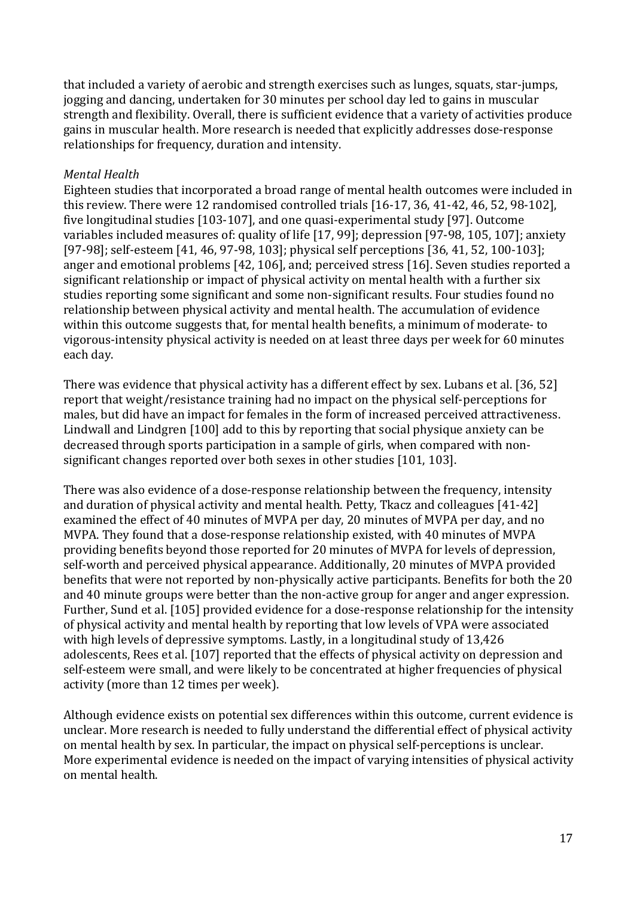that included a variety of aerobic and strength exercises such as lunges, squats, star-jumps, jogging and dancing, undertaken for 30 minutes per school day led to gains in muscular strength and flexibility. Overall, there is sufficient evidence that a variety of activities produce gains in muscular health. More research is needed that explicitly addresses dose-response relationships for frequency, duration and intensity.

#### *Mental Health*

Eighteen studies that incorporated a broad range of mental health outcomes were included in this review. There were 12 randomised controlled trials [16-17, 36, 41-42, 46, 52, 98-102], five longitudinal studies [103-107], and one quasi-experimental study [97]. Outcome variables included measures of: quality of life [17, 99]; depression [97-98, 105, 107]; anxiety [97-98]; self-esteem [41, 46, 97-98, 103]; physical self perceptions [36, 41, 52, 100-103]; anger and emotional problems [42, 106], and; perceived stress [16]. Seven studies reported a significant relationship or impact of physical activity on mental health with a further six studies reporting some significant and some non-significant results. Four studies found no relationship between physical activity and mental health. The accumulation of evidence within this outcome suggests that, for mental health benefits, a minimum of moderate- to vigorous-intensity physical activity is needed on at least three days per week for 60 minutes each day.

There was evidence that physical activity has a different effect by sex. Lubans et al. [36, 52] report that weight/resistance training had no impact on the physical self-perceptions for males, but did have an impact for females in the form of increased perceived attractiveness. Lindwall and Lindgren [100] add to this by reporting that social physique anxiety can be decreased through sports participation in a sample of girls, when compared with nonsignificant changes reported over both sexes in other studies [101, 103].

There was also evidence of a dose-response relationship between the frequency, intensity and duration of physical activity and mental health. Petty, Tkacz and colleagues [41-42] examined the effect of 40 minutes of MVPA per day, 20 minutes of MVPA per day, and no MVPA. They found that a dose-response relationship existed, with 40 minutes of MVPA providing benefits beyond those reported for 20 minutes of MVPA for levels of depression, self-worth and perceived physical appearance. Additionally, 20 minutes of MVPA provided benefits that were not reported by non-physically active participants. Benefits for both the 20 and 40 minute groups were better than the non-active group for anger and anger expression. Further, Sund et al. [105] provided evidence for a dose-response relationship for the intensity of physical activity and mental health by reporting that low levels of VPA were associated with high levels of depressive symptoms. Lastly, in a longitudinal study of 13,426 adolescents, Rees et al. [107] reported that the effects of physical activity on depression and self-esteem were small, and were likely to be concentrated at higher frequencies of physical activity (more than 12 times per week).

Although evidence exists on potential sex differences within this outcome, current evidence is unclear. More research is needed to fully understand the differential effect of physical activity on mental health by sex. In particular, the impact on physical self-perceptions is unclear. More experimental evidence is needed on the impact of varying intensities of physical activity on mental health.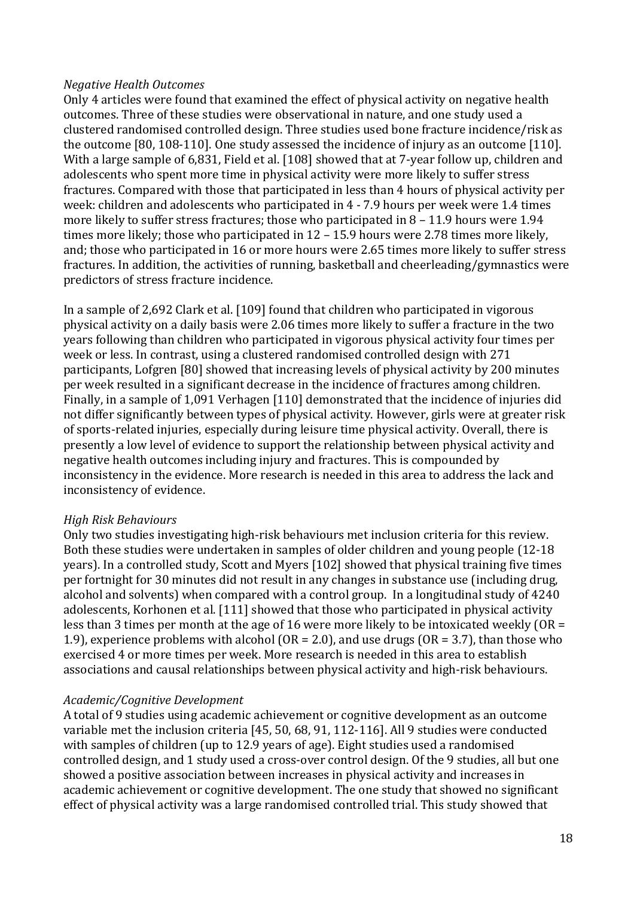#### *Negative Health Outcomes*

Only 4 articles were found that examined the effect of physical activity on negative health outcomes. Three of these studies were observational in nature, and one study used a clustered randomised controlled design. Three studies used bone fracture incidence/risk as the outcome [80, 108-110]. One study assessed the incidence of injury as an outcome [110]. With a large sample of 6,831, Field et al. [108] showed that at 7-year follow up, children and adolescents who spent more time in physical activity were more likely to suffer stress fractures. Compared with those that participated in less than 4 hours of physical activity per week: children and adolescents who participated in 4 - 7.9 hours per week were 1.4 times more likely to suffer stress fractures; those who participated in 8 – 11.9 hours were 1.94 times more likely; those who participated in 12 – 15.9 hours were 2.78 times more likely, and; those who participated in 16 or more hours were 2.65 times more likely to suffer stress fractures. In addition, the activities of running, basketball and cheerleading/gymnastics were predictors of stress fracture incidence.

In a sample of 2,692 Clark et al. [109] found that children who participated in vigorous physical activity on a daily basis were 2.06 times more likely to suffer a fracture in the two years following than children who participated in vigorous physical activity four times per week or less. In contrast, using a clustered randomised controlled design with 271 participants, Lofgren [80] showed that increasing levels of physical activity by 200 minutes per week resulted in a significant decrease in the incidence of fractures among children. Finally, in a sample of 1,091 Verhagen [110] demonstrated that the incidence of injuries did not differ significantly between types of physical activity. However, girls were at greater risk of sports-related injuries, especially during leisure time physical activity. Overall, there is presently a low level of evidence to support the relationship between physical activity and negative health outcomes including injury and fractures. This is compounded by inconsistency in the evidence. More research is needed in this area to address the lack and inconsistency of evidence.

#### *High Risk Behaviours*

Only two studies investigating high-risk behaviours met inclusion criteria for this review. Both these studies were undertaken in samples of older children and young people (12-18 years). In a controlled study, Scott and Myers [102] showed that physical training five times per fortnight for 30 minutes did not result in any changes in substance use (including drug, alcohol and solvents) when compared with a control group. In a longitudinal study of 4240 adolescents, Korhonen et al. [111] showed that those who participated in physical activity less than 3 times per month at the age of 16 were more likely to be intoxicated weekly (OR = 1.9), experience problems with alcohol ( $OR = 2.0$ ), and use drugs ( $OR = 3.7$ ), than those who exercised 4 or more times per week. More research is needed in this area to establish associations and causal relationships between physical activity and high-risk behaviours.

#### *Academic/Cognitive Development*

A total of 9 studies using academic achievement or cognitive development as an outcome variable met the inclusion criteria [45, 50, 68, 91, 112-116]. All 9 studies were conducted with samples of children (up to 12.9 years of age). Eight studies used a randomised controlled design, and 1 study used a cross-over control design. Of the 9 studies, all but one showed a positive association between increases in physical activity and increases in academic achievement or cognitive development. The one study that showed no significant effect of physical activity was a large randomised controlled trial. This study showed that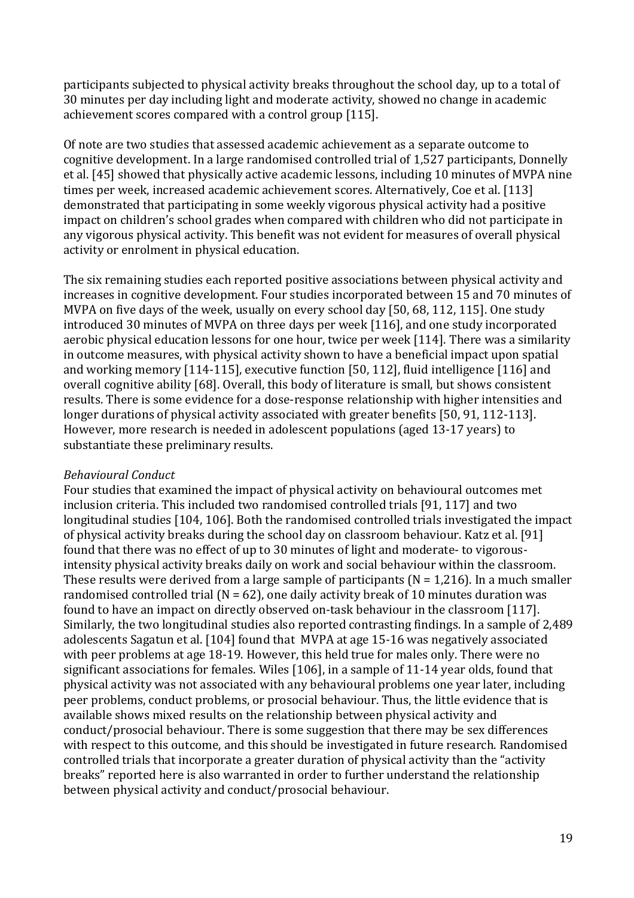participants subjected to physical activity breaks throughout the school day, up to a total of 30 minutes per day including light and moderate activity, showed no change in academic achievement scores compared with a control group [115].

Of note are two studies that assessed academic achievement as a separate outcome to cognitive development. In a large randomised controlled trial of 1,527 participants, Donnelly et al. [45] showed that physically active academic lessons, including 10 minutes of MVPA nine times per week, increased academic achievement scores. Alternatively, Coe et al. [113] demonstrated that participating in some weekly vigorous physical activity had a positive impact on children's school grades when compared with children who did not participate in any vigorous physical activity. This benefit was not evident for measures of overall physical activity or enrolment in physical education.

The six remaining studies each reported positive associations between physical activity and increases in cognitive development. Four studies incorporated between 15 and 70 minutes of MVPA on five days of the week, usually on every school day [50, 68, 112, 115]. One study introduced 30 minutes of MVPA on three days per week [116], and one study incorporated aerobic physical education lessons for one hour, twice per week [114]. There was a similarity in outcome measures, with physical activity shown to have a beneficial impact upon spatial and working memory [114-115], executive function [50, 112], fluid intelligence [116] and overall cognitive ability [68]. Overall, this body of literature is small, but shows consistent results. There is some evidence for a dose-response relationship with higher intensities and longer durations of physical activity associated with greater benefits [50, 91, 112-113]. However, more research is needed in adolescent populations (aged 13-17 years) to substantiate these preliminary results.

#### *Behavioural Conduct*

Four studies that examined the impact of physical activity on behavioural outcomes met inclusion criteria. This included two randomised controlled trials [91, 117] and two longitudinal studies [104, 106]. Both the randomised controlled trials investigated the impact of physical activity breaks during the school day on classroom behaviour. Katz et al. [91] found that there was no effect of up to 30 minutes of light and moderate- to vigorousintensity physical activity breaks daily on work and social behaviour within the classroom. These results were derived from a large sample of participants ( $N = 1,216$ ). In a much smaller randomised controlled trial ( $N = 62$ ), one daily activity break of 10 minutes duration was found to have an impact on directly observed on-task behaviour in the classroom [117]. Similarly, the two longitudinal studies also reported contrasting findings. In a sample of 2,489 adolescents Sagatun et al. [104] found that MVPA at age 15-16 was negatively associated with peer problems at age 18-19. However, this held true for males only. There were no significant associations for females. Wiles [106], in a sample of 11-14 year olds, found that physical activity was not associated with any behavioural problems one year later, including peer problems, conduct problems, or prosocial behaviour. Thus, the little evidence that is available shows mixed results on the relationship between physical activity and conduct/prosocial behaviour. There is some suggestion that there may be sex differences with respect to this outcome, and this should be investigated in future research. Randomised controlled trials that incorporate a greater duration of physical activity than the "activity breaks" reported here is also warranted in order to further understand the relationship between physical activity and conduct/prosocial behaviour.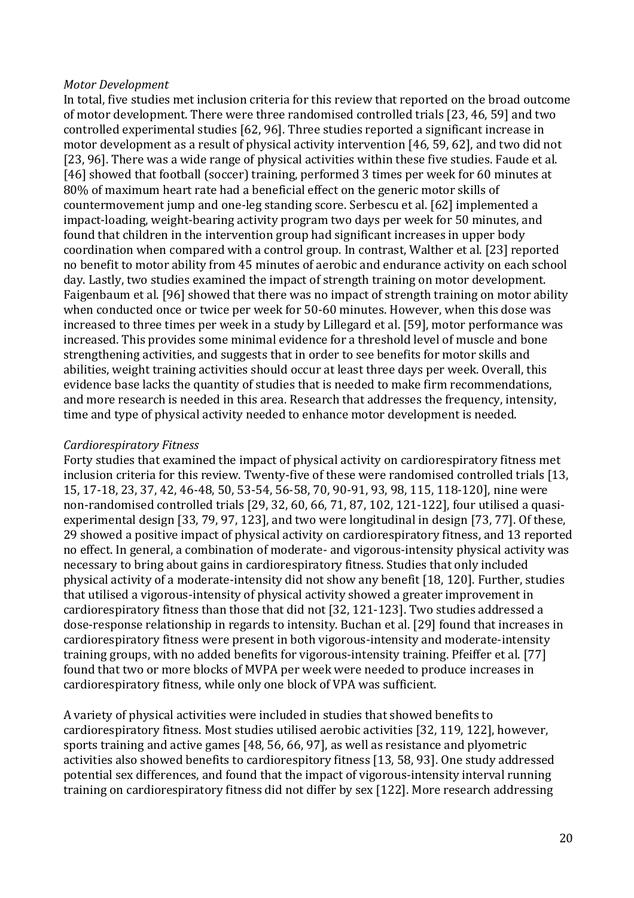#### *Motor Development*

In total, five studies met inclusion criteria for this review that reported on the broad outcome of motor development. There were three randomised controlled trials [23, 46, 59] and two controlled experimental studies [62, 96]. Three studies reported a significant increase in motor development as a result of physical activity intervention [46, 59, 62], and two did not [23, 96]. There was a wide range of physical activities within these five studies. Faude et al. [46] showed that football (soccer) training, performed 3 times per week for 60 minutes at 80% of maximum heart rate had a beneficial effect on the generic motor skills of countermovement jump and one-leg standing score. Serbescu et al. [62] implemented a impact-loading, weight-bearing activity program two days per week for 50 minutes, and found that children in the intervention group had significant increases in upper body coordination when compared with a control group. In contrast, Walther et al. [23] reported no benefit to motor ability from 45 minutes of aerobic and endurance activity on each school day. Lastly, two studies examined the impact of strength training on motor development. Faigenbaum et al. [96] showed that there was no impact of strength training on motor ability when conducted once or twice per week for 50-60 minutes. However, when this dose was increased to three times per week in a study by Lillegard et al. [59], motor performance was increased. This provides some minimal evidence for a threshold level of muscle and bone strengthening activities, and suggests that in order to see benefits for motor skills and abilities, weight training activities should occur at least three days per week. Overall, this evidence base lacks the quantity of studies that is needed to make firm recommendations, and more research is needed in this area. Research that addresses the frequency, intensity, time and type of physical activity needed to enhance motor development is needed.

### *Cardiorespiratory Fitness*

Forty studies that examined the impact of physical activity on cardiorespiratory fitness met inclusion criteria for this review. Twenty-five of these were randomised controlled trials [13, 15, 17-18, 23, 37, 42, 46-48, 50, 53-54, 56-58, 70, 90-91, 93, 98, 115, 118-120], nine were non-randomised controlled trials [29, 32, 60, 66, 71, 87, 102, 121-122], four utilised a quasiexperimental design [33, 79, 97, 123], and two were longitudinal in design [73, 77]. Of these, 29 showed a positive impact of physical activity on cardiorespiratory fitness, and 13 reported no effect. In general, a combination of moderate- and vigorous-intensity physical activity was necessary to bring about gains in cardiorespiratory fitness. Studies that only included physical activity of a moderate-intensity did not show any benefit [18, 120]. Further, studies that utilised a vigorous-intensity of physical activity showed a greater improvement in cardiorespiratory fitness than those that did not [32, 121-123]. Two studies addressed a dose-response relationship in regards to intensity. Buchan et al. [29] found that increases in cardiorespiratory fitness were present in both vigorous-intensity and moderate-intensity training groups, with no added benefits for vigorous-intensity training. Pfeiffer et al. [77] found that two or more blocks of MVPA per week were needed to produce increases in cardiorespiratory fitness, while only one block of VPA was sufficient.

A variety of physical activities were included in studies that showed benefits to cardiorespiratory fitness. Most studies utilised aerobic activities [32, 119, 122], however, sports training and active games [48, 56, 66, 97], as well as resistance and plyometric activities also showed benefits to cardiorespitory fitness [13, 58, 93]. One study addressed potential sex differences, and found that the impact of vigorous-intensity interval running training on cardiorespiratory fitness did not differ by sex [122]. More research addressing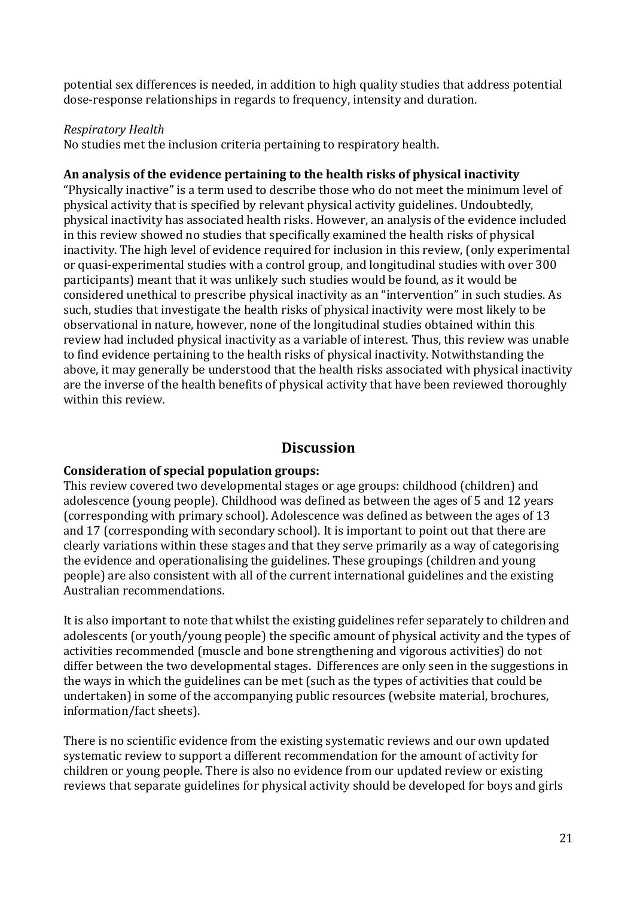potential sex differences is needed, in addition to high quality studies that address potential dose-response relationships in regards to frequency, intensity and duration.

## *Respiratory Health*

No studies met the inclusion criteria pertaining to respiratory health.

#### **An analysis of the evidence pertaining to the health risks of physical inactivity**

"Physically inactive" is a term used to describe those who do not meet the minimum level of physical activity that is specified by relevant physical activity guidelines. Undoubtedly, physical inactivity has associated health risks. However, an analysis of the evidence included in this review showed no studies that specifically examined the health risks of physical inactivity. The high level of evidence required for inclusion in this review, (only experimental or quasi-experimental studies with a control group, and longitudinal studies with over 300 participants) meant that it was unlikely such studies would be found, as it would be considered unethical to prescribe physical inactivity as an "intervention" in such studies. As such, studies that investigate the health risks of physical inactivity were most likely to be observational in nature, however, none of the longitudinal studies obtained within this review had included physical inactivity as a variable of interest. Thus, this review was unable to find evidence pertaining to the health risks of physical inactivity. Notwithstanding the above, it may generally be understood that the health risks associated with physical inactivity are the inverse of the health benefits of physical activity that have been reviewed thoroughly within this review.

# **Discussion**

#### **Consideration of special population groups:**

This review covered two developmental stages or age groups: childhood (children) and adolescence (young people). Childhood was defined as between the ages of 5 and 12 years (corresponding with primary school). Adolescence was defined as between the ages of 13 and 17 (corresponding with secondary school). It is important to point out that there are clearly variations within these stages and that they serve primarily as a way of categorising the evidence and operationalising the guidelines. These groupings (children and young people) are also consistent with all of the current international guidelines and the existing Australian recommendations.

It is also important to note that whilst the existing guidelines refer separately to children and adolescents (or youth/young people) the specific amount of physical activity and the types of activities recommended (muscle and bone strengthening and vigorous activities) do not differ between the two developmental stages. Differences are only seen in the suggestions in the ways in which the guidelines can be met (such as the types of activities that could be undertaken) in some of the accompanying public resources (website material, brochures, information/fact sheets).

There is no scientific evidence from the existing systematic reviews and our own updated systematic review to support a different recommendation for the amount of activity for children or young people. There is also no evidence from our updated review or existing reviews that separate guidelines for physical activity should be developed for boys and girls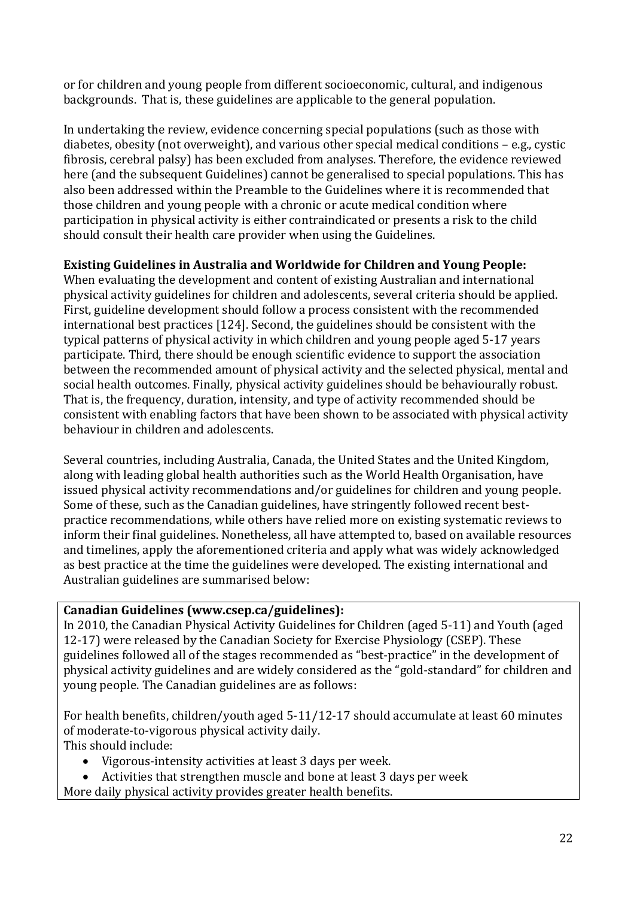or for children and young people from different socioeconomic, cultural, and indigenous backgrounds. That is, these guidelines are applicable to the general population.

In undertaking the review, evidence concerning special populations (such as those with diabetes, obesity (not overweight), and various other special medical conditions – e.g., cystic fibrosis, cerebral palsy) has been excluded from analyses. Therefore, the evidence reviewed here (and the subsequent Guidelines) cannot be generalised to special populations. This has also been addressed within the Preamble to the Guidelines where it is recommended that those children and young people with a chronic or acute medical condition where participation in physical activity is either contraindicated or presents a risk to the child should consult their health care provider when using the Guidelines.

# **Existing Guidelines in Australia and Worldwide for Children and Young People:**

When evaluating the development and content of existing Australian and international physical activity guidelines for children and adolescents, several criteria should be applied. First, guideline development should follow a process consistent with the recommended international best practices [124]. Second, the guidelines should be consistent with the typical patterns of physical activity in which children and young people aged 5-17 years participate. Third, there should be enough scientific evidence to support the association between the recommended amount of physical activity and the selected physical, mental and social health outcomes. Finally, physical activity guidelines should be behaviourally robust. That is, the frequency, duration, intensity, and type of activity recommended should be consistent with enabling factors that have been shown to be associated with physical activity behaviour in children and adolescents.

Several countries, including Australia, Canada, the United States and the United Kingdom, along with leading global health authorities such as the World Health Organisation, have issued physical activity recommendations and/or guidelines for children and young people. Some of these, such as the Canadian guidelines, have stringently followed recent bestpractice recommendations, while others have relied more on existing systematic reviews to inform their final guidelines. Nonetheless, all have attempted to, based on available resources and timelines, apply the aforementioned criteria and apply what was widely acknowledged as best practice at the time the guidelines were developed. The existing international and Australian guidelines are summarised below:

# **Canadian Guidelines (www.csep.ca/guidelines):**

In 2010, the Canadian Physical Activity Guidelines for Children (aged 5-11) and Youth (aged 12-17) were released by the Canadian Society for Exercise Physiology (CSEP). These guidelines followed all of the stages recommended as "best-practice" in the development of physical activity guidelines and are widely considered as the "gold-standard" for children and young people. The Canadian guidelines are as follows:

For health benefits, children/youth aged 5-11/12-17 should accumulate at least 60 minutes of moderate-to-vigorous physical activity daily. This should include:

- Vigorous-intensity activities at least 3 days per week.
- Activities that strengthen muscle and bone at least 3 days per week
- More daily physical activity provides greater health benefits.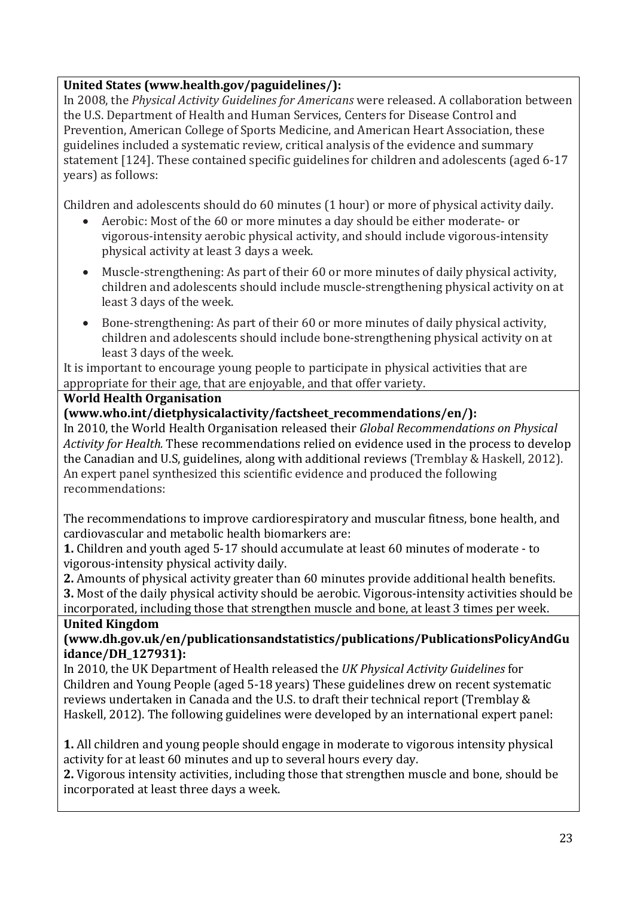# **United States (www.health.gov/paguidelines/):**

In 2008, the *Physical Activity Guidelines for Americans* were released. A collaboration between the U.S. Department of Health and Human Services, Centers for Disease Control and Prevention, American College of Sports Medicine, and American Heart Association, these guidelines included a systematic review, critical analysis of the evidence and summary statement [124]. These contained specific guidelines for children and adolescents (aged 6-17 years) as follows:

Children and adolescents should do 60 minutes (1 hour) or more of physical activity daily.

- Aerobic: Most of the 60 or more minutes a day should be either moderate- or vigorous-intensity aerobic physical activity, and should include vigorous-intensity physical activity at least 3 days a week.
- Muscle-strengthening: As part of their 60 or more minutes of daily physical activity, children and adolescents should include muscle-strengthening physical activity on at least 3 days of the week.
- Bone-strengthening: As part of their 60 or more minutes of daily physical activity, children and adolescents should include bone-strengthening physical activity on at least 3 days of the week.

It is important to encourage young people to participate in physical activities that are appropriate for their age, that are enjoyable, and that offer variety.

# **World Health Organisation**

# **(www.who.int/dietphysicalactivity/factsheet\_recommendations/en/):**

In 2010, the World Health Organisation released their *Global Recommendations on Physical Activity for Health.* These recommendations relied on evidence used in the process to develop the Canadian and U.S, guidelines, along with additional reviews (Tremblay & Haskell, 2012). An expert panel synthesized this scientific evidence and produced the following recommendations:

The recommendations to improve cardiorespiratory and muscular fitness, bone health, and cardiovascular and metabolic health biomarkers are:

**1.** Children and youth aged 5-17 should accumulate at least 60 minutes of moderate - to vigorous-intensity physical activity daily.

**2.** Amounts of physical activity greater than 60 minutes provide additional health benefits. **3.** Most of the daily physical activity should be aerobic. Vigorous-intensity activities should be incorporated, including those that strengthen muscle and bone, at least 3 times per week.

# **United Kingdom**

# **(www.dh.gov.uk/en/publicationsandstatistics/publications/PublicationsPolicyAndGu idance/DH\_127931):**

In 2010, the UK Department of Health released the *UK Physical Activity Guidelines* for Children and Young People (aged 5-18 years) These guidelines drew on recent systematic reviews undertaken in Canada and the U.S. to draft their technical report (Tremblay & Haskell, 2012). The following guidelines were developed by an international expert panel:

**1.** All children and young people should engage in moderate to vigorous intensity physical activity for at least 60 minutes and up to several hours every day.

**2.** Vigorous intensity activities, including those that strengthen muscle and bone, should be incorporated at least three days a week.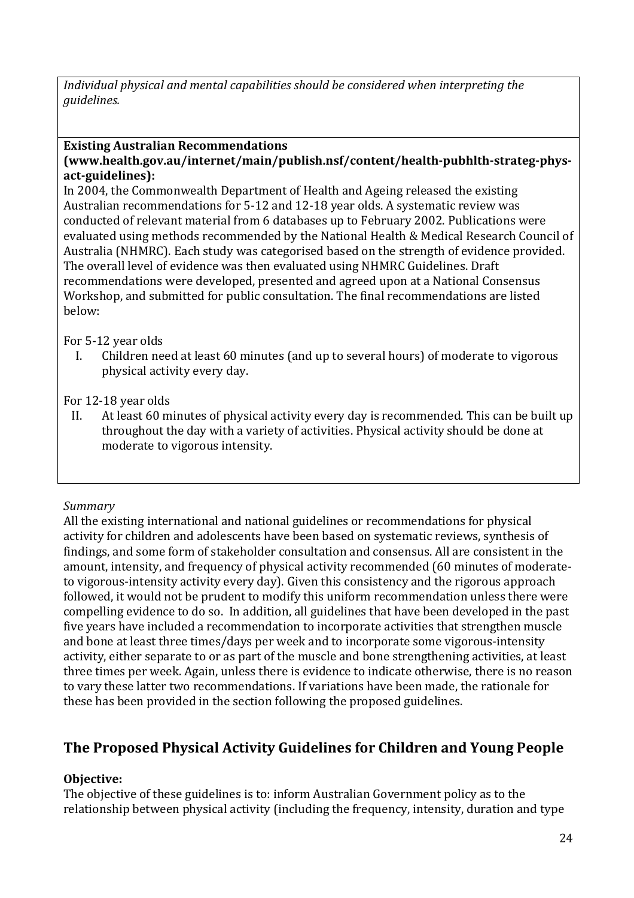*Individual physical and mental capabilities should be considered when interpreting the guidelines.*

# **Existing Australian Recommendations**

### **(www.health.gov.au/internet/main/publish.nsf/content/health-pubhlth-strateg-physact-guidelines):**

In 2004, the Commonwealth Department of Health and Ageing released the existing Australian recommendations for 5-12 and 12-18 year olds. A systematic review was conducted of relevant material from 6 databases up to February 2002. Publications were evaluated using methods recommended by the National Health & Medical Research Council of Australia (NHMRC). Each study was categorised based on the strength of evidence provided. The overall level of evidence was then evaluated using NHMRC Guidelines. Draft recommendations were developed, presented and agreed upon at a National Consensus Workshop, and submitted for public consultation. The final recommendations are listed below:

For 5-12 year olds<br>I. Children ne

Children need at least 60 minutes (and up to several hours) of moderate to vigorous physical activity every day.

For 12-18 year olds<br>II. At least 60 m

At least 60 minutes of physical activity every day is recommended. This can be built up throughout the day with a variety of activities. Physical activity should be done at moderate to vigorous intensity.

# *Summary*

All the existing international and national guidelines or recommendations for physical activity for children and adolescents have been based on systematic reviews, synthesis of findings, and some form of stakeholder consultation and consensus. All are consistent in the amount, intensity, and frequency of physical activity recommended (60 minutes of moderateto vigorous-intensity activity every day). Given this consistency and the rigorous approach followed, it would not be prudent to modify this uniform recommendation unless there were compelling evidence to do so. In addition, all guidelines that have been developed in the past five years have included a recommendation to incorporate activities that strengthen muscle and bone at least three times/days per week and to incorporate some vigorous-intensity activity, either separate to or as part of the muscle and bone strengthening activities, at least three times per week. Again, unless there is evidence to indicate otherwise, there is no reason to vary these latter two recommendations. If variations have been made, the rationale for these has been provided in the section following the proposed guidelines.

# **The Proposed Physical Activity Guidelines for Children and Young People**

# **Objective:**

The objective of these guidelines is to: inform Australian Government policy as to the relationship between physical activity (including the frequency, intensity, duration and type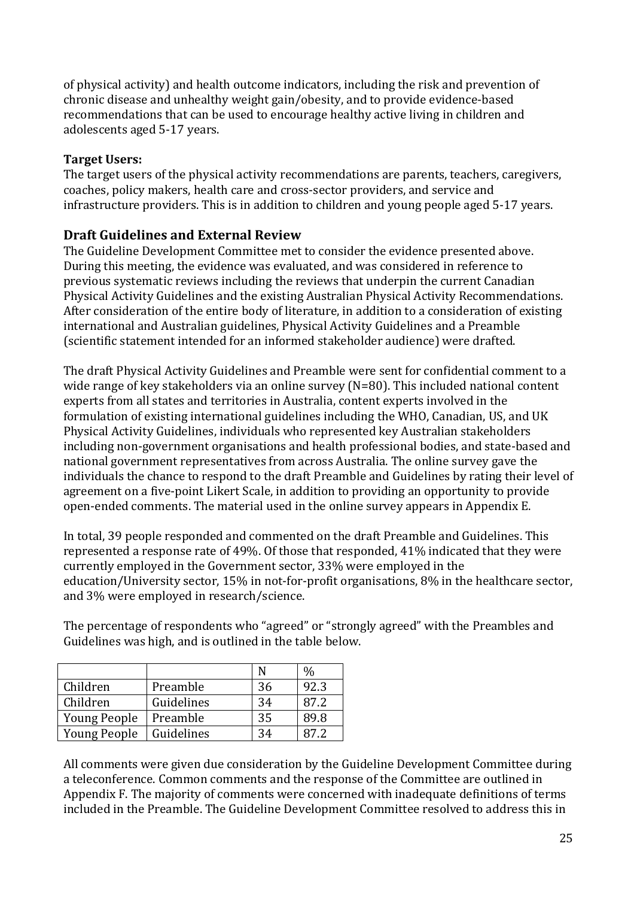of physical activity) and health outcome indicators, including the risk and prevention of chronic disease and unhealthy weight gain/obesity, and to provide evidence-based recommendations that can be used to encourage healthy active living in children and adolescents aged 5-17 years.

## **Target Users:**

The target users of the physical activity recommendations are parents, teachers, caregivers, coaches, policy makers, health care and cross-sector providers, and service and infrastructure providers. This is in addition to children and young people aged 5-17 years.

# **Draft Guidelines and External Review**

The Guideline Development Committee met to consider the evidence presented above. During this meeting, the evidence was evaluated, and was considered in reference to previous systematic reviews including the reviews that underpin the current Canadian Physical Activity Guidelines and the existing Australian Physical Activity Recommendations. After consideration of the entire body of literature, in addition to a consideration of existing international and Australian guidelines, Physical Activity Guidelines and a Preamble (scientific statement intended for an informed stakeholder audience) were drafted.

The draft Physical Activity Guidelines and Preamble were sent for confidential comment to a wide range of key stakeholders via an online survey (N=80). This included national content experts from all states and territories in Australia, content experts involved in the formulation of existing international guidelines including the WHO, Canadian, US, and UK Physical Activity Guidelines, individuals who represented key Australian stakeholders including non-government organisations and health professional bodies, and state-based and national government representatives from across Australia. The online survey gave the individuals the chance to respond to the draft Preamble and Guidelines by rating their level of agreement on a five-point Likert Scale, in addition to providing an opportunity to provide open-ended comments. The material used in the online survey appears in Appendix E.

In total, 39 people responded and commented on the draft Preamble and Guidelines. This represented a response rate of 49%. Of those that responded, 41% indicated that they were currently employed in the Government sector, 33% were employed in the education/University sector, 15% in not-for-profit organisations, 8% in the healthcare sector, and 3% were employed in research/science.

The percentage of respondents who "agreed" or "strongly agreed" with the Preambles and Guidelines was high, and is outlined in the table below.

|                     |            | N  |      |
|---------------------|------------|----|------|
| Children            | Preamble   | 36 | 92.3 |
| Children            | Guidelines | 34 | 87.2 |
| <b>Young People</b> | Preamble   | 35 | 89.8 |
| Young People        | Guidelines | 34 | 87.2 |

All comments were given due consideration by the Guideline Development Committee during a teleconference. Common comments and the response of the Committee are outlined in Appendix F. The majority of comments were concerned with inadequate definitions of terms included in the Preamble. The Guideline Development Committee resolved to address this in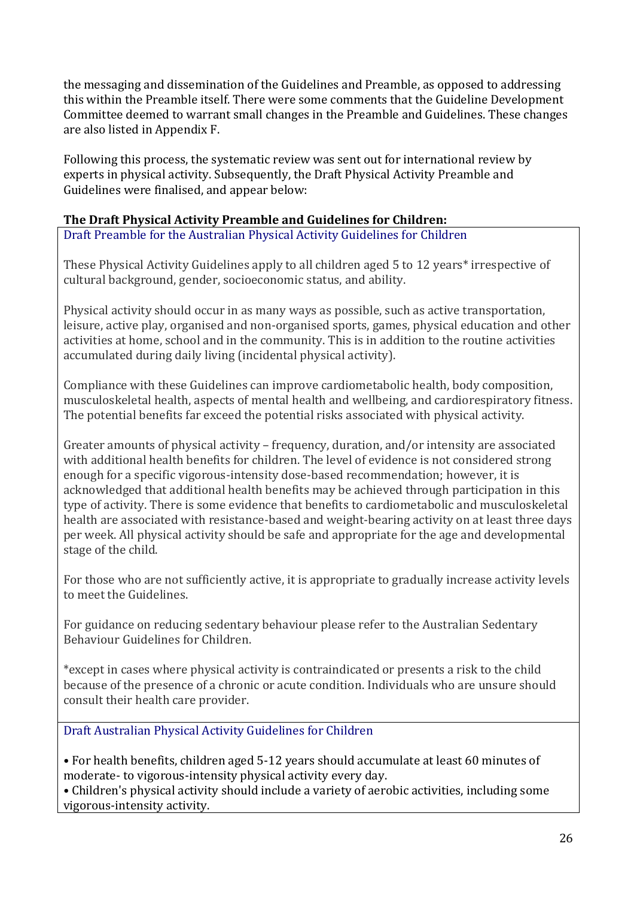the messaging and dissemination of the Guidelines and Preamble, as opposed to addressing this within the Preamble itself. There were some comments that the Guideline Development Committee deemed to warrant small changes in the Preamble and Guidelines. These changes are also listed in Appendix F.

Following this process, the systematic review was sent out for international review by experts in physical activity. Subsequently, the Draft Physical Activity Preamble and Guidelines were finalised, and appear below:

## **The Draft Physical Activity Preamble and Guidelines for Children:**

Draft Preamble for the Australian Physical Activity Guidelines for Children

These Physical Activity Guidelines apply to all children aged 5 to 12 years\* irrespective of cultural background, gender, socioeconomic status, and ability.

Physical activity should occur in as many ways as possible, such as active transportation, leisure, active play, organised and non-organised sports, games, physical education and other activities at home, school and in the community. This is in addition to the routine activities accumulated during daily living (incidental physical activity).

Compliance with these Guidelines can improve cardiometabolic health, body composition, musculoskeletal health, aspects of mental health and wellbeing, and cardiorespiratory fitness. The potential benefits far exceed the potential risks associated with physical activity.

Greater amounts of physical activity – frequency, duration, and/or intensity are associated with additional health benefits for children. The level of evidence is not considered strong enough for a specific vigorous-intensity dose-based recommendation; however, it is acknowledged that additional health benefits may be achieved through participation in this type of activity. There is some evidence that benefits to cardiometabolic and musculoskeletal health are associated with resistance-based and weight-bearing activity on at least three days per week. All physical activity should be safe and appropriate for the age and developmental stage of the child.

For those who are not sufficiently active, it is appropriate to gradually increase activity levels to meet the Guidelines.

For guidance on reducing sedentary behaviour please refer to the Australian Sedentary Behaviour Guidelines for Children.

\*except in cases where physical activity is contraindicated or presents a risk to the child because of the presence of a chronic or acute condition. Individuals who are unsure should consult their health care provider.

Draft Australian Physical Activity Guidelines for Children

• For health benefits, children aged 5-12 years should accumulate at least 60 minutes of moderate- to vigorous-intensity physical activity every day.

• Children's physical activity should include a variety of aerobic activities, including some vigorous-intensity activity.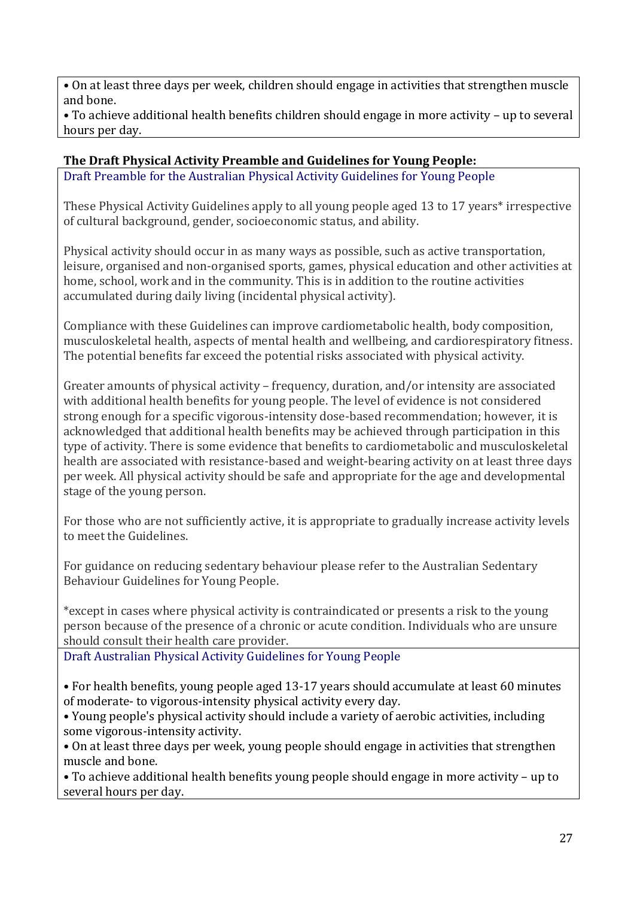• On at least three days per week, children should engage in activities that strengthen muscle and bone.

• To achieve additional health benefits children should engage in more activity – up to several hours per day.

# **The Draft Physical Activity Preamble and Guidelines for Young People:**

Draft Preamble for the Australian Physical Activity Guidelines for Young People

These Physical Activity Guidelines apply to all young people aged 13 to 17 years\* irrespective of cultural background, gender, socioeconomic status, and ability.

Physical activity should occur in as many ways as possible, such as active transportation, leisure, organised and non-organised sports, games, physical education and other activities at home, school, work and in the community. This is in addition to the routine activities accumulated during daily living (incidental physical activity).

Compliance with these Guidelines can improve cardiometabolic health, body composition, musculoskeletal health, aspects of mental health and wellbeing, and cardiorespiratory fitness. The potential benefits far exceed the potential risks associated with physical activity.

Greater amounts of physical activity – frequency, duration, and/or intensity are associated with additional health benefits for young people. The level of evidence is not considered strong enough for a specific vigorous-intensity dose-based recommendation; however, it is acknowledged that additional health benefits may be achieved through participation in this type of activity. There is some evidence that benefits to cardiometabolic and musculoskeletal health are associated with resistance-based and weight-bearing activity on at least three days per week. All physical activity should be safe and appropriate for the age and developmental stage of the young person.

For those who are not sufficiently active, it is appropriate to gradually increase activity levels to meet the Guidelines.

For guidance on reducing sedentary behaviour please refer to the Australian Sedentary Behaviour Guidelines for Young People.

\*except in cases where physical activity is contraindicated or presents a risk to the young person because of the presence of a chronic or acute condition. Individuals who are unsure should consult their health care provider.

Draft Australian Physical Activity Guidelines for Young People

• For health benefits, young people aged 13-17 years should accumulate at least 60 minutes of moderate- to vigorous-intensity physical activity every day.

• Young people's physical activity should include a variety of aerobic activities, including some vigorous-intensity activity.

• On at least three days per week, young people should engage in activities that strengthen muscle and bone.

• To achieve additional health benefits young people should engage in more activity – up to several hours per day.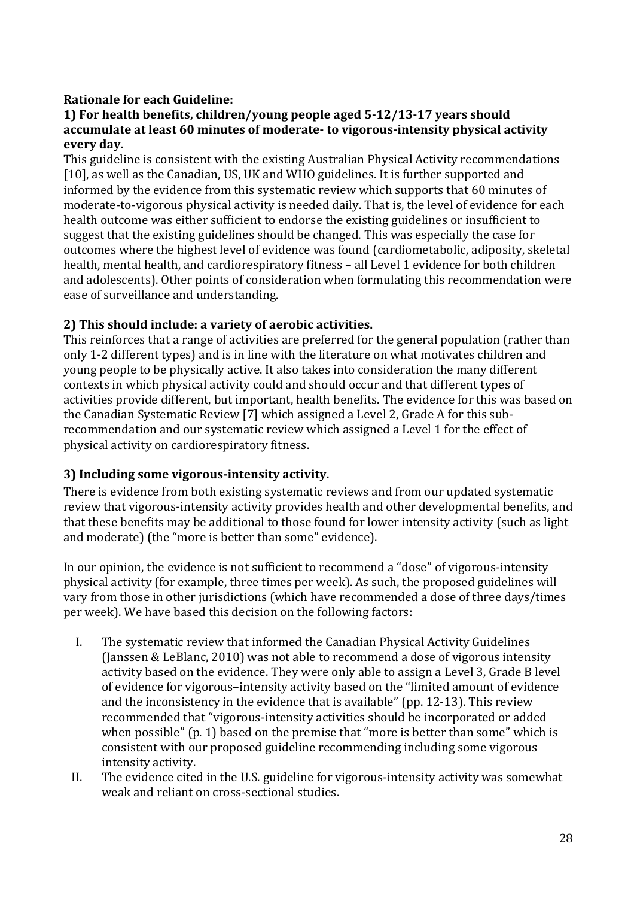# **Rationale for each Guideline:**

### **1) For health benefits, children/young people aged 5-12/13-17 years should accumulate at least 60 minutes of moderate- to vigorous-intensity physical activity every day.**

This guideline is consistent with the existing Australian Physical Activity recommendations [10], as well as the Canadian, US, UK and WHO guidelines. It is further supported and informed by the evidence from this systematic review which supports that 60 minutes of moderate-to-vigorous physical activity is needed daily. That is, the level of evidence for each health outcome was either sufficient to endorse the existing guidelines or insufficient to suggest that the existing guidelines should be changed. This was especially the case for outcomes where the highest level of evidence was found (cardiometabolic, adiposity, skeletal health, mental health, and cardiorespiratory fitness – all Level 1 evidence for both children and adolescents). Other points of consideration when formulating this recommendation were ease of surveillance and understanding.

# **2) This should include: a variety of aerobic activities.**

This reinforces that a range of activities are preferred for the general population (rather than only 1-2 different types) and is in line with the literature on what motivates children and young people to be physically active. It also takes into consideration the many different contexts in which physical activity could and should occur and that different types of activities provide different, but important, health benefits. The evidence for this was based on the Canadian Systematic Review [7] which assigned a Level 2, Grade A for this subrecommendation and our systematic review which assigned a Level 1 for the effect of physical activity on cardiorespiratory fitness.

# **3) Including some vigorous-intensity activity.**

There is evidence from both existing systematic reviews and from our updated systematic review that vigorous-intensity activity provides health and other developmental benefits, and that these benefits may be additional to those found for lower intensity activity (such as light and moderate) (the "more is better than some" evidence).

In our opinion, the evidence is not sufficient to recommend a "dose" of vigorous-intensity physical activity (for example, three times per week). As such, the proposed guidelines will vary from those in other jurisdictions (which have recommended a dose of three days/times per week). We have based this decision on the following factors:

- I. The systematic review that informed the Canadian Physical Activity Guidelines (Janssen & LeBlanc, 2010) was not able to recommend a dose of vigorous intensity activity based on the evidence. They were only able to assign a Level 3, Grade B level of evidence for vigorous–intensity activity based on the "limited amount of evidence and the inconsistency in the evidence that is available" (pp. 12-13). This review recommended that "vigorous-intensity activities should be incorporated or added when possible" (p. 1) based on the premise that "more is better than some" which is consistent with our proposed guideline recommending including some vigorous intensity activity.
- II. The evidence cited in the U.S. guideline for vigorous-intensity activity was somewhat weak and reliant on cross-sectional studies.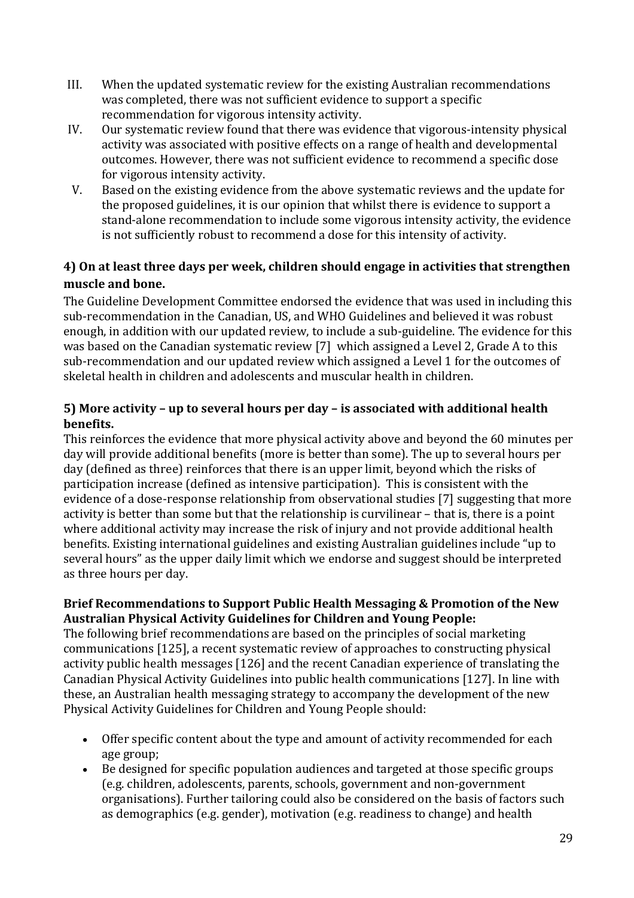- III. When the updated systematic review for the existing Australian recommendations was completed, there was not sufficient evidence to support a specific recommendation for vigorous intensity activity.
- IV. Our systematic review found that there was evidence that vigorous-intensity physical activity was associated with positive effects on a range of health and developmental outcomes. However, there was not sufficient evidence to recommend a specific dose for vigorous intensity activity.
- V. Based on the existing evidence from the above systematic reviews and the update for the proposed guidelines, it is our opinion that whilst there is evidence to support a stand-alone recommendation to include some vigorous intensity activity, the evidence is not sufficiently robust to recommend a dose for this intensity of activity.

# **4) On at least three days per week, children should engage in activities that strengthen muscle and bone.**

The Guideline Development Committee endorsed the evidence that was used in including this sub-recommendation in the Canadian, US, and WHO Guidelines and believed it was robust enough, in addition with our updated review, to include a sub-guideline. The evidence for this was based on the Canadian systematic review [7] which assigned a Level 2, Grade A to this sub-recommendation and our updated review which assigned a Level 1 for the outcomes of skeletal health in children and adolescents and muscular health in children.

## **5) More activity – up to several hours per day – is associated with additional health benefits.**

This reinforces the evidence that more physical activity above and beyond the 60 minutes per day will provide additional benefits (more is better than some). The up to several hours per day (defined as three) reinforces that there is an upper limit, beyond which the risks of participation increase (defined as intensive participation). This is consistent with the evidence of a dose-response relationship from observational studies [7] suggesting that more activity is better than some but that the relationship is curvilinear – that is, there is a point where additional activity may increase the risk of injury and not provide additional health benefits. Existing international guidelines and existing Australian guidelines include "up to several hours" as the upper daily limit which we endorse and suggest should be interpreted as three hours per day.

# **Brief Recommendations to Support Public Health Messaging & Promotion of the New Australian Physical Activity Guidelines for Children and Young People:**

The following brief recommendations are based on the principles of social marketing communications [125], a recent systematic review of approaches to constructing physical activity public health messages [126] and the recent Canadian experience of translating the Canadian Physical Activity Guidelines into public health communications [127]. In line with these, an Australian health messaging strategy to accompany the development of the new Physical Activity Guidelines for Children and Young People should:

- Offer specific content about the type and amount of activity recommended for each age group;
- Be designed for specific population audiences and targeted at those specific groups (e.g. children, adolescents, parents, schools, government and non-government organisations). Further tailoring could also be considered on the basis of factors such as demographics (e.g. gender), motivation (e.g. readiness to change) and health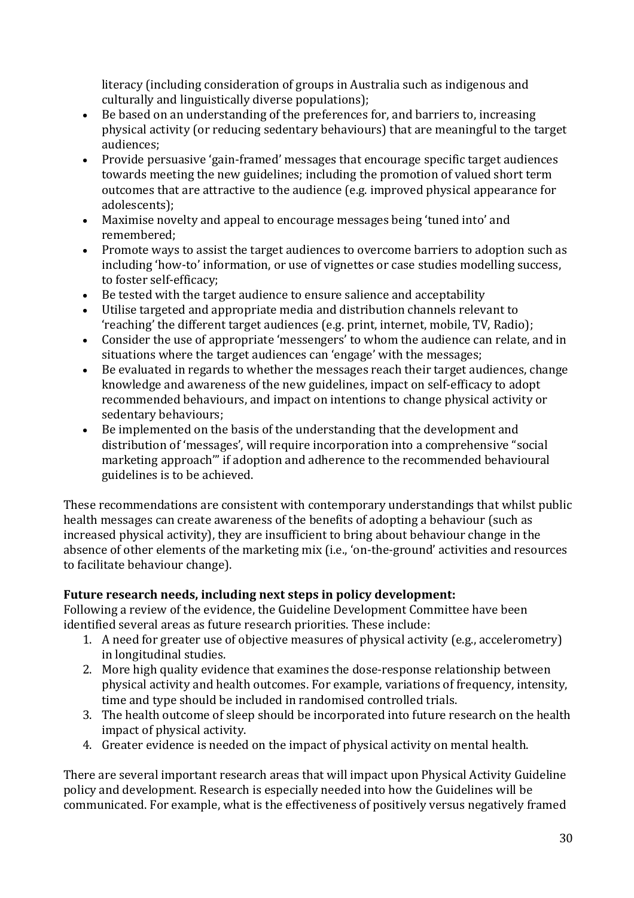literacy (including consideration of groups in Australia such as indigenous and culturally and linguistically diverse populations);

- Be based on an understanding of the preferences for, and barriers to, increasing physical activity (or reducing sedentary behaviours) that are meaningful to the target audiences;
- Provide persuasive 'gain-framed' messages that encourage specific target audiences towards meeting the new guidelines; including the promotion of valued short term outcomes that are attractive to the audience (e.g. improved physical appearance for adolescents);
- Maximise novelty and appeal to encourage messages being 'tuned into' and remembered;
- Promote ways to assist the target audiences to overcome barriers to adoption such as including 'how-to' information, or use of vignettes or case studies modelling success, to foster self-efficacy;
- Be tested with the target audience to ensure salience and acceptability
- Utilise targeted and appropriate media and distribution channels relevant to 'reaching' the different target audiences (e.g. print, internet, mobile, TV, Radio);
- Consider the use of appropriate 'messengers' to whom the audience can relate, and in situations where the target audiences can 'engage' with the messages;
- Be evaluated in regards to whether the messages reach their target audiences, change knowledge and awareness of the new guidelines, impact on self-efficacy to adopt recommended behaviours, and impact on intentions to change physical activity or sedentary behaviours;
- Be implemented on the basis of the understanding that the development and distribution of 'messages', will require incorporation into a comprehensive "social marketing approach'" if adoption and adherence to the recommended behavioural guidelines is to be achieved.

These recommendations are consistent with contemporary understandings that whilst public health messages can create awareness of the benefits of adopting a behaviour (such as increased physical activity), they are insufficient to bring about behaviour change in the absence of other elements of the marketing mix (i.e., 'on-the-ground' activities and resources to facilitate behaviour change).

# **Future research needs, including next steps in policy development:**

Following a review of the evidence, the Guideline Development Committee have been identified several areas as future research priorities. These include:

- 1. A need for greater use of objective measures of physical activity (e.g., accelerometry) in longitudinal studies.
- 2. More high quality evidence that examines the dose-response relationship between physical activity and health outcomes. For example, variations of frequency, intensity, time and type should be included in randomised controlled trials.
- 3. The health outcome of sleep should be incorporated into future research on the health impact of physical activity.
- 4. Greater evidence is needed on the impact of physical activity on mental health.

There are several important research areas that will impact upon Physical Activity Guideline policy and development. Research is especially needed into how the Guidelines will be communicated. For example, what is the effectiveness of positively versus negatively framed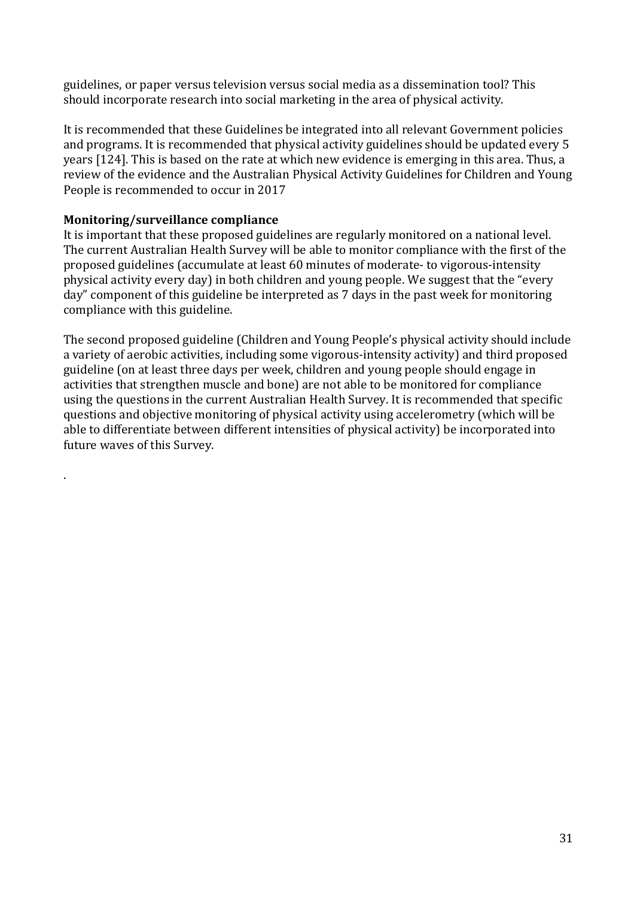guidelines, or paper versus television versus social media as a dissemination tool? This should incorporate research into social marketing in the area of physical activity.

It is recommended that these Guidelines be integrated into all relevant Government policies and programs. It is recommended that physical activity guidelines should be updated every 5 years [124]. This is based on the rate at which new evidence is emerging in this area. Thus, a review of the evidence and the Australian Physical Activity Guidelines for Children and Young People is recommended to occur in 2017

## **Monitoring/surveillance compliance**

.

It is important that these proposed guidelines are regularly monitored on a national level. The current Australian Health Survey will be able to monitor compliance with the first of the proposed guidelines (accumulate at least 60 minutes of moderate- to vigorous-intensity physical activity every day) in both children and young people. We suggest that the "every day" component of this guideline be interpreted as 7 days in the past week for monitoring compliance with this guideline.

The second proposed guideline (Children and Young People's physical activity should include a variety of aerobic activities, including some vigorous-intensity activity) and third proposed guideline (on at least three days per week, children and young people should engage in activities that strengthen muscle and bone) are not able to be monitored for compliance using the questions in the current Australian Health Survey. It is recommended that specific questions and objective monitoring of physical activity using accelerometry (which will be able to differentiate between different intensities of physical activity) be incorporated into future waves of this Survey.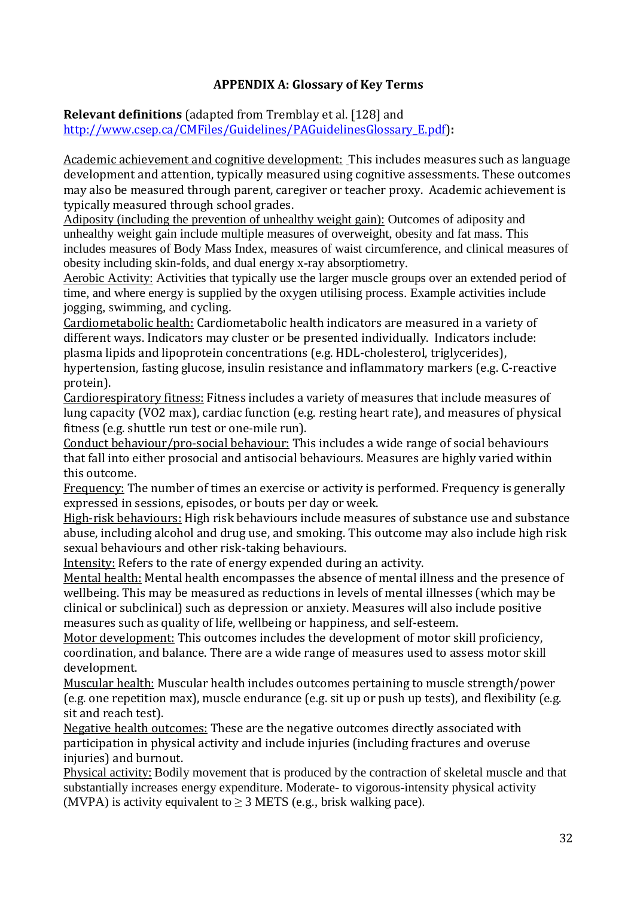# **APPENDIX A: Glossary of Key Terms**

**Relevant definitions** (adapted from Tremblay et al. [128] and [http://www.csep.ca/CMFiles/Guidelines/PAGuidelinesGlossary\\_E.pdf\)](http://www.csep.ca/CMFiles/Guidelines/PAGuidelinesGlossary_E.pdf)**:**

Academic achievement and cognitive development: This includes measures such as language development and attention, typically measured using cognitive assessments. These outcomes may also be measured through parent, caregiver or teacher proxy. Academic achievement is typically measured through school grades.

Adiposity (including the prevention of unhealthy weight gain): Outcomes of adiposity and unhealthy weight gain include multiple measures of overweight, obesity and fat mass. This includes measures of Body Mass Index, measures of waist circumference, and clinical measures of obesity including skin-folds, and dual energy x-ray absorptiometry.

Aerobic Activity: Activities that typically use the larger muscle groups over an extended period of time, and where energy is supplied by the oxygen utilising process. Example activities include jogging, swimming, and cycling.

Cardiometabolic health: Cardiometabolic health indicators are measured in a variety of different ways. Indicators may cluster or be presented individually. Indicators include: plasma lipids and lipoprotein concentrations (e.g. HDL-cholesterol, triglycerides), hypertension, fasting glucose, insulin resistance and inflammatory markers (e.g. C-reactive protein).

Cardiorespiratory fitness: Fitness includes a variety of measures that include measures of lung capacity (VO2 max), cardiac function (e.g. resting heart rate), and measures of physical fitness (e.g. shuttle run test or one-mile run).

Conduct behaviour/pro-social behaviour: This includes a wide range of social behaviours that fall into either prosocial and antisocial behaviours. Measures are highly varied within this outcome.

Frequency: The number of times an exercise or activity is performed. Frequency is generally expressed in sessions, episodes, or bouts per day or week.

High-risk behaviours: High risk behaviours include measures of substance use and substance abuse, including alcohol and drug use, and smoking. This outcome may also include high risk sexual behaviours and other risk-taking behaviours.

Intensity: Refers to the rate of energy expended during an activity.

Mental health: Mental health encompasses the absence of mental illness and the presence of wellbeing. This may be measured as reductions in levels of mental illnesses (which may be clinical or subclinical) such as depression or anxiety. Measures will also include positive measures such as quality of life, wellbeing or happiness, and self-esteem.

Motor development: This outcomes includes the development of motor skill proficiency, coordination, and balance. There are a wide range of measures used to assess motor skill development.

Muscular health: Muscular health includes outcomes pertaining to muscle strength/power (e.g. one repetition max), muscle endurance (e.g. sit up or push up tests), and flexibility (e.g. sit and reach test).

Negative health outcomes: These are the negative outcomes directly associated with participation in physical activity and include injuries (including fractures and overuse injuries) and burnout.

Physical activity: Bodily movement that is produced by the contraction of skeletal muscle and that substantially increases energy expenditure. Moderate- to vigorous-intensity physical activity (MVPA) is activity equivalent to  $\geq$  3 METS (e.g., brisk walking pace).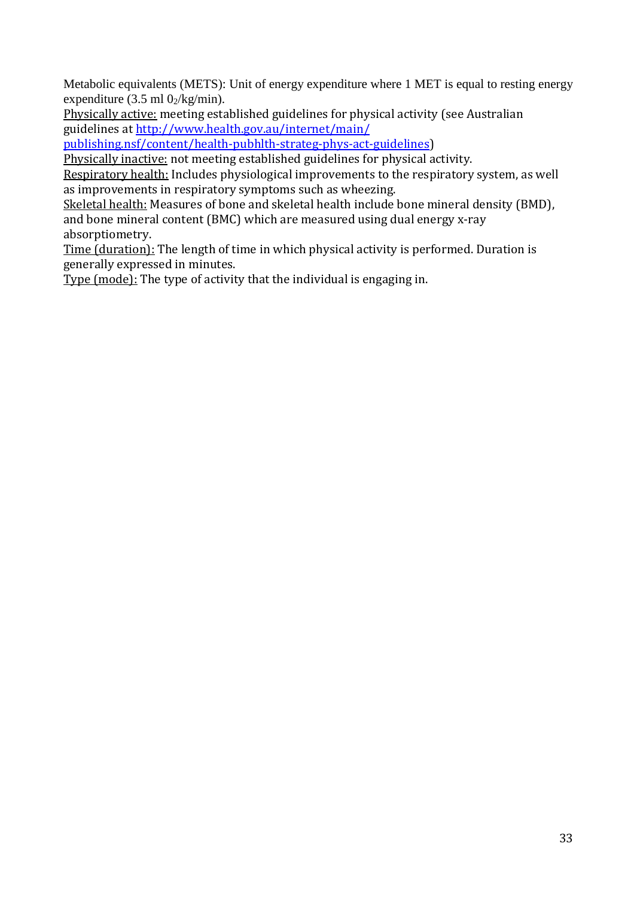Metabolic equivalents (METS): Unit of energy expenditure where 1 MET is equal to resting energy expenditure (3.5 ml  $0<sub>2</sub>/kg/min$ ).

Physically active: meeting established guidelines for physical activity (see Australian guidelines at [http://www.health.gov.au/internet/main/](http://www.health.gov.au/internet/main/publishing.nsf/content/health-pubhlth-strateg-phys-act-guidelines)

[publishing.nsf/content/health-pubhlth-strateg-phys-act-guidelines\)](http://www.health.gov.au/internet/main/publishing.nsf/content/health-pubhlth-strateg-phys-act-guidelines)

Physically inactive: not meeting established guidelines for physical activity.

Respiratory health: Includes physiological improvements to the respiratory system, as well as improvements in respiratory symptoms such as wheezing.

Skeletal health: Measures of bone and skeletal health include bone mineral density (BMD), and bone mineral content (BMC) which are measured using dual energy x-ray absorptiometry.

Time (duration): The length of time in which physical activity is performed. Duration is generally expressed in minutes.

Type (mode): The type of activity that the individual is engaging in.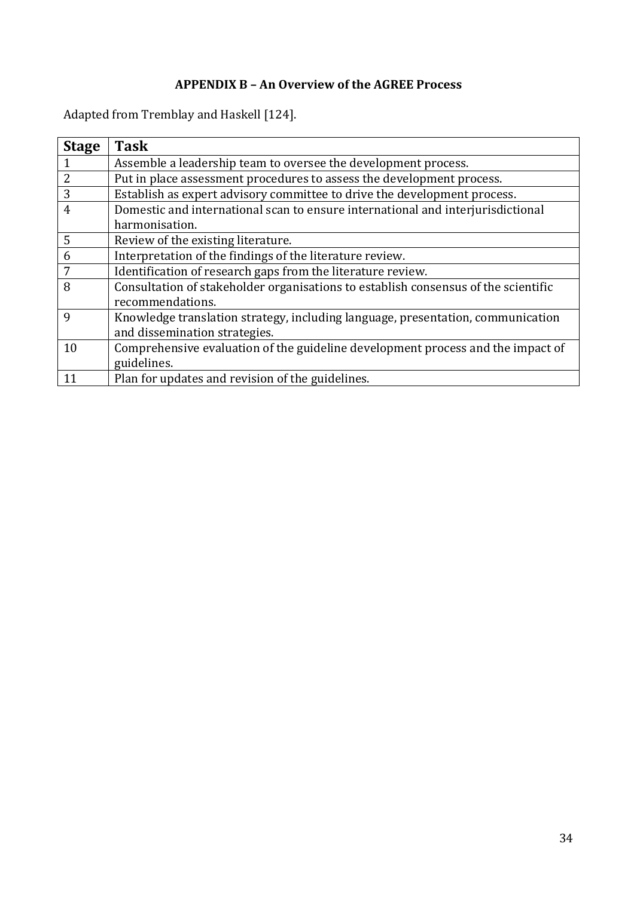# **APPENDIX B – An Overview of the AGREE Process**

Adapted from Tremblay and Haskell [124].

| <b>Stage</b>   | <b>Task</b>                                                                        |
|----------------|------------------------------------------------------------------------------------|
| 1              | Assemble a leadership team to oversee the development process.                     |
| $\overline{2}$ | Put in place assessment procedures to assess the development process.              |
| 3              | Establish as expert advisory committee to drive the development process.           |
| 4              | Domestic and international scan to ensure international and interjurisdictional    |
|                | harmonisation.                                                                     |
| 5              | Review of the existing literature.                                                 |
| 6              | Interpretation of the findings of the literature review.                           |
| 7              | Identification of research gaps from the literature review.                        |
| 8              | Consultation of stakeholder organisations to establish consensus of the scientific |
|                | recommendations.                                                                   |
| $\mathbf Q$    | Knowledge translation strategy, including language, presentation, communication    |
|                | and dissemination strategies.                                                      |
| 10             | Comprehensive evaluation of the guideline development process and the impact of    |
|                | guidelines.                                                                        |
| 11             | Plan for updates and revision of the guidelines.                                   |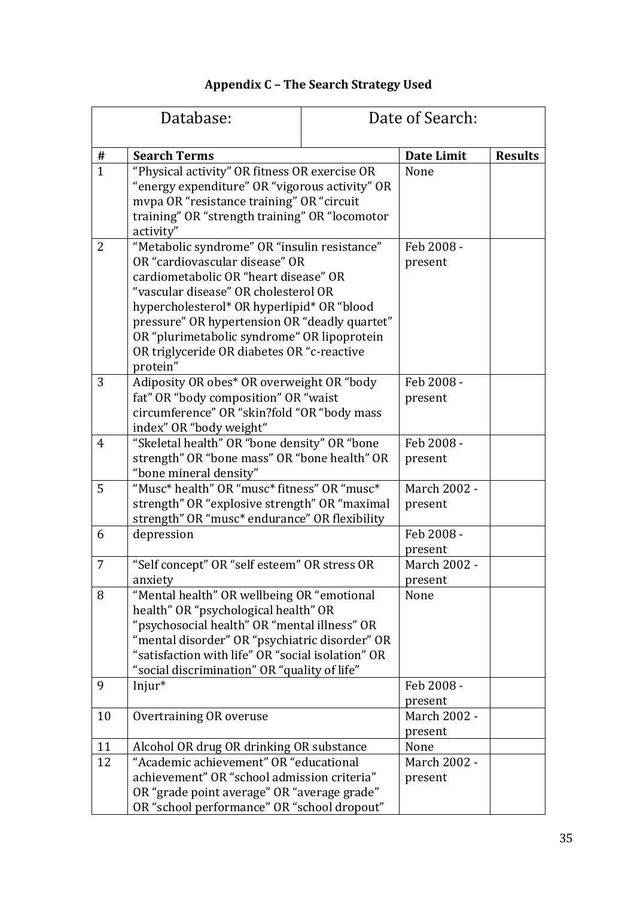|  |  | <b>Appendix C - The Search Strategy Used</b> |
|--|--|----------------------------------------------|
|--|--|----------------------------------------------|

|                | Database:                                                                                                                                                                                                                                                                                                                                                               |      | Date of Search:         |                |  |
|----------------|-------------------------------------------------------------------------------------------------------------------------------------------------------------------------------------------------------------------------------------------------------------------------------------------------------------------------------------------------------------------------|------|-------------------------|----------------|--|
| #              | <b>Search Terms</b>                                                                                                                                                                                                                                                                                                                                                     |      | <b>Date Limit</b>       | <b>Results</b> |  |
| $\mathbf{1}$   | "Physical activity" OR fitness OR exercise OR<br>"energy expenditure" OR "vigorous activity" OR<br>mvpa OR "resistance training" OR "circuit<br>training" OR "strength training" OR "locomotor<br>activity"                                                                                                                                                             | None |                         |                |  |
| $\overline{2}$ | "Metabolic syndrome" OR "insulin resistance"<br>OR "cardiovascular disease" OR<br>cardiometabolic OR "heart disease" OR<br>"vascular disease" OR cholesterol OR<br>hypercholesterol* OR hyperlipid* OR "blood<br>pressure" OR hypertension OR "deadly quartet"<br>OR "plurimetabolic syndrome" OR lipoprotein<br>OR triglyceride OR diabetes OR "c-reactive<br>protein" |      | Feb 2008 -<br>present   |                |  |
| 3              | Adiposity OR obes* OR overweight OR "body<br>fat" OR "body composition" OR "waist<br>circumference" OR "skin?fold "OR "body mass<br>index" OR "body weight"                                                                                                                                                                                                             |      | Feb 2008 -<br>present   |                |  |
| $\overline{4}$ | "Skeletal health" OR "bone density" OR "bone<br>strength" OR "bone mass" OR "bone health" OR<br>"bone mineral density"                                                                                                                                                                                                                                                  |      | Feb 2008 -<br>present   |                |  |
| 5              | "Musc* health" OR "musc* fitness" OR "musc*<br>strength" OR "explosive strength" OR "maximal<br>strength" OR "musc* endurance" OR flexibility                                                                                                                                                                                                                           |      | March 2002 -<br>present |                |  |
| 6              | depression                                                                                                                                                                                                                                                                                                                                                              |      | Feb 2008 -<br>present   |                |  |
| 7              | "Self concept" OR "self esteem" OR stress OR<br>anxiety                                                                                                                                                                                                                                                                                                                 |      | March 2002 -<br>present |                |  |
| 8              | "Mental health" OR wellbeing OR "emotional<br>health" OR "psychological health" OR<br>"psychosocial health" OR "mental illness" OR<br>"mental disorder" OR "psychiatric disorder" OR<br>"satisfaction with life" OR "social isolation" OR<br>"social discrimination" OR "quality of life"                                                                               |      | None                    |                |  |
| 9              | Injur*                                                                                                                                                                                                                                                                                                                                                                  |      | Feb 2008 -<br>present   |                |  |
| 10             | Overtraining OR overuse                                                                                                                                                                                                                                                                                                                                                 |      | March 2002 -<br>present |                |  |
| 11             | Alcohol OR drug OR drinking OR substance                                                                                                                                                                                                                                                                                                                                |      | None                    |                |  |
| 12             | "Academic achievement" OR "educational<br>achievement" OR "school admission criteria"<br>OR "grade point average" OR "average grade"<br>OR "school performance" OR "school dropout"                                                                                                                                                                                     |      | March 2002 -<br>present |                |  |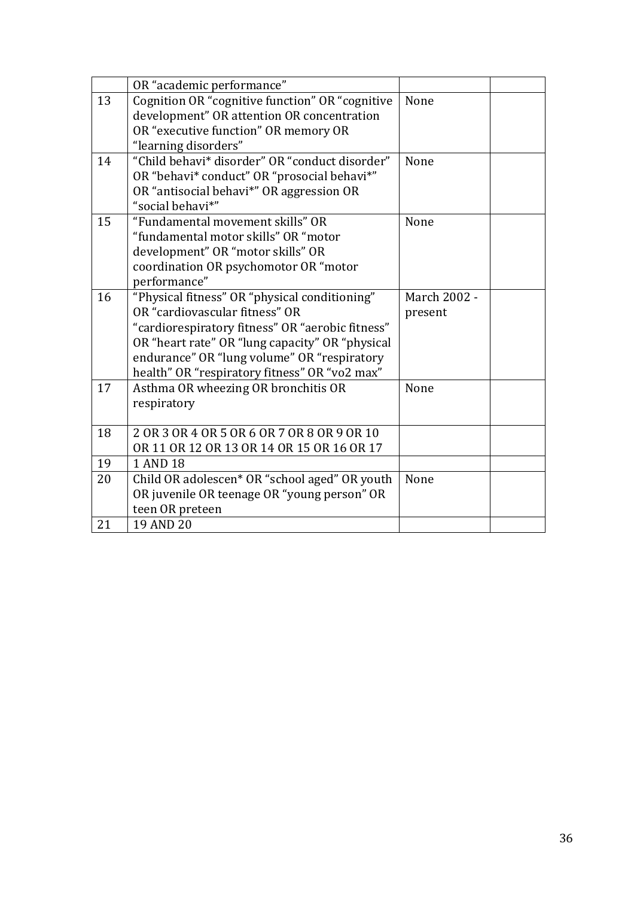|    | OR "academic performance"                        |              |
|----|--------------------------------------------------|--------------|
| 13 | Cognition OR "cognitive function" OR "cognitive  | None         |
|    | development" OR attention OR concentration       |              |
|    | OR "executive function" OR memory OR             |              |
|    | "learning disorders"                             |              |
| 14 | "Child behavi* disorder" OR "conduct disorder"   | None         |
|    | OR "behavi* conduct" OR "prosocial behavi*"      |              |
|    | OR "antisocial behavi*" OR aggression OR         |              |
|    | "social behavi*"                                 |              |
| 15 | "Fundamental movement skills" OR                 | None         |
|    | "fundamental motor skills" OR "motor             |              |
|    | development" OR "motor skills" OR                |              |
|    | coordination OR psychomotor OR "motor            |              |
|    | performance"                                     |              |
| 16 | "Physical fitness" OR "physical conditioning"    | March 2002 - |
|    | OR "cardiovascular fitness" OR                   | present      |
|    | "cardiorespiratory fitness" OR "aerobic fitness" |              |
|    | OR "heart rate" OR "lung capacity" OR "physical  |              |
|    | endurance" OR "lung volume" OR "respiratory      |              |
|    | health" OR "respiratory fitness" OR "vo2 max"    |              |
| 17 | Asthma OR wheezing OR bronchitis OR              | None         |
|    | respiratory                                      |              |
| 18 | 2 OR 3 OR 4 OR 5 OR 6 OR 7 OR 8 OR 9 OR 10       |              |
|    | OR 11 OR 12 OR 13 OR 14 OR 15 OR 16 OR 17        |              |
| 19 | 1 AND 18                                         |              |
| 20 | Child OR adolescen* OR "school aged" OR youth    | None         |
|    | OR juvenile OR teenage OR "young person" OR      |              |
|    | teen OR preteen                                  |              |
| 21 | 19 AND 20                                        |              |
|    |                                                  |              |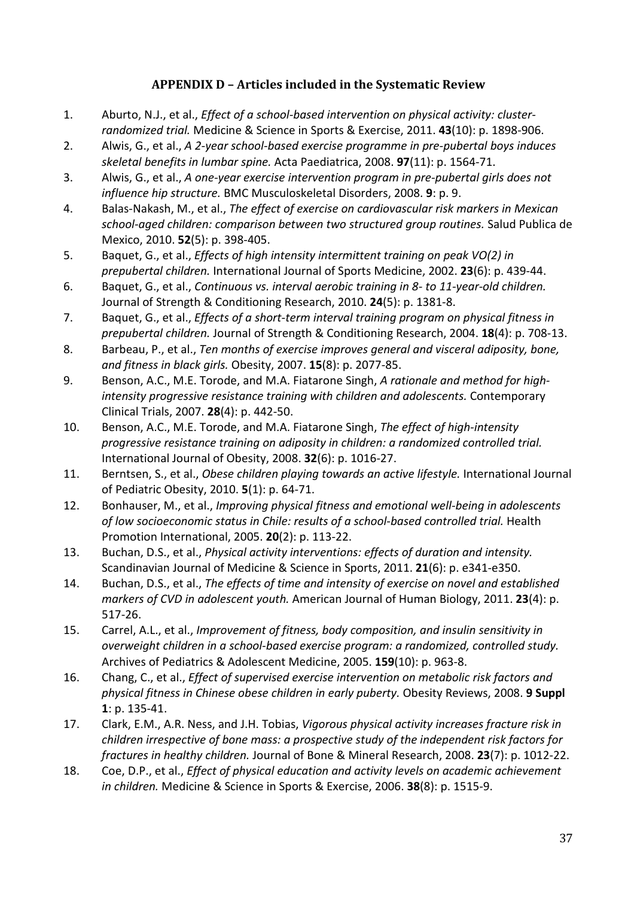# **APPENDIX D – Articles included in the Systematic Review**

- 1. Aburto, N.J., et al., *Effect of a school-based intervention on physical activity: clusterrandomized trial.* Medicine & Science in Sports & Exercise, 2011. **43**(10): p. 1898-906.
- 2. Alwis, G., et al., *A 2-year school-based exercise programme in pre-pubertal boys induces skeletal benefits in lumbar spine.* Acta Paediatrica, 2008. **97**(11): p. 1564-71.
- 3. Alwis, G., et al., *A one-year exercise intervention program in pre-pubertal girls does not influence hip structure.* BMC Musculoskeletal Disorders, 2008. **9**: p. 9.
- 4. Balas-Nakash, M., et al., *The effect of exercise on cardiovascular risk markers in Mexican school-aged children: comparison between two structured group routines.* Salud Publica de Mexico, 2010. **52**(5): p. 398-405.
- 5. Baquet, G., et al., *Effects of high intensity intermittent training on peak VO(2) in prepubertal children.* International Journal of Sports Medicine, 2002. **23**(6): p. 439-44.
- 6. Baquet, G., et al., *Continuous vs. interval aerobic training in 8- to 11-year-old children.* Journal of Strength & Conditioning Research, 2010. **24**(5): p. 1381-8.
- 7. Baquet, G., et al., *Effects of a short-term interval training program on physical fitness in prepubertal children.* Journal of Strength & Conditioning Research, 2004. **18**(4): p. 708-13.
- 8. Barbeau, P., et al., *Ten months of exercise improves general and visceral adiposity, bone, and fitness in black girls.* Obesity, 2007. **15**(8): p. 2077-85.
- 9. Benson, A.C., M.E. Torode, and M.A. Fiatarone Singh, *A rationale and method for highintensity progressive resistance training with children and adolescents.* Contemporary Clinical Trials, 2007. **28**(4): p. 442-50.
- 10. Benson, A.C., M.E. Torode, and M.A. Fiatarone Singh, *The effect of high-intensity progressive resistance training on adiposity in children: a randomized controlled trial.* International Journal of Obesity, 2008. **32**(6): p. 1016-27.
- 11. Berntsen, S., et al., *Obese children playing towards an active lifestyle.* International Journal of Pediatric Obesity, 2010. **5**(1): p. 64-71.
- 12. Bonhauser, M., et al., *Improving physical fitness and emotional well-being in adolescents of low socioeconomic status in Chile: results of a school-based controlled trial.* Health Promotion International, 2005. **20**(2): p. 113-22.
- 13. Buchan, D.S., et al., *Physical activity interventions: effects of duration and intensity.* Scandinavian Journal of Medicine & Science in Sports, 2011. **21**(6): p. e341-e350.
- 14. Buchan, D.S., et al., *The effects of time and intensity of exercise on novel and established markers of CVD in adolescent youth.* American Journal of Human Biology, 2011. **23**(4): p. 517-26.
- 15. Carrel, A.L., et al., *Improvement of fitness, body composition, and insulin sensitivity in overweight children in a school-based exercise program: a randomized, controlled study.* Archives of Pediatrics & Adolescent Medicine, 2005. **159**(10): p. 963-8.
- 16. Chang, C., et al., *Effect of supervised exercise intervention on metabolic risk factors and physical fitness in Chinese obese children in early puberty.* Obesity Reviews, 2008. **9 Suppl 1**: p. 135-41.
- 17. Clark, E.M., A.R. Ness, and J.H. Tobias, *Vigorous physical activity increases fracture risk in children irrespective of bone mass: a prospective study of the independent risk factors for fractures in healthy children.* Journal of Bone & Mineral Research, 2008. **23**(7): p. 1012-22.
- 18. Coe, D.P., et al., *Effect of physical education and activity levels on academic achievement in children.* Medicine & Science in Sports & Exercise, 2006. **38**(8): p. 1515-9.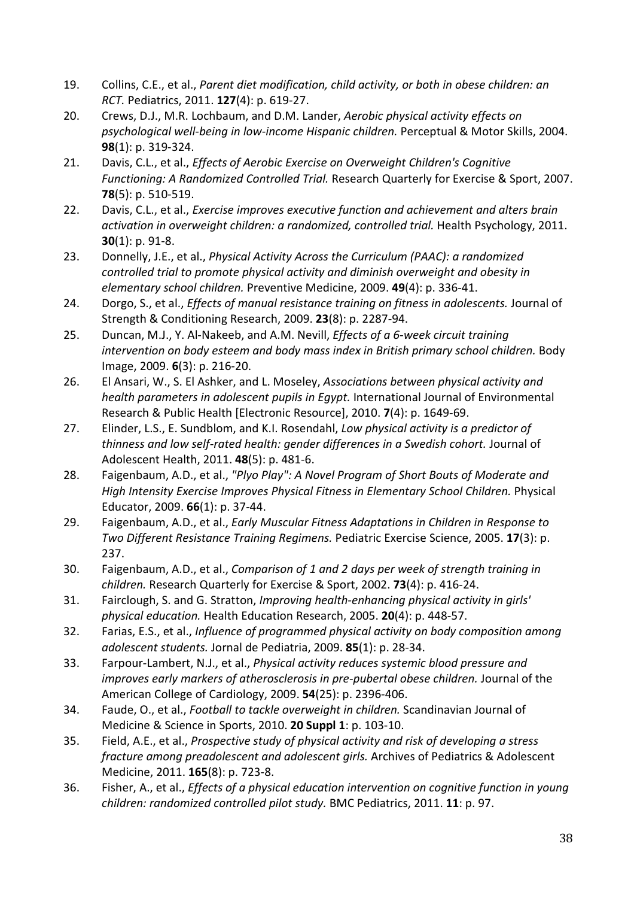- 19. Collins, C.E., et al., *Parent diet modification, child activity, or both in obese children: an RCT.* Pediatrics, 2011. **127**(4): p. 619-27.
- 20. Crews, D.J., M.R. Lochbaum, and D.M. Lander, *Aerobic physical activity effects on psychological well-being in low-income Hispanic children.* Perceptual & Motor Skills, 2004. **98**(1): p. 319-324.
- 21. Davis, C.L., et al., *Effects of Aerobic Exercise on Overweight Children's Cognitive Functioning: A Randomized Controlled Trial.* Research Quarterly for Exercise & Sport, 2007. **78**(5): p. 510-519.
- 22. Davis, C.L., et al., *Exercise improves executive function and achievement and alters brain activation in overweight children: a randomized, controlled trial.* Health Psychology, 2011. **30**(1): p. 91-8.
- 23. Donnelly, J.E., et al., *Physical Activity Across the Curriculum (PAAC): a randomized controlled trial to promote physical activity and diminish overweight and obesity in elementary school children.* Preventive Medicine, 2009. **49**(4): p. 336-41.
- 24. Dorgo, S., et al., *Effects of manual resistance training on fitness in adolescents.* Journal of Strength & Conditioning Research, 2009. **23**(8): p. 2287-94.
- 25. Duncan, M.J., Y. Al-Nakeeb, and A.M. Nevill, *Effects of a 6-week circuit training intervention on body esteem and body mass index in British primary school children.* Body Image, 2009. **6**(3): p. 216-20.
- 26. El Ansari, W., S. El Ashker, and L. Moseley, *Associations between physical activity and health parameters in adolescent pupils in Egypt.* International Journal of Environmental Research & Public Health [Electronic Resource], 2010. **7**(4): p. 1649-69.
- 27. Elinder, L.S., E. Sundblom, and K.I. Rosendahl, *Low physical activity is a predictor of thinness and low self-rated health: gender differences in a Swedish cohort.* Journal of Adolescent Health, 2011. **48**(5): p. 481-6.
- 28. Faigenbaum, A.D., et al., *"Plyo Play": A Novel Program of Short Bouts of Moderate and High Intensity Exercise Improves Physical Fitness in Elementary School Children.* Physical Educator, 2009. **66**(1): p. 37-44.
- 29. Faigenbaum, A.D., et al., *Early Muscular Fitness Adaptations in Children in Response to Two Different Resistance Training Regimens.* Pediatric Exercise Science, 2005. **17**(3): p. 237.
- 30. Faigenbaum, A.D., et al., *Comparison of 1 and 2 days per week of strength training in children.* Research Quarterly for Exercise & Sport, 2002. **73**(4): p. 416-24.
- 31. Fairclough, S. and G. Stratton, *Improving health-enhancing physical activity in girls' physical education.* Health Education Research, 2005. **20**(4): p. 448-57.
- 32. Farias, E.S., et al., *Influence of programmed physical activity on body composition among adolescent students.* Jornal de Pediatria, 2009. **85**(1): p. 28-34.
- 33. Farpour-Lambert, N.J., et al., *Physical activity reduces systemic blood pressure and improves early markers of atherosclerosis in pre-pubertal obese children.* Journal of the American College of Cardiology, 2009. **54**(25): p. 2396-406.
- 34. Faude, O., et al., *Football to tackle overweight in children.* Scandinavian Journal of Medicine & Science in Sports, 2010. **20 Suppl 1**: p. 103-10.
- 35. Field, A.E., et al., *Prospective study of physical activity and risk of developing a stress fracture among preadolescent and adolescent girls.* Archives of Pediatrics & Adolescent Medicine, 2011. **165**(8): p. 723-8.
- 36. Fisher, A., et al., *Effects of a physical education intervention on cognitive function in young children: randomized controlled pilot study.* BMC Pediatrics, 2011. **11**: p. 97.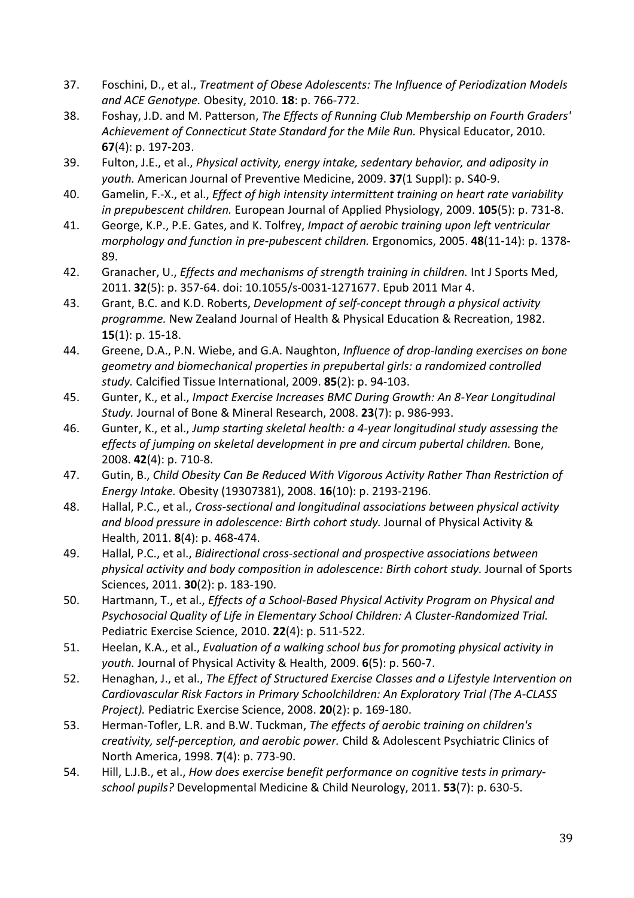- 37. Foschini, D., et al., *Treatment of Obese Adolescents: The Influence of Periodization Models and ACE Genotype.* Obesity, 2010. **18**: p. 766-772.
- 38. Foshay, J.D. and M. Patterson, *The Effects of Running Club Membership on Fourth Graders' Achievement of Connecticut State Standard for the Mile Run.* Physical Educator, 2010. **67**(4): p. 197-203.
- 39. Fulton, J.E., et al., *Physical activity, energy intake, sedentary behavior, and adiposity in youth.* American Journal of Preventive Medicine, 2009. **37**(1 Suppl): p. S40-9.
- 40. Gamelin, F.-X., et al., *Effect of high intensity intermittent training on heart rate variability in prepubescent children.* European Journal of Applied Physiology, 2009. **105**(5): p. 731-8.
- 41. George, K.P., P.E. Gates, and K. Tolfrey, *Impact of aerobic training upon left ventricular morphology and function in pre-pubescent children.* Ergonomics, 2005. **48**(11-14): p. 1378- 89.
- 42. Granacher, U., *Effects and mechanisms of strength training in children.* Int J Sports Med, 2011. **32**(5): p. 357-64. doi: 10.1055/s-0031-1271677. Epub 2011 Mar 4.
- 43. Grant, B.C. and K.D. Roberts, *Development of self-concept through a physical activity programme.* New Zealand Journal of Health & Physical Education & Recreation, 1982. **15**(1): p. 15-18.
- 44. Greene, D.A., P.N. Wiebe, and G.A. Naughton, *Influence of drop-landing exercises on bone geometry and biomechanical properties in prepubertal girls: a randomized controlled study.* Calcified Tissue International, 2009. **85**(2): p. 94-103.
- 45. Gunter, K., et al., *Impact Exercise Increases BMC During Growth: An 8-Year Longitudinal Study.* Journal of Bone & Mineral Research, 2008. **23**(7): p. 986-993.
- 46. Gunter, K., et al., *Jump starting skeletal health: a 4-year longitudinal study assessing the effects of jumping on skeletal development in pre and circum pubertal children.* Bone, 2008. **42**(4): p. 710-8.
- 47. Gutin, B., *Child Obesity Can Be Reduced With Vigorous Activity Rather Than Restriction of Energy Intake.* Obesity (19307381), 2008. **16**(10): p. 2193-2196.
- 48. Hallal, P.C., et al., *Cross-sectional and longitudinal associations between physical activity and blood pressure in adolescence: Birth cohort study.* Journal of Physical Activity & Health, 2011. **8**(4): p. 468-474.
- 49. Hallal, P.C., et al., *Bidirectional cross-sectional and prospective associations between physical activity and body composition in adolescence: Birth cohort study.* Journal of Sports Sciences, 2011. **30**(2): p. 183-190.
- 50. Hartmann, T., et al., *Effects of a School-Based Physical Activity Program on Physical and Psychosocial Quality of Life in Elementary School Children: A Cluster-Randomized Trial.* Pediatric Exercise Science, 2010. **22**(4): p. 511-522.
- 51. Heelan, K.A., et al., *Evaluation of a walking school bus for promoting physical activity in youth.* Journal of Physical Activity & Health, 2009. **6**(5): p. 560-7.
- 52. Henaghan, J., et al., *The Effect of Structured Exercise Classes and a Lifestyle Intervention on Cardiovascular Risk Factors in Primary Schoolchildren: An Exploratory Trial (The A-CLASS Project).* Pediatric Exercise Science, 2008. **20**(2): p. 169-180.
- 53. Herman-Tofler, L.R. and B.W. Tuckman, *The effects of aerobic training on children's creativity, self-perception, and aerobic power.* Child & Adolescent Psychiatric Clinics of North America, 1998. **7**(4): p. 773-90.
- 54. Hill, L.J.B., et al., *How does exercise benefit performance on cognitive tests in primaryschool pupils?* Developmental Medicine & Child Neurology, 2011. **53**(7): p. 630-5.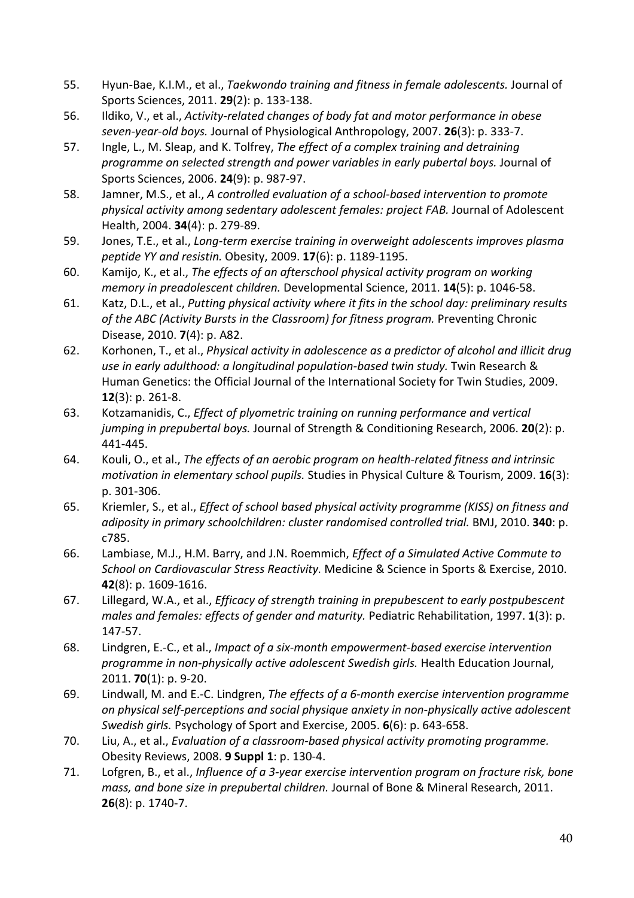- 55. Hyun-Bae, K.I.M., et al., *Taekwondo training and fitness in female adolescents.* Journal of Sports Sciences, 2011. **29**(2): p. 133-138.
- 56. Ildiko, V., et al., *Activity-related changes of body fat and motor performance in obese seven-year-old boys.* Journal of Physiological Anthropology, 2007. **26**(3): p. 333-7.
- 57. Ingle, L., M. Sleap, and K. Tolfrey, *The effect of a complex training and detraining programme on selected strength and power variables in early pubertal boys.* Journal of Sports Sciences, 2006. **24**(9): p. 987-97.
- 58. Jamner, M.S., et al., *A controlled evaluation of a school-based intervention to promote physical activity among sedentary adolescent females: project FAB.* Journal of Adolescent Health, 2004. **34**(4): p. 279-89.
- 59. Jones, T.E., et al., *Long-term exercise training in overweight adolescents improves plasma peptide YY and resistin.* Obesity, 2009. **17**(6): p. 1189-1195.
- 60. Kamijo, K., et al., *The effects of an afterschool physical activity program on working memory in preadolescent children.* Developmental Science, 2011. **14**(5): p. 1046-58.
- 61. Katz, D.L., et al., *Putting physical activity where it fits in the school day: preliminary results of the ABC (Activity Bursts in the Classroom) for fitness program.* Preventing Chronic Disease, 2010. **7**(4): p. A82.
- 62. Korhonen, T., et al., *Physical activity in adolescence as a predictor of alcohol and illicit drug use in early adulthood: a longitudinal population-based twin study.* Twin Research & Human Genetics: the Official Journal of the International Society for Twin Studies, 2009. **12**(3): p. 261-8.
- 63. Kotzamanidis, C., *Effect of plyometric training on running performance and vertical jumping in prepubertal boys.* Journal of Strength & Conditioning Research, 2006. **20**(2): p. 441-445.
- 64. Kouli, O., et al., *The effects of an aerobic program on health-related fitness and intrinsic motivation in elementary school pupils.* Studies in Physical Culture & Tourism, 2009. **16**(3): p. 301-306.
- 65. Kriemler, S., et al., *Effect of school based physical activity programme (KISS) on fitness and adiposity in primary schoolchildren: cluster randomised controlled trial.* BMJ, 2010. **340**: p. c785.
- 66. Lambiase, M.J., H.M. Barry, and J.N. Roemmich, *Effect of a Simulated Active Commute to School on Cardiovascular Stress Reactivity.* Medicine & Science in Sports & Exercise, 2010. **42**(8): p. 1609-1616.
- 67. Lillegard, W.A., et al., *Efficacy of strength training in prepubescent to early postpubescent males and females: effects of gender and maturity.* Pediatric Rehabilitation, 1997. **1**(3): p. 147-57.
- 68. Lindgren, E.-C., et al., *Impact of a six-month empowerment-based exercise intervention programme in non-physically active adolescent Swedish girls.* Health Education Journal, 2011. **70**(1): p. 9-20.
- 69. Lindwall, M. and E.-C. Lindgren, *The effects of a 6-month exercise intervention programme on physical self-perceptions and social physique anxiety in non-physically active adolescent Swedish girls.* Psychology of Sport and Exercise, 2005. **6**(6): p. 643-658.
- 70. Liu, A., et al., *Evaluation of a classroom-based physical activity promoting programme.* Obesity Reviews, 2008. **9 Suppl 1**: p. 130-4.
- 71. Lofgren, B., et al., *Influence of a 3-year exercise intervention program on fracture risk, bone mass, and bone size in prepubertal children.* Journal of Bone & Mineral Research, 2011. **26**(8): p. 1740-7.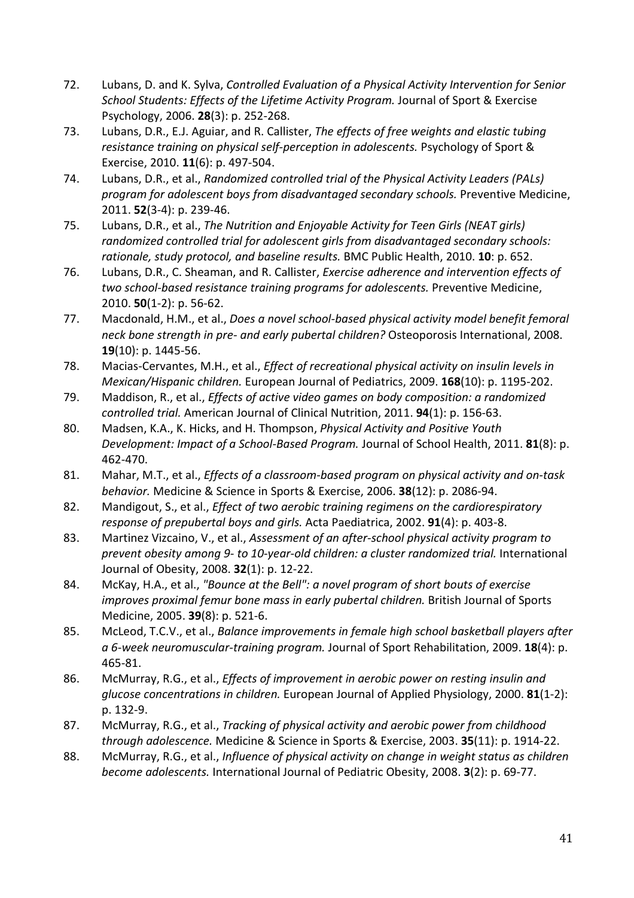- 72. Lubans, D. and K. Sylva, *Controlled Evaluation of a Physical Activity Intervention for Senior School Students: Effects of the Lifetime Activity Program.* Journal of Sport & Exercise Psychology, 2006. **28**(3): p. 252-268.
- 73. Lubans, D.R., E.J. Aguiar, and R. Callister, *The effects of free weights and elastic tubing resistance training on physical self-perception in adolescents.* Psychology of Sport & Exercise, 2010. **11**(6): p. 497-504.
- 74. Lubans, D.R., et al., *Randomized controlled trial of the Physical Activity Leaders (PALs) program for adolescent boys from disadvantaged secondary schools.* Preventive Medicine, 2011. **52**(3-4): p. 239-46.
- 75. Lubans, D.R., et al., *The Nutrition and Enjoyable Activity for Teen Girls (NEAT girls) randomized controlled trial for adolescent girls from disadvantaged secondary schools: rationale, study protocol, and baseline results.* BMC Public Health, 2010. **10**: p. 652.
- 76. Lubans, D.R., C. Sheaman, and R. Callister, *Exercise adherence and intervention effects of two school-based resistance training programs for adolescents.* Preventive Medicine, 2010. **50**(1-2): p. 56-62.
- 77. Macdonald, H.M., et al., *Does a novel school-based physical activity model benefit femoral neck bone strength in pre- and early pubertal children?* Osteoporosis International, 2008. **19**(10): p. 1445-56.
- 78. Macias-Cervantes, M.H., et al., *Effect of recreational physical activity on insulin levels in Mexican/Hispanic children.* European Journal of Pediatrics, 2009. **168**(10): p. 1195-202.
- 79. Maddison, R., et al., *Effects of active video games on body composition: a randomized controlled trial.* American Journal of Clinical Nutrition, 2011. **94**(1): p. 156-63.
- 80. Madsen, K.A., K. Hicks, and H. Thompson, *Physical Activity and Positive Youth Development: Impact of a School-Based Program.* Journal of School Health, 2011. **81**(8): p. 462-470.
- 81. Mahar, M.T., et al., *Effects of a classroom-based program on physical activity and on-task behavior.* Medicine & Science in Sports & Exercise, 2006. **38**(12): p. 2086-94.
- 82. Mandigout, S., et al., *Effect of two aerobic training regimens on the cardiorespiratory response of prepubertal boys and girls.* Acta Paediatrica, 2002. **91**(4): p. 403-8.
- 83. Martinez Vizcaino, V., et al., *Assessment of an after-school physical activity program to prevent obesity among 9- to 10-year-old children: a cluster randomized trial.* International Journal of Obesity, 2008. **32**(1): p. 12-22.
- 84. McKay, H.A., et al., *"Bounce at the Bell": a novel program of short bouts of exercise improves proximal femur bone mass in early pubertal children.* British Journal of Sports Medicine, 2005. **39**(8): p. 521-6.
- 85. McLeod, T.C.V., et al., *Balance improvements in female high school basketball players after a 6-week neuromuscular-training program.* Journal of Sport Rehabilitation, 2009. **18**(4): p. 465-81.
- 86. McMurray, R.G., et al., *Effects of improvement in aerobic power on resting insulin and glucose concentrations in children.* European Journal of Applied Physiology, 2000. **81**(1-2): p. 132-9.
- 87. McMurray, R.G., et al., *Tracking of physical activity and aerobic power from childhood through adolescence.* Medicine & Science in Sports & Exercise, 2003. **35**(11): p. 1914-22.
- 88. McMurray, R.G., et al., *Influence of physical activity on change in weight status as children become adolescents.* International Journal of Pediatric Obesity, 2008. **3**(2): p. 69-77.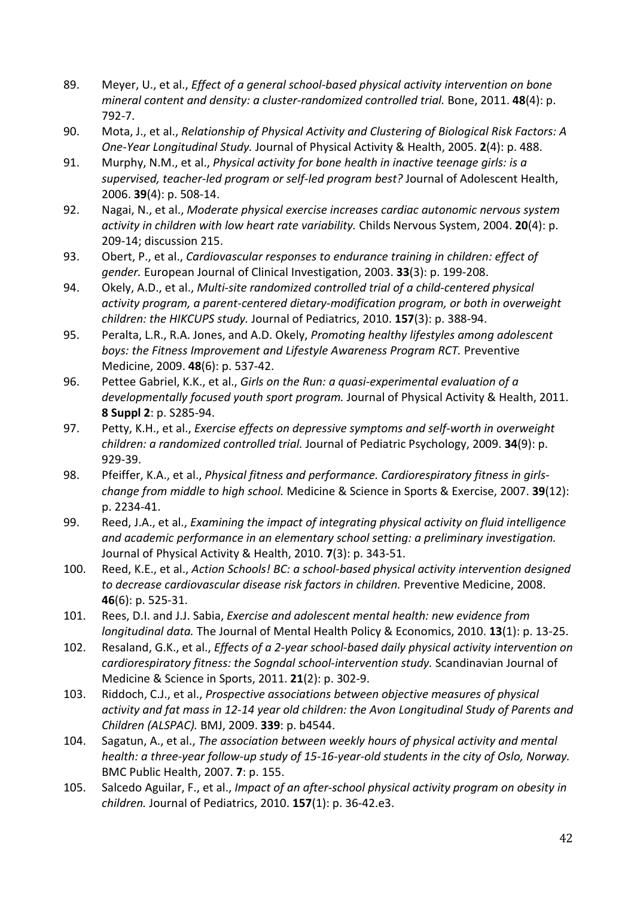- 89. Meyer, U., et al., *Effect of a general school-based physical activity intervention on bone mineral content and density: a cluster-randomized controlled trial.* Bone, 2011. **48**(4): p. 792-7.
- 90. Mota, J., et al., *Relationship of Physical Activity and Clustering of Biological Risk Factors: A One-Year Longitudinal Study.* Journal of Physical Activity & Health, 2005. **2**(4): p. 488.
- 91. Murphy, N.M., et al., *Physical activity for bone health in inactive teenage girls: is a supervised, teacher-led program or self-led program best?* Journal of Adolescent Health, 2006. **39**(4): p. 508-14.
- 92. Nagai, N., et al., *Moderate physical exercise increases cardiac autonomic nervous system activity in children with low heart rate variability.* Childs Nervous System, 2004. **20**(4): p. 209-14; discussion 215.
- 93. Obert, P., et al., *Cardiovascular responses to endurance training in children: effect of gender.* European Journal of Clinical Investigation, 2003. **33**(3): p. 199-208.
- 94. Okely, A.D., et al., *Multi-site randomized controlled trial of a child-centered physical activity program, a parent-centered dietary-modification program, or both in overweight children: the HIKCUPS study.* Journal of Pediatrics, 2010. **157**(3): p. 388-94.
- 95. Peralta, L.R., R.A. Jones, and A.D. Okely, *Promoting healthy lifestyles among adolescent boys: the Fitness Improvement and Lifestyle Awareness Program RCT.* Preventive Medicine, 2009. **48**(6): p. 537-42.
- 96. Pettee Gabriel, K.K., et al., *Girls on the Run: a quasi-experimental evaluation of a developmentally focused youth sport program.* Journal of Physical Activity & Health, 2011. **8 Suppl 2**: p. S285-94.
- 97. Petty, K.H., et al., *Exercise effects on depressive symptoms and self-worth in overweight children: a randomized controlled trial.* Journal of Pediatric Psychology, 2009. **34**(9): p. 929-39.
- 98. Pfeiffer, K.A., et al., *Physical fitness and performance. Cardiorespiratory fitness in girlschange from middle to high school.* Medicine & Science in Sports & Exercise, 2007. **39**(12): p. 2234-41.
- 99. Reed, J.A., et al., *Examining the impact of integrating physical activity on fluid intelligence and academic performance in an elementary school setting: a preliminary investigation.* Journal of Physical Activity & Health, 2010. **7**(3): p. 343-51.
- 100. Reed, K.E., et al., *Action Schools! BC: a school-based physical activity intervention designed to decrease cardiovascular disease risk factors in children.* Preventive Medicine, 2008. **46**(6): p. 525-31.
- 101. Rees, D.I. and J.J. Sabia, *Exercise and adolescent mental health: new evidence from longitudinal data.* The Journal of Mental Health Policy & Economics, 2010. **13**(1): p. 13-25.
- 102. Resaland, G.K., et al., *Effects of a 2-year school-based daily physical activity intervention on cardiorespiratory fitness: the Sogndal school-intervention study.* Scandinavian Journal of Medicine & Science in Sports, 2011. **21**(2): p. 302-9.
- 103. Riddoch, C.J., et al., *Prospective associations between objective measures of physical activity and fat mass in 12-14 year old children: the Avon Longitudinal Study of Parents and Children (ALSPAC).* BMJ, 2009. **339**: p. b4544.
- 104. Sagatun, A., et al., *The association between weekly hours of physical activity and mental health: a three-year follow-up study of 15-16-year-old students in the city of Oslo, Norway.* BMC Public Health, 2007. **7**: p. 155.
- 105. Salcedo Aguilar, F., et al., *Impact of an after-school physical activity program on obesity in children.* Journal of Pediatrics, 2010. **157**(1): p. 36-42.e3.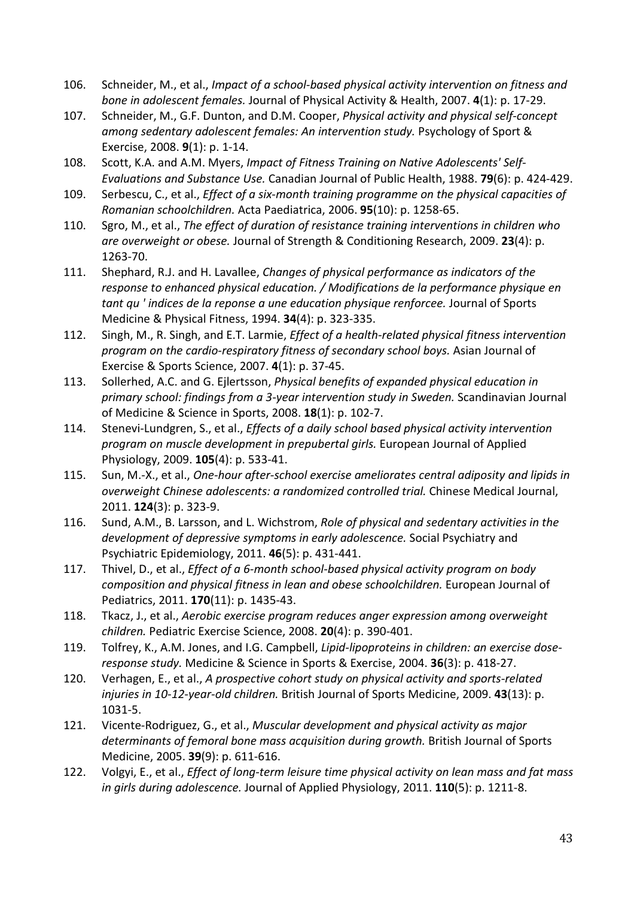- 106. Schneider, M., et al., *Impact of a school-based physical activity intervention on fitness and bone in adolescent females.* Journal of Physical Activity & Health, 2007. **4**(1): p. 17-29.
- 107. Schneider, M., G.F. Dunton, and D.M. Cooper, *Physical activity and physical self-concept among sedentary adolescent females: An intervention study.* Psychology of Sport & Exercise, 2008. **9**(1): p. 1-14.
- 108. Scott, K.A. and A.M. Myers, *Impact of Fitness Training on Native Adolescents' Self-Evaluations and Substance Use.* Canadian Journal of Public Health, 1988. **79**(6): p. 424-429.
- 109. Serbescu, C., et al., *Effect of a six-month training programme on the physical capacities of Romanian schoolchildren.* Acta Paediatrica, 2006. **95**(10): p. 1258-65.
- 110. Sgro, M., et al., *The effect of duration of resistance training interventions in children who are overweight or obese.* Journal of Strength & Conditioning Research, 2009. **23**(4): p. 1263-70.
- 111. Shephard, R.J. and H. Lavallee, *Changes of physical performance as indicators of the response to enhanced physical education. / Modifications de la performance physique en tant qu ' indices de la reponse a une education physique renforcee.* Journal of Sports Medicine & Physical Fitness, 1994. **34**(4): p. 323-335.
- 112. Singh, M., R. Singh, and E.T. Larmie, *Effect of a health-related physical fitness intervention program on the cardio-respiratory fitness of secondary school boys.* Asian Journal of Exercise & Sports Science, 2007. **4**(1): p. 37-45.
- 113. Sollerhed, A.C. and G. Ejlertsson, *Physical benefits of expanded physical education in primary school: findings from a 3-year intervention study in Sweden.* Scandinavian Journal of Medicine & Science in Sports, 2008. **18**(1): p. 102-7.
- 114. Stenevi-Lundgren, S., et al., *Effects of a daily school based physical activity intervention program on muscle development in prepubertal girls.* European Journal of Applied Physiology, 2009. **105**(4): p. 533-41.
- 115. Sun, M.-X., et al., *One-hour after-school exercise ameliorates central adiposity and lipids in overweight Chinese adolescents: a randomized controlled trial.* Chinese Medical Journal, 2011. **124**(3): p. 323-9.
- 116. Sund, A.M., B. Larsson, and L. Wichstrom, *Role of physical and sedentary activities in the development of depressive symptoms in early adolescence.* Social Psychiatry and Psychiatric Epidemiology, 2011. **46**(5): p. 431-441.
- 117. Thivel, D., et al., *Effect of a 6-month school-based physical activity program on body composition and physical fitness in lean and obese schoolchildren.* European Journal of Pediatrics, 2011. **170**(11): p. 1435-43.
- 118. Tkacz, J., et al., *Aerobic exercise program reduces anger expression among overweight children.* Pediatric Exercise Science, 2008. **20**(4): p. 390-401.
- 119. Tolfrey, K., A.M. Jones, and I.G. Campbell, *Lipid-lipoproteins in children: an exercise doseresponse study.* Medicine & Science in Sports & Exercise, 2004. **36**(3): p. 418-27.
- 120. Verhagen, E., et al., *A prospective cohort study on physical activity and sports-related injuries in 10-12-year-old children.* British Journal of Sports Medicine, 2009. **43**(13): p. 1031-5.
- 121. Vicente-Rodriguez, G., et al., *Muscular development and physical activity as major determinants of femoral bone mass acquisition during growth.* British Journal of Sports Medicine, 2005. **39**(9): p. 611-616.
- 122. Volgyi, E., et al., *Effect of long-term leisure time physical activity on lean mass and fat mass in girls during adolescence.* Journal of Applied Physiology, 2011. **110**(5): p. 1211-8.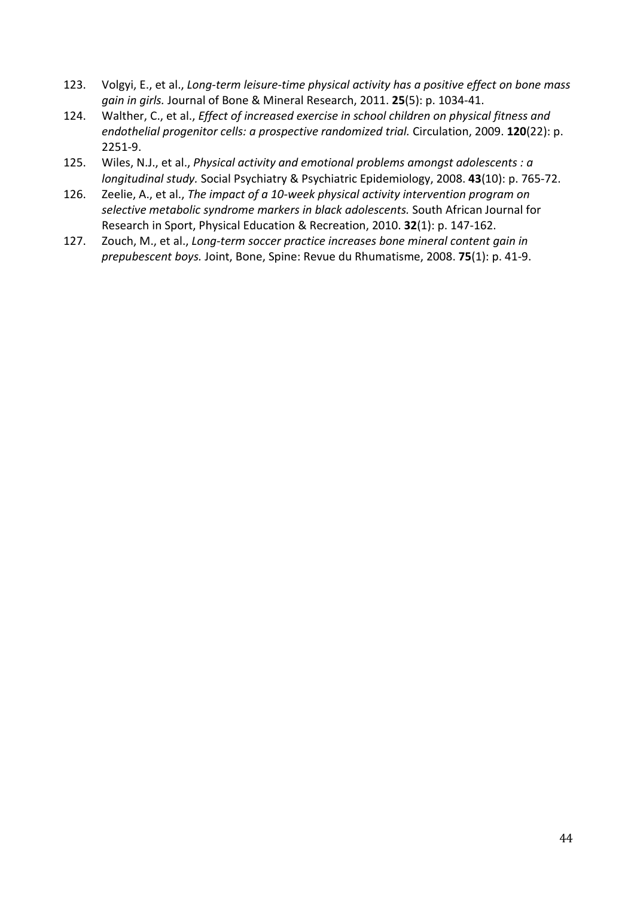- 123. Volgyi, E., et al., *Long-term leisure-time physical activity has a positive effect on bone mass gain in girls.* Journal of Bone & Mineral Research, 2011. **25**(5): p. 1034-41.
- 124. Walther, C., et al., *Effect of increased exercise in school children on physical fitness and endothelial progenitor cells: a prospective randomized trial.* Circulation, 2009. **120**(22): p. 2251-9.
- 125. Wiles, N.J., et al., *Physical activity and emotional problems amongst adolescents : a longitudinal study.* Social Psychiatry & Psychiatric Epidemiology, 2008. **43**(10): p. 765-72.
- 126. Zeelie, A., et al., *The impact of a 10-week physical activity intervention program on selective metabolic syndrome markers in black adolescents.* South African Journal for Research in Sport, Physical Education & Recreation, 2010. **32**(1): p. 147-162.
- 127. Zouch, M., et al., *Long-term soccer practice increases bone mineral content gain in prepubescent boys.* Joint, Bone, Spine: Revue du Rhumatisme, 2008. **75**(1): p. 41-9.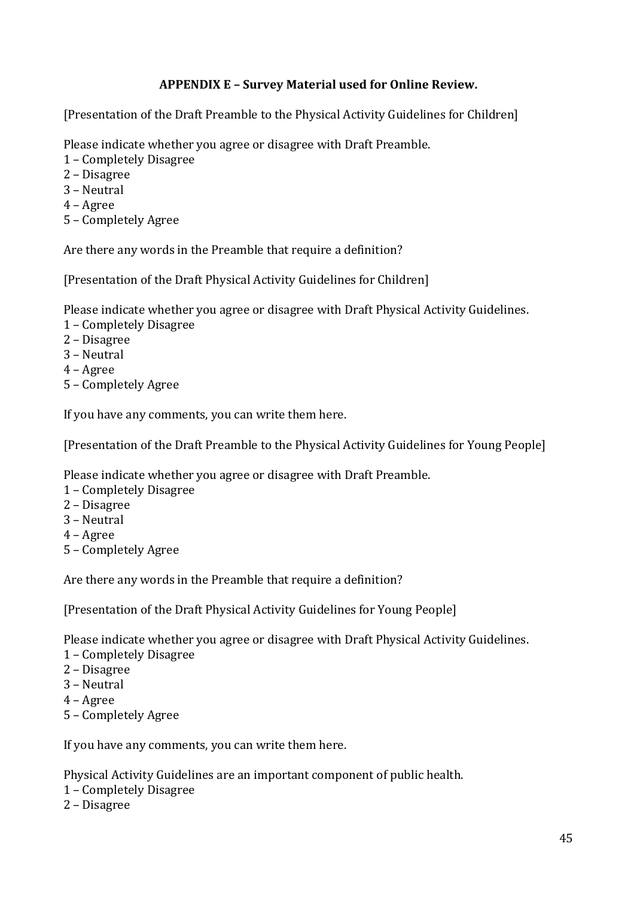# **APPENDIX E – Survey Material used for Online Review.**

[Presentation of the Draft Preamble to the Physical Activity Guidelines for Children]

Please indicate whether you agree or disagree with Draft Preamble.

- 1 Completely Disagree
- 2 Disagree
- 3 Neutral
- 4 Agree
- 5 Completely Agree

Are there any words in the Preamble that require a definition?

[Presentation of the Draft Physical Activity Guidelines for Children]

Please indicate whether you agree or disagree with Draft Physical Activity Guidelines.

- 1 Completely Disagree
- 2 Disagree
- 3 Neutral
- 4 Agree
- 5 Completely Agree

If you have any comments, you can write them here.

[Presentation of the Draft Preamble to the Physical Activity Guidelines for Young People]

Please indicate whether you agree or disagree with Draft Preamble.

- 1 Completely Disagree
- 2 Disagree
- 3 Neutral
- 4 Agree
- 5 Completely Agree

Are there any words in the Preamble that require a definition?

[Presentation of the Draft Physical Activity Guidelines for Young People]

Please indicate whether you agree or disagree with Draft Physical Activity Guidelines.

- 1 Completely Disagree
- 2 Disagree
- 3 Neutral
- 4 Agree
- 5 Completely Agree

If you have any comments, you can write them here.

Physical Activity Guidelines are an important component of public health.

- 1 Completely Disagree
- 2 Disagree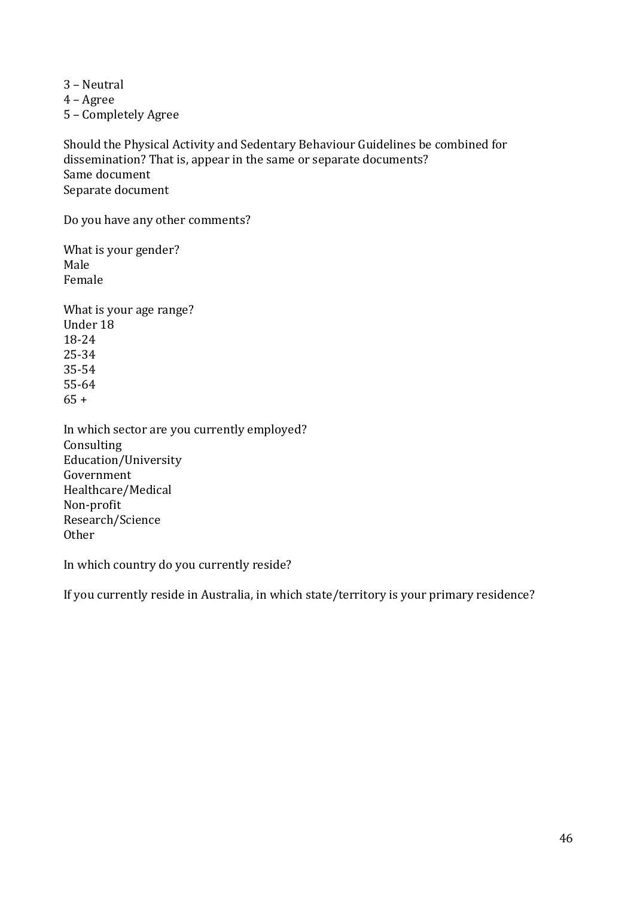3 – Neutral

4 – Agree

5 – Completely Agree

Should the Physical Activity and Sedentary Behaviour Guidelines be combined for dissemination? That is, appear in the same or separate documents? Same document Separate document

Do you have any other comments?

What is your gender? Male Female

What is your age range? Under 18 18-24 25-34 35-54 55-64  $65 +$ 

In which sector are you currently employed? Consulting Education/University Government Healthcare/Medical Non-profit Research/Science **Other** 

In which country do you currently reside?

If you currently reside in Australia, in which state/territory is your primary residence?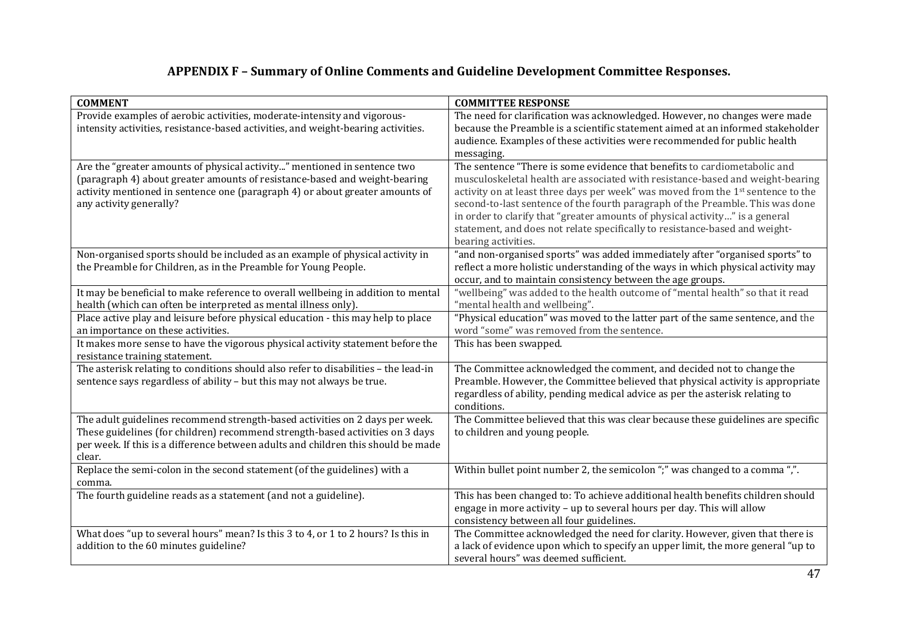# **APPENDIX F – Summary of Online Comments and Guideline Development Committee Responses.**

| <b>COMMENT</b>                                                                                                                                                                                                                                                    | <b>COMMITTEE RESPONSE</b>                                                                                                                                                                                                                                                                                                                                                                                                                                                                                               |  |
|-------------------------------------------------------------------------------------------------------------------------------------------------------------------------------------------------------------------------------------------------------------------|-------------------------------------------------------------------------------------------------------------------------------------------------------------------------------------------------------------------------------------------------------------------------------------------------------------------------------------------------------------------------------------------------------------------------------------------------------------------------------------------------------------------------|--|
| Provide examples of aerobic activities, moderate-intensity and vigorous-<br>intensity activities, resistance-based activities, and weight-bearing activities.                                                                                                     | The need for clarification was acknowledged. However, no changes were made<br>because the Preamble is a scientific statement aimed at an informed stakeholder<br>audience. Examples of these activities were recommended for public health<br>messaging.                                                                                                                                                                                                                                                                |  |
| Are the "greater amounts of physical activity" mentioned in sentence two<br>(paragraph 4) about greater amounts of resistance-based and weight-bearing<br>activity mentioned in sentence one (paragraph 4) or about greater amounts of<br>any activity generally? | The sentence "There is some evidence that benefits to cardiometabolic and<br>musculoskeletal health are associated with resistance-based and weight-bearing<br>activity on at least three days per week" was moved from the 1st sentence to the<br>second-to-last sentence of the fourth paragraph of the Preamble. This was done<br>in order to clarify that "greater amounts of physical activity" is a general<br>statement, and does not relate specifically to resistance-based and weight-<br>bearing activities. |  |
| Non-organised sports should be included as an example of physical activity in<br>the Preamble for Children, as in the Preamble for Young People.                                                                                                                  | 'and non-organised sports" was added immediately after "organised sports" to<br>reflect a more holistic understanding of the ways in which physical activity may<br>occur, and to maintain consistency between the age groups.                                                                                                                                                                                                                                                                                          |  |
| It may be beneficial to make reference to overall wellbeing in addition to mental<br>health (which can often be interpreted as mental illness only).                                                                                                              | 'wellbeing" was added to the health outcome of "mental health" so that it read<br>'mental health and wellbeing".                                                                                                                                                                                                                                                                                                                                                                                                        |  |
| Place active play and leisure before physical education - this may help to place<br>an importance on these activities.                                                                                                                                            | "Physical education" was moved to the latter part of the same sentence, and the<br>word "some" was removed from the sentence.                                                                                                                                                                                                                                                                                                                                                                                           |  |
| It makes more sense to have the vigorous physical activity statement before the<br>resistance training statement.                                                                                                                                                 | This has been swapped.                                                                                                                                                                                                                                                                                                                                                                                                                                                                                                  |  |
| The asterisk relating to conditions should also refer to disabilities - the lead-in<br>sentence says regardless of ability - but this may not always be true.                                                                                                     | The Committee acknowledged the comment, and decided not to change the<br>Preamble. However, the Committee believed that physical activity is appropriate<br>regardless of ability, pending medical advice as per the asterisk relating to<br>conditions.                                                                                                                                                                                                                                                                |  |
| The adult guidelines recommend strength-based activities on 2 days per week.<br>These guidelines (for children) recommend strength-based activities on 3 days<br>per week. If this is a difference between adults and children this should be made<br>clear.      | The Committee believed that this was clear because these guidelines are specific<br>to children and young people.                                                                                                                                                                                                                                                                                                                                                                                                       |  |
| Replace the semi-colon in the second statement (of the guidelines) with a<br>comma.                                                                                                                                                                               | Within bullet point number 2, the semicolon ";" was changed to a comma ",".                                                                                                                                                                                                                                                                                                                                                                                                                                             |  |
| The fourth guideline reads as a statement (and not a guideline).                                                                                                                                                                                                  | This has been changed to: To achieve additional health benefits children should<br>engage in more activity - up to several hours per day. This will allow<br>consistency between all four guidelines.                                                                                                                                                                                                                                                                                                                   |  |
| What does "up to several hours" mean? Is this 3 to 4, or 1 to 2 hours? Is this in<br>addition to the 60 minutes guideline?                                                                                                                                        | The Committee acknowledged the need for clarity. However, given that there is<br>a lack of evidence upon which to specify an upper limit, the more general "up to<br>several hours" was deemed sufficient.                                                                                                                                                                                                                                                                                                              |  |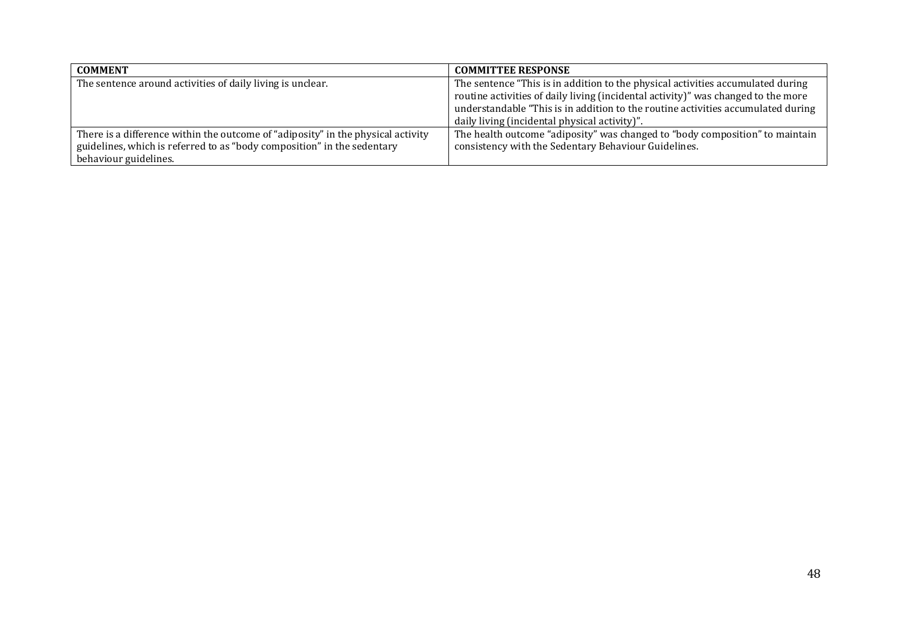| <b>COMMENT</b>                                                                   | <b>COMMITTEE RESPONSE</b>                                                         |
|----------------------------------------------------------------------------------|-----------------------------------------------------------------------------------|
| The sentence around activities of daily living is unclear.                       | The sentence "This is in addition to the physical activities accumulated during   |
|                                                                                  | routine activities of daily living (incidental activity)" was changed to the more |
|                                                                                  | understandable "This is in addition to the routine activities accumulated during  |
|                                                                                  | daily living (incidental physical activity)".                                     |
| There is a difference within the outcome of "adiposity" in the physical activity | The health outcome "adiposity" was changed to "body composition" to maintain      |
| guidelines, which is referred to as "body composition" in the sedentary          | consistency with the Sedentary Behaviour Guidelines.                              |
| behaviour guidelines.                                                            |                                                                                   |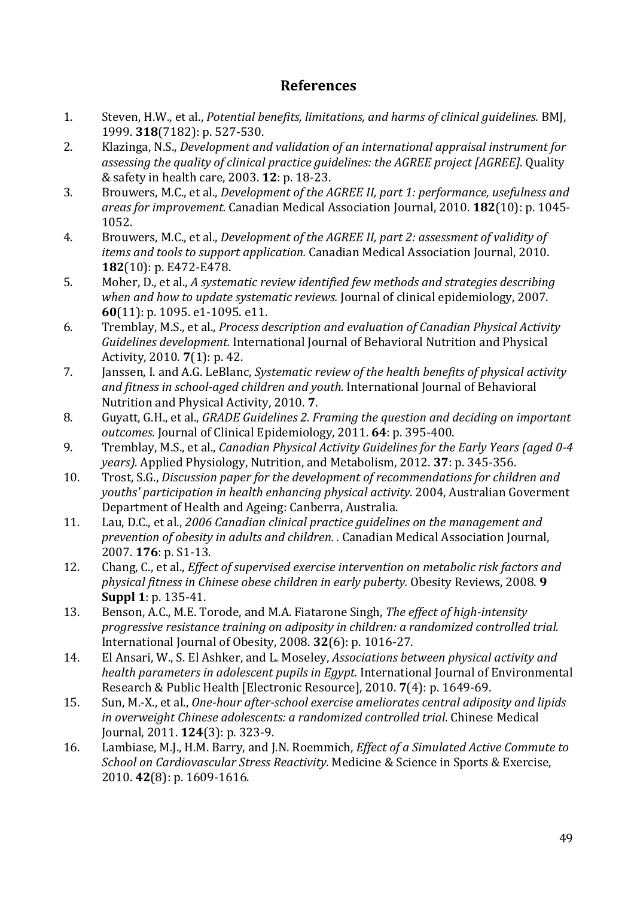# **References**

- 1. Steven, H.W., et al., *Potential benefits, limitations, and harms of clinical guidelines.* BMJ, 1999. **318**(7182): p. 527-530.
- 2. Klazinga, N.S., *Development and validation of an international appraisal instrument for assessing the quality of clinical practice guidelines: the AGREE project [AGREE].* Quality & safety in health care, 2003. **12**: p. 18-23.
- 3. Brouwers, M.C., et al., *Development of the AGREE II, part 1: performance, usefulness and areas for improvement.* Canadian Medical Association Journal, 2010. **182**(10): p. 1045- 1052.
- 4. Brouwers, M.C., et al., *Development of the AGREE II, part 2: assessment of validity of items and tools to support application.* Canadian Medical Association Journal, 2010. **182**(10): p. E472-E478.
- 5. Moher, D., et al., *A systematic review identified few methods and strategies describing when and how to update systematic reviews.* Journal of clinical epidemiology, 2007. **60**(11): p. 1095. e1-1095. e11.
- 6. Tremblay, M.S., et al., *Process description and evaluation of Canadian Physical Activity Guidelines development.* International Journal of Behavioral Nutrition and Physical Activity, 2010. **7**(1): p. 42.
- 7. Janssen, I. and A.G. LeBlanc, *Systematic review of the health benefits of physical activity and fitness in school-aged children and youth.* International Journal of Behavioral Nutrition and Physical Activity, 2010. **7**.
- 8. Guyatt, G.H., et al., *GRADE Guidelines 2. Framing the question and deciding on important outcomes.* Journal of Clinical Epidemiology, 2011. **64**: p. 395-400.
- 9. Tremblay, M.S., et al., *Canadian Physical Activity Guidelines for the Early Years (aged 0-4 years).* Applied Physiology, Nutrition, and Metabolism, 2012. **37**: p. 345-356.
- 10. Trost, S.G., *Discussion paper for the development of recommendations for children and youths' participation in health enhancing physical activity.* 2004, Australian Goverment Department of Health and Ageing: Canberra, Australia.
- 11. Lau, D.C., et al., *2006 Canadian clinical practice guidelines on the management and prevention of obesity in adults and children. .* Canadian Medical Association Journal, 2007. **176**: p. S1-13.
- 12. Chang, C., et al., *Effect of supervised exercise intervention on metabolic risk factors and physical fitness in Chinese obese children in early puberty.* Obesity Reviews, 2008. **9 Suppl 1**: p. 135-41.
- 13. Benson, A.C., M.E. Torode, and M.A. Fiatarone Singh, *The effect of high-intensity progressive resistance training on adiposity in children: a randomized controlled trial.* International Journal of Obesity, 2008. **32**(6): p. 1016-27.
- 14. El Ansari, W., S. El Ashker, and L. Moseley, *Associations between physical activity and health parameters in adolescent pupils in Egypt.* International Journal of Environmental Research & Public Health [Electronic Resource], 2010. **7**(4): p. 1649-69.
- 15. Sun, M.-X., et al., *One-hour after-school exercise ameliorates central adiposity and lipids in overweight Chinese adolescents: a randomized controlled trial.* Chinese Medical Journal, 2011. **124**(3): p. 323-9.
- 16. Lambiase, M.J., H.M. Barry, and J.N. Roemmich, *Effect of a Simulated Active Commute to School on Cardiovascular Stress Reactivity.* Medicine & Science in Sports & Exercise, 2010. **42**(8): p. 1609-1616.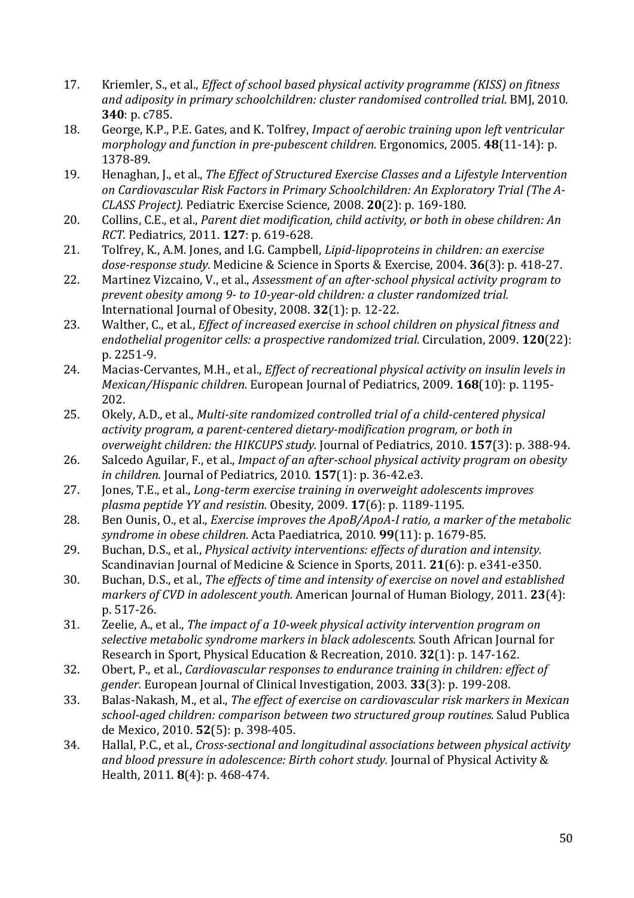- 17. Kriemler, S., et al., *Effect of school based physical activity programme (KISS) on fitness and adiposity in primary schoolchildren: cluster randomised controlled trial.* BMJ, 2010. **340**: p. c785.
- 18. George, K.P., P.E. Gates, and K. Tolfrey, *Impact of aerobic training upon left ventricular morphology and function in pre-pubescent children.* Ergonomics, 2005. **48**(11-14): p. 1378-89.
- 19. Henaghan, J., et al., *The Effect of Structured Exercise Classes and a Lifestyle Intervention on Cardiovascular Risk Factors in Primary Schoolchildren: An Exploratory Trial (The A-CLASS Project).* Pediatric Exercise Science, 2008. **20**(2): p. 169-180.
- 20. Collins, C.E., et al., *Parent diet modification, child activity, or both in obese children: An RCT.* Pediatrics, 2011. **127**: p. 619-628.
- 21. Tolfrey, K., A.M. Jones, and I.G. Campbell, *Lipid-lipoproteins in children: an exercise dose-response study.* Medicine & Science in Sports & Exercise, 2004. **36**(3): p. 418-27.
- 22. Martinez Vizcaino, V., et al., *Assessment of an after-school physical activity program to prevent obesity among 9- to 10-year-old children: a cluster randomized trial.* International Journal of Obesity, 2008. **32**(1): p. 12-22.
- 23. Walther, C., et al., *Effect of increased exercise in school children on physical fitness and endothelial progenitor cells: a prospective randomized trial.* Circulation, 2009. **120**(22): p. 2251-9.
- 24. Macias-Cervantes, M.H., et al., *Effect of recreational physical activity on insulin levels in Mexican/Hispanic children.* European Journal of Pediatrics, 2009. **168**(10): p. 1195- 202.
- 25. Okely, A.D., et al., *Multi-site randomized controlled trial of a child-centered physical activity program, a parent-centered dietary-modification program, or both in overweight children: the HIKCUPS study.* Journal of Pediatrics, 2010. **157**(3): p. 388-94.
- 26. Salcedo Aguilar, F., et al., *Impact of an after-school physical activity program on obesity in children.* Journal of Pediatrics, 2010. **157**(1): p. 36-42.e3.
- 27. Jones, T.E., et al., *Long-term exercise training in overweight adolescents improves plasma peptide YY and resistin.* Obesity, 2009. **17**(6): p. 1189-1195.
- 28. Ben Ounis, O., et al., *Exercise improves the ApoB/ApoA-I ratio, a marker of the metabolic syndrome in obese children.* Acta Paediatrica, 2010. **99**(11): p. 1679-85.
- 29. Buchan, D.S., et al., *Physical activity interventions: effects of duration and intensity.* Scandinavian Journal of Medicine & Science in Sports, 2011. **21**(6): p. e341-e350.
- 30. Buchan, D.S., et al., *The effects of time and intensity of exercise on novel and established markers of CVD in adolescent youth.* American Journal of Human Biology, 2011. **23**(4): p. 517-26.
- 31. Zeelie, A., et al., *The impact of a 10-week physical activity intervention program on selective metabolic syndrome markers in black adolescents.* South African Journal for Research in Sport, Physical Education & Recreation, 2010. **32**(1): p. 147-162.
- 32. Obert, P., et al., *Cardiovascular responses to endurance training in children: effect of gender.* European Journal of Clinical Investigation, 2003. **33**(3): p. 199-208.
- 33. Balas-Nakash, M., et al., *The effect of exercise on cardiovascular risk markers in Mexican school-aged children: comparison between two structured group routines.* Salud Publica de Mexico, 2010. **52**(5): p. 398-405.
- 34. Hallal, P.C., et al., *Cross-sectional and longitudinal associations between physical activity and blood pressure in adolescence: Birth cohort study.* Journal of Physical Activity & Health, 2011. **8**(4): p. 468-474.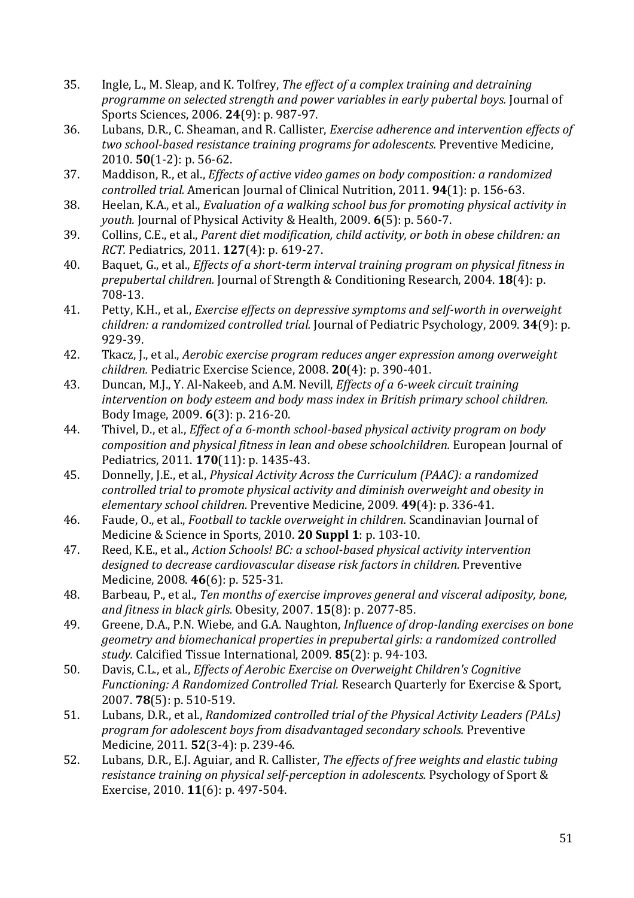- 35. Ingle, L., M. Sleap, and K. Tolfrey, *The effect of a complex training and detraining programme on selected strength and power variables in early pubertal boys.* Journal of Sports Sciences, 2006. **24**(9): p. 987-97.
- 36. Lubans, D.R., C. Sheaman, and R. Callister, *Exercise adherence and intervention effects of two school-based resistance training programs for adolescents.* Preventive Medicine, 2010. **50**(1-2): p. 56-62.
- 37. Maddison, R., et al., *Effects of active video games on body composition: a randomized controlled trial.* American Journal of Clinical Nutrition, 2011. **94**(1): p. 156-63.
- 38. Heelan, K.A., et al., *Evaluation of a walking school bus for promoting physical activity in youth.* Journal of Physical Activity & Health, 2009. **6**(5): p. 560-7.
- 39. Collins, C.E., et al., *Parent diet modification, child activity, or both in obese children: an RCT.* Pediatrics, 2011. **127**(4): p. 619-27.
- 40. Baquet, G., et al., *Effects of a short-term interval training program on physical fitness in prepubertal children.* Journal of Strength & Conditioning Research, 2004. **18**(4): p. 708-13.
- 41. Petty, K.H., et al., *Exercise effects on depressive symptoms and self-worth in overweight children: a randomized controlled trial.* Journal of Pediatric Psychology, 2009. **34**(9): p. 929-39.
- 42. Tkacz, J., et al., *Aerobic exercise program reduces anger expression among overweight children.* Pediatric Exercise Science, 2008. **20**(4): p. 390-401.
- 43. Duncan, M.J., Y. Al-Nakeeb, and A.M. Nevill, *Effects of a 6-week circuit training intervention on body esteem and body mass index in British primary school children.* Body Image, 2009. **6**(3): p. 216-20.
- 44. Thivel, D., et al., *Effect of a 6-month school-based physical activity program on body composition and physical fitness in lean and obese schoolchildren.* European Journal of Pediatrics, 2011. **170**(11): p. 1435-43.
- 45. Donnelly, J.E., et al., *Physical Activity Across the Curriculum (PAAC): a randomized controlled trial to promote physical activity and diminish overweight and obesity in elementary school children.* Preventive Medicine, 2009. **49**(4): p. 336-41.
- 46. Faude, O., et al., *Football to tackle overweight in children.* Scandinavian Journal of Medicine & Science in Sports, 2010. **20 Suppl 1**: p. 103-10.
- 47. Reed, K.E., et al., *Action Schools! BC: a school-based physical activity intervention designed to decrease cardiovascular disease risk factors in children.* Preventive Medicine, 2008. **46**(6): p. 525-31.
- 48. Barbeau, P., et al., *Ten months of exercise improves general and visceral adiposity, bone, and fitness in black girls.* Obesity, 2007. **15**(8): p. 2077-85.
- 49. Greene, D.A., P.N. Wiebe, and G.A. Naughton, *Influence of drop-landing exercises on bone geometry and biomechanical properties in prepubertal girls: a randomized controlled study.* Calcified Tissue International, 2009. **85**(2): p. 94-103.
- 50. Davis, C.L., et al., *Effects of Aerobic Exercise on Overweight Children's Cognitive Functioning: A Randomized Controlled Trial.* Research Quarterly for Exercise & Sport, 2007. **78**(5): p. 510-519.
- 51. Lubans, D.R., et al., *Randomized controlled trial of the Physical Activity Leaders (PALs) program for adolescent boys from disadvantaged secondary schools.* Preventive Medicine, 2011. **52**(3-4): p. 239-46.
- 52. Lubans, D.R., E.J. Aguiar, and R. Callister, *The effects of free weights and elastic tubing resistance training on physical self-perception in adolescents.* Psychology of Sport & Exercise, 2010. **11**(6): p. 497-504.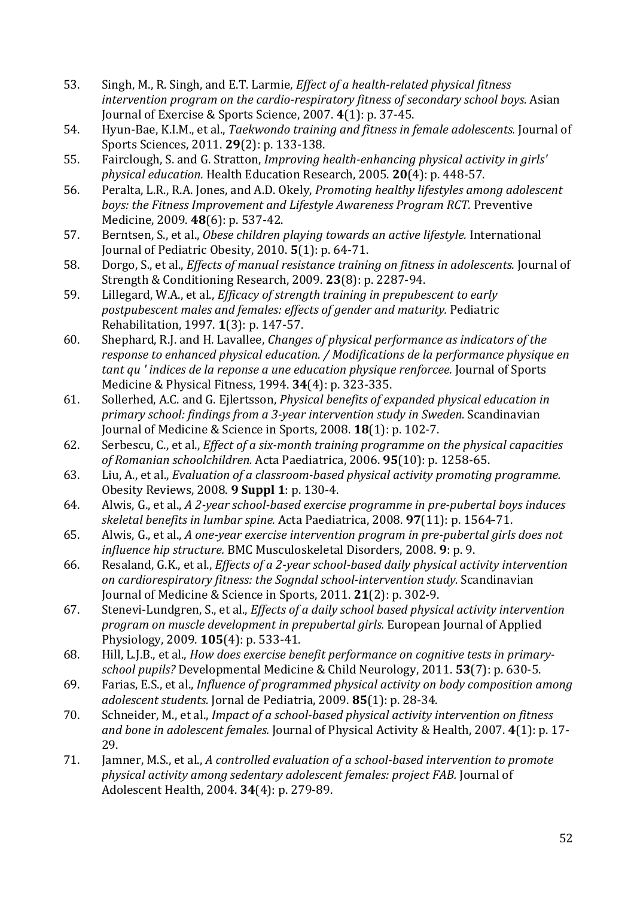- 53. Singh, M., R. Singh, and E.T. Larmie, *Effect of a health-related physical fitness intervention program on the cardio-respiratory fitness of secondary school boys.* Asian Journal of Exercise & Sports Science, 2007. **4**(1): p. 37-45.
- 54. Hyun-Bae, K.I.M., et al., *Taekwondo training and fitness in female adolescents.* Journal of Sports Sciences, 2011. **29**(2): p. 133-138.
- 55. Fairclough, S. and G. Stratton, *Improving health-enhancing physical activity in girls' physical education.* Health Education Research, 2005. **20**(4): p. 448-57.
- 56. Peralta, L.R., R.A. Jones, and A.D. Okely, *Promoting healthy lifestyles among adolescent boys: the Fitness Improvement and Lifestyle Awareness Program RCT.* Preventive Medicine, 2009. **48**(6): p. 537-42.
- 57. Berntsen, S., et al., *Obese children playing towards an active lifestyle.* International Journal of Pediatric Obesity, 2010. **5**(1): p. 64-71.
- 58. Dorgo, S., et al., *Effects of manual resistance training on fitness in adolescents.* Journal of Strength & Conditioning Research, 2009. **23**(8): p. 2287-94.
- 59. Lillegard, W.A., et al., *Efficacy of strength training in prepubescent to early postpubescent males and females: effects of gender and maturity.* Pediatric Rehabilitation, 1997. **1**(3): p. 147-57.
- 60. Shephard, R.J. and H. Lavallee, *Changes of physical performance as indicators of the response to enhanced physical education. / Modifications de la performance physique en tant qu ' indices de la reponse a une education physique renforcee.* Journal of Sports Medicine & Physical Fitness, 1994. **34**(4): p. 323-335.
- 61. Sollerhed, A.C. and G. Ejlertsson, *Physical benefits of expanded physical education in primary school: findings from a 3-year intervention study in Sweden.* Scandinavian Journal of Medicine & Science in Sports, 2008. **18**(1): p. 102-7.
- 62. Serbescu, C., et al., *Effect of a six-month training programme on the physical capacities of Romanian schoolchildren.* Acta Paediatrica, 2006. **95**(10): p. 1258-65.
- 63. Liu, A., et al., *Evaluation of a classroom-based physical activity promoting programme.* Obesity Reviews, 2008. **9 Suppl 1**: p. 130-4.
- 64. Alwis, G., et al., *A 2-year school-based exercise programme in pre-pubertal boys induces skeletal benefits in lumbar spine.* Acta Paediatrica, 2008. **97**(11): p. 1564-71.
- 65. Alwis, G., et al., *A one-year exercise intervention program in pre-pubertal girls does not influence hip structure.* BMC Musculoskeletal Disorders, 2008. **9**: p. 9.
- 66. Resaland, G.K., et al., *Effects of a 2-year school-based daily physical activity intervention on cardiorespiratory fitness: the Sogndal school-intervention study.* Scandinavian Journal of Medicine & Science in Sports, 2011. **21**(2): p. 302-9.
- 67. Stenevi-Lundgren, S., et al., *Effects of a daily school based physical activity intervention program on muscle development in prepubertal girls.* European Journal of Applied Physiology, 2009. **105**(4): p. 533-41.
- 68. Hill, L.J.B., et al., *How does exercise benefit performance on cognitive tests in primaryschool pupils?* Developmental Medicine & Child Neurology, 2011. **53**(7): p. 630-5.
- 69. Farias, E.S., et al., *Influence of programmed physical activity on body composition among adolescent students.* Jornal de Pediatria, 2009. **85**(1): p. 28-34.
- 70. Schneider, M., et al., *Impact of a school-based physical activity intervention on fitness and bone in adolescent females.* Journal of Physical Activity & Health, 2007. **4**(1): p. 17- 29.
- 71. Jamner, M.S., et al., *A controlled evaluation of a school-based intervention to promote physical activity among sedentary adolescent females: project FAB.* Journal of Adolescent Health, 2004. **34**(4): p. 279-89.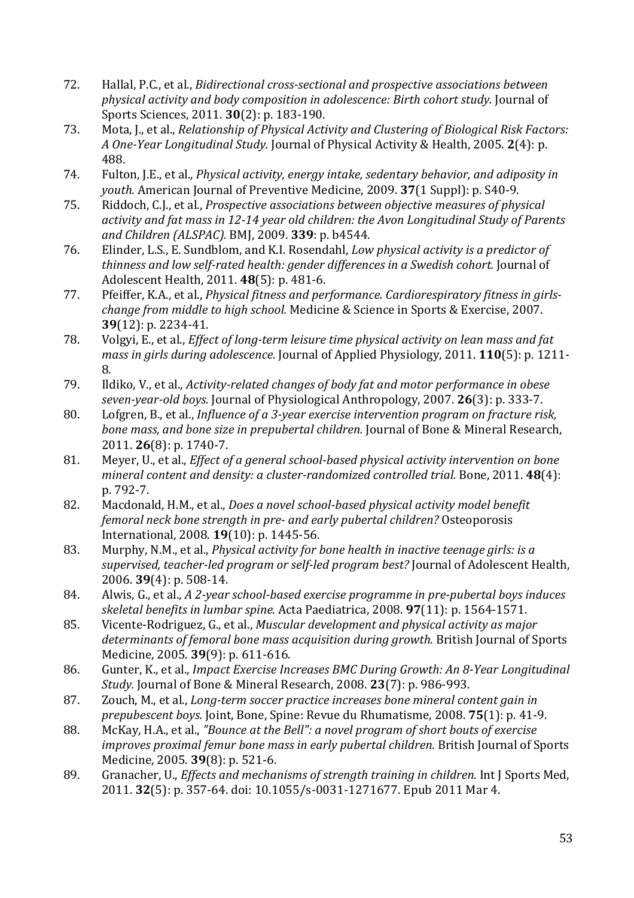- 72. Hallal, P.C., et al., *Bidirectional cross-sectional and prospective associations between physical activity and body composition in adolescence: Birth cohort study.* Journal of Sports Sciences, 2011. **30**(2): p. 183-190.
- 73. Mota, J., et al., *Relationship of Physical Activity and Clustering of Biological Risk Factors: A One-Year Longitudinal Study.* Journal of Physical Activity & Health, 2005. **2**(4): p. 488.
- 74. Fulton, J.E., et al., *Physical activity, energy intake, sedentary behavior, and adiposity in youth.* American Journal of Preventive Medicine, 2009. **37**(1 Suppl): p. S40-9.
- 75. Riddoch, C.J., et al., *Prospective associations between objective measures of physical activity and fat mass in 12-14 year old children: the Avon Longitudinal Study of Parents and Children (ALSPAC).* BMJ, 2009. **339**: p. b4544.
- 76. Elinder, L.S., E. Sundblom, and K.I. Rosendahl, *Low physical activity is a predictor of thinness and low self-rated health: gender differences in a Swedish cohort.* Journal of Adolescent Health, 2011. **48**(5): p. 481-6.
- 77. Pfeiffer, K.A., et al., *Physical fitness and performance. Cardiorespiratory fitness in girlschange from middle to high school.* Medicine & Science in Sports & Exercise, 2007. **39**(12): p. 2234-41.
- 78. Volgyi, E., et al., *Effect of long-term leisure time physical activity on lean mass and fat mass in girls during adolescence.* Journal of Applied Physiology, 2011. **110**(5): p. 1211- 8.
- 79. Ildiko, V., et al., *Activity-related changes of body fat and motor performance in obese seven-year-old boys.* Journal of Physiological Anthropology, 2007. **26**(3): p. 333-7.
- 80. Lofgren, B., et al., *Influence of a 3-year exercise intervention program on fracture risk, bone mass, and bone size in prepubertal children.* Journal of Bone & Mineral Research, 2011. **26**(8): p. 1740-7.
- 81. Meyer, U., et al., *Effect of a general school-based physical activity intervention on bone mineral content and density: a cluster-randomized controlled trial.* Bone, 2011. **48**(4): p. 792-7.
- 82. Macdonald, H.M., et al., *Does a novel school-based physical activity model benefit femoral neck bone strength in pre- and early pubertal children?* Osteoporosis International, 2008. **19**(10): p. 1445-56.
- 83. Murphy, N.M., et al., *Physical activity for bone health in inactive teenage girls: is a supervised, teacher-led program or self-led program best?* Journal of Adolescent Health, 2006. **39**(4): p. 508-14.
- 84. Alwis, G., et al., *A 2-year school-based exercise programme in pre-pubertal boys induces skeletal benefits in lumbar spine.* Acta Paediatrica, 2008. **97**(11): p. 1564-1571.
- 85. Vicente-Rodriguez, G., et al., *Muscular development and physical activity as major determinants of femoral bone mass acquisition during growth.* British Journal of Sports Medicine, 2005. **39**(9): p. 611-616.
- 86. Gunter, K., et al., *Impact Exercise Increases BMC During Growth: An 8-Year Longitudinal Study.* Journal of Bone & Mineral Research, 2008. **23**(7): p. 986-993.
- 87. Zouch, M., et al., *Long-term soccer practice increases bone mineral content gain in prepubescent boys.* Joint, Bone, Spine: Revue du Rhumatisme, 2008. **75**(1): p. 41-9.
- 88. McKay, H.A., et al., *"Bounce at the Bell": a novel program of short bouts of exercise improves proximal femur bone mass in early pubertal children.* British Journal of Sports Medicine, 2005. **39**(8): p. 521-6.
- 89. Granacher, U., *Effects and mechanisms of strength training in children.* Int J Sports Med, 2011. **32**(5): p. 357-64. doi: 10.1055/s-0031-1271677. Epub 2011 Mar 4.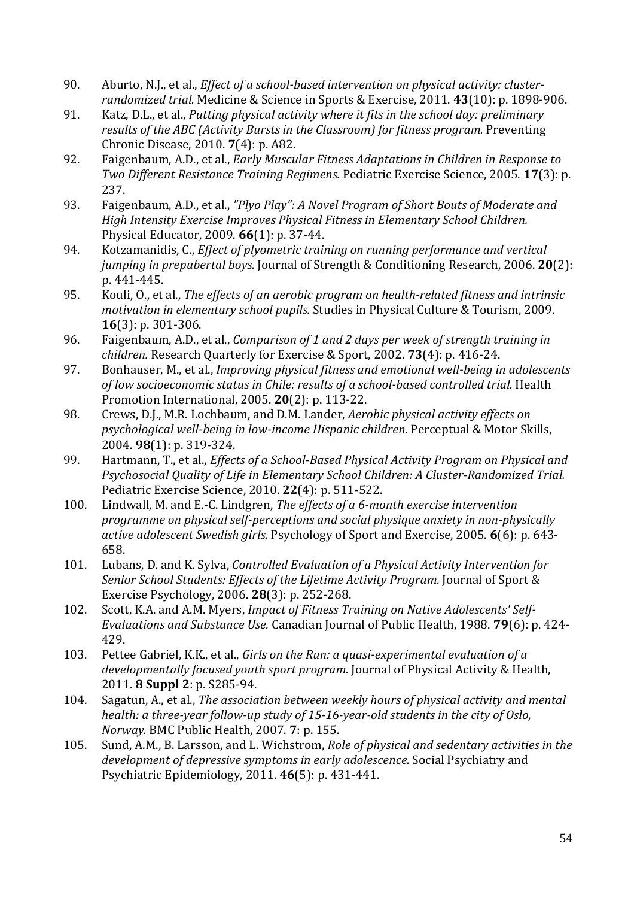- 90. Aburto, N.J., et al., *Effect of a school-based intervention on physical activity: clusterrandomized trial.* Medicine & Science in Sports & Exercise, 2011. **43**(10): p. 1898-906.
- 91. Katz, D.L., et al., *Putting physical activity where it fits in the school day: preliminary results of the ABC (Activity Bursts in the Classroom) for fitness program.* Preventing Chronic Disease, 2010. **7**(4): p. A82.
- 92. Faigenbaum, A.D., et al., *Early Muscular Fitness Adaptations in Children in Response to Two Different Resistance Training Regimens.* Pediatric Exercise Science, 2005. **17**(3): p. 237.
- 93. Faigenbaum, A.D., et al., *"Plyo Play": A Novel Program of Short Bouts of Moderate and High Intensity Exercise Improves Physical Fitness in Elementary School Children.* Physical Educator, 2009. **66**(1): p. 37-44.
- 94. Kotzamanidis, C., *Effect of plyometric training on running performance and vertical jumping in prepubertal boys.* Journal of Strength & Conditioning Research, 2006. **20**(2): p. 441-445.
- 95. Kouli, O., et al., *The effects of an aerobic program on health-related fitness and intrinsic motivation in elementary school pupils.* Studies in Physical Culture & Tourism, 2009. **16**(3): p. 301-306.
- 96. Faigenbaum, A.D., et al., *Comparison of 1 and 2 days per week of strength training in children.* Research Quarterly for Exercise & Sport, 2002. **73**(4): p. 416-24.
- 97. Bonhauser, M., et al., *Improving physical fitness and emotional well-being in adolescents of low socioeconomic status in Chile: results of a school-based controlled trial.* Health Promotion International, 2005. **20**(2): p. 113-22.
- 98. Crews, D.J., M.R. Lochbaum, and D.M. Lander, *Aerobic physical activity effects on psychological well-being in low-income Hispanic children.* Perceptual & Motor Skills, 2004. **98**(1): p. 319-324.
- 99. Hartmann, T., et al., *Effects of a School-Based Physical Activity Program on Physical and Psychosocial Quality of Life in Elementary School Children: A Cluster-Randomized Trial.* Pediatric Exercise Science, 2010. **22**(4): p. 511-522.
- 100. Lindwall, M. and E.-C. Lindgren, *The effects of a 6-month exercise intervention programme on physical self-perceptions and social physique anxiety in non-physically active adolescent Swedish girls.* Psychology of Sport and Exercise, 2005. **6**(6): p. 643- 658.
- 101. Lubans, D. and K. Sylva, *Controlled Evaluation of a Physical Activity Intervention for Senior School Students: Effects of the Lifetime Activity Program.* Journal of Sport & Exercise Psychology, 2006. **28**(3): p. 252-268.
- 102. Scott, K.A. and A.M. Myers, *Impact of Fitness Training on Native Adolescents' Self-Evaluations and Substance Use.* Canadian Journal of Public Health, 1988. **79**(6): p. 424- 429.
- 103. Pettee Gabriel, K.K., et al., *Girls on the Run: a quasi-experimental evaluation of a developmentally focused youth sport program.* Journal of Physical Activity & Health, 2011. **8 Suppl 2**: p. S285-94.
- 104. Sagatun, A., et al., *The association between weekly hours of physical activity and mental health: a three-year follow-up study of 15-16-year-old students in the city of Oslo, Norway.* BMC Public Health, 2007. **7**: p. 155.
- 105. Sund, A.M., B. Larsson, and L. Wichstrom, *Role of physical and sedentary activities in the development of depressive symptoms in early adolescence.* Social Psychiatry and Psychiatric Epidemiology, 2011. **46**(5): p. 431-441.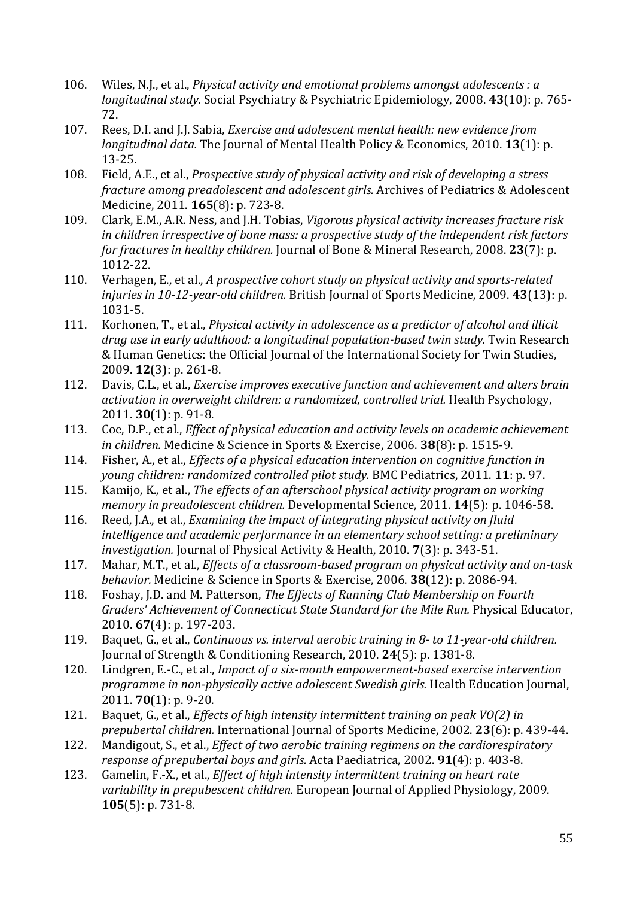- 106. Wiles, N.J., et al., *Physical activity and emotional problems amongst adolescents : a longitudinal study.* Social Psychiatry & Psychiatric Epidemiology, 2008. **43**(10): p. 765- 72.
- 107. Rees, D.I. and J.J. Sabia, *Exercise and adolescent mental health: new evidence from longitudinal data.* The Journal of Mental Health Policy & Economics, 2010. **13**(1): p. 13-25.
- 108. Field, A.E., et al., *Prospective study of physical activity and risk of developing a stress fracture among preadolescent and adolescent girls.* Archives of Pediatrics & Adolescent Medicine, 2011. **165**(8): p. 723-8.
- 109. Clark, E.M., A.R. Ness, and J.H. Tobias, *Vigorous physical activity increases fracture risk in children irrespective of bone mass: a prospective study of the independent risk factors for fractures in healthy children.* Journal of Bone & Mineral Research, 2008. **23**(7): p. 1012-22.
- 110. Verhagen, E., et al., *A prospective cohort study on physical activity and sports-related injuries in 10-12-year-old children.* British Journal of Sports Medicine, 2009. **43**(13): p. 1031-5.
- 111. Korhonen, T., et al., *Physical activity in adolescence as a predictor of alcohol and illicit drug use in early adulthood: a longitudinal population-based twin study.* Twin Research & Human Genetics: the Official Journal of the International Society for Twin Studies, 2009. **12**(3): p. 261-8.
- 112. Davis, C.L., et al., *Exercise improves executive function and achievement and alters brain activation in overweight children: a randomized, controlled trial.* Health Psychology, 2011. **30**(1): p. 91-8.
- 113. Coe, D.P., et al., *Effect of physical education and activity levels on academic achievement in children.* Medicine & Science in Sports & Exercise, 2006. **38**(8): p. 1515-9.
- 114. Fisher, A., et al., *Effects of a physical education intervention on cognitive function in young children: randomized controlled pilot study.* BMC Pediatrics, 2011. **11**: p. 97.
- 115. Kamijo, K., et al., *The effects of an afterschool physical activity program on working memory in preadolescent children.* Developmental Science, 2011. **14**(5): p. 1046-58.
- 116. Reed, J.A., et al., *Examining the impact of integrating physical activity on fluid intelligence and academic performance in an elementary school setting: a preliminary investigation.* Journal of Physical Activity & Health, 2010. **7**(3): p. 343-51.
- 117. Mahar, M.T., et al., *Effects of a classroom-based program on physical activity and on-task behavior.* Medicine & Science in Sports & Exercise, 2006. **38**(12): p. 2086-94.
- 118. Foshay, J.D. and M. Patterson, *The Effects of Running Club Membership on Fourth Graders' Achievement of Connecticut State Standard for the Mile Run.* Physical Educator, 2010. **67**(4): p. 197-203.
- 119. Baquet, G., et al., *Continuous vs. interval aerobic training in 8- to 11-year-old children.* Journal of Strength & Conditioning Research, 2010. **24**(5): p. 1381-8.
- 120. Lindgren, E.-C., et al., *Impact of a six-month empowerment-based exercise intervention programme in non-physically active adolescent Swedish girls.* Health Education Journal, 2011. **70**(1): p. 9-20.
- 121. Baquet, G., et al., *Effects of high intensity intermittent training on peak VO(2) in prepubertal children.* International Journal of Sports Medicine, 2002. **23**(6): p. 439-44.
- 122. Mandigout, S., et al., *Effect of two aerobic training regimens on the cardiorespiratory response of prepubertal boys and girls.* Acta Paediatrica, 2002. **91**(4): p. 403-8.
- 123. Gamelin, F.-X., et al., *Effect of high intensity intermittent training on heart rate variability in prepubescent children.* European Journal of Applied Physiology, 2009. **105**(5): p. 731-8.